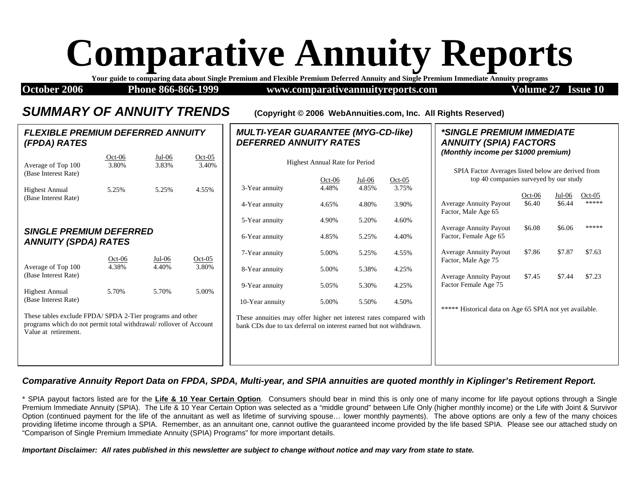# **Comparative Annuity Reports**

**Your guide to comparing data about Single Premium and Flexible Premium Deferred Annuity and Single Premium Immediate Annuity programs**

*MULTI-YEAR GUARANTEE (MYG-CD-like)* 

**October 2006** Phone 866-866-1999 www.comparativeannuityreports.com Volume 27 Issue 10

*\*SINGLE PREMIUM IMMEDIATE* 

#### *SUMMARY OF ANNUITY TRENDS* **(Copyright © 2006 WebAnnuities.com, Inc. All Rights Reserved)**

| FLEXIBLE PREMIUM DEFERRED ANNUITY<br>(FPDA) RATES                                                                                                     |                   |                   |                   | <b>MULTI-YEAR GUARANTEE (MYG-CD-like)</b><br><b>DEFERRED ANNUITY RATES</b>                                                              |                                       |                   |                   | <i>*SINGLE PREMIUM IMMEDIATE</i><br><b>ANNUITY (SPIA) FACTORS</b>                         |          |        |          |
|-------------------------------------------------------------------------------------------------------------------------------------------------------|-------------------|-------------------|-------------------|-----------------------------------------------------------------------------------------------------------------------------------------|---------------------------------------|-------------------|-------------------|-------------------------------------------------------------------------------------------|----------|--------|----------|
| Average of Top 100<br>(Base Interest Rate)                                                                                                            | $Oct-06$<br>3.80% | $Jul-06$<br>3.83% | $Oct-05$<br>3.40% |                                                                                                                                         | <b>Highest Annual Rate for Period</b> |                   |                   | (Monthly income per \$1000 premium)<br>SPIA Factor Averages listed below are derived from |          |        |          |
| <b>Highest Annual</b><br>(Base Interest Rate)                                                                                                         | 5.25%             | 5.25%             | 4.55%             | 3-Year annuity                                                                                                                          | $Oct-06$<br>4.48%                     | $Jul-06$<br>4.85% | $Oct-05$<br>3.75% | top 40 companies surveyed by our study                                                    | $Oct-06$ | Jul-06 | $Oct-05$ |
|                                                                                                                                                       |                   |                   |                   | 4-Year annuity                                                                                                                          | 4.65%                                 | 4.80%             | 3.90%             | <b>Average Annuity Payout</b><br>Factor, Male Age 65                                      | \$6.40   | \$6.44 | *****    |
| <b>SINGLE PREMIUM DEFERRED</b>                                                                                                                        |                   |                   |                   | 5-Year annuity                                                                                                                          | 4.90%                                 | 5.20%             | 4.60%             | <b>Average Annuity Payout</b>                                                             | \$6.08   | \$6.06 | *****    |
| <b>ANNUITY (SPDA) RATES</b>                                                                                                                           |                   |                   |                   | 6-Year annuity                                                                                                                          | 4.85%                                 | 5.25%             | 4.40%             | Factor, Female Age 65                                                                     | \$7.86   |        |          |
| Average of Top 100                                                                                                                                    | $Oct-06$<br>4.38% | $Jul-06$<br>4.40% | $Oct-05$<br>3.80% | 7-Year annuity<br>8-Year annuity                                                                                                        | 5.00%<br>5.00%                        | 5.25%<br>5.38%    | 4.55%<br>4.25%    | <b>Average Annuity Payout</b><br>Factor, Male Age 75                                      |          | \$7.87 | \$7.63   |
| (Base Interest Rate)                                                                                                                                  |                   |                   |                   | 9-Year annuity                                                                                                                          | 5.05%                                 | 5.30%             | 4.25%             | <b>Average Annuity Payout</b><br>Factor Female Age 75                                     | \$7.45   | \$7.44 | \$7.23   |
| <b>Highest Annual</b><br>(Base Interest Rate)                                                                                                         | 5.70%             | 5.70%             | 5.00%             | 10-Year annuity                                                                                                                         | 5.00%                                 | 5.50%             | 4.50%             |                                                                                           |          |        |          |
| These tables exclude FPDA/SPDA 2-Tier programs and other<br>programs which do not permit total withdrawal/rollover of Account<br>Value at retirement. |                   |                   |                   | These annuities may offer higher net interest rates compared with<br>bank CDs due to tax deferral on interest earned but not withdrawn. |                                       |                   |                   | ***** Historical data on Age 65 SPIA not yet available.                                   |          |        |          |

#### *Comparative Annuity Report Data on FPDA, SPDA, Multi-year, and SPIA annuities are quoted monthly in Kiplinger's Retirement Report.*

\* SPIA payout factors listed are for the **Life & 10 Year Certain Option**. Consumers should bear in mind this is only one of many income for life payout options through a Single Premium Immediate Annuity (SPIA). The Life & 10 Year Certain Option was selected as a "middle ground" between Life Only (higher monthly income) or the Life with Joint & Survivor Option (continued payment for the life of the annuitant as well as lifetime of surviving spouse… lower monthly payments). The above options are only a few of the many choices providing lifetime income through a SPIA. Remember, as an annuitant one, cannot outlive the guaranteed income provided by the life based SPIA. Please see our attached study on "Comparison of Single Premium Immediate Annuity (SPIA) Programs" for more important details.

*Important Disclaimer: All rates published in this newsletter are subject to change without notice and may vary from state to state.*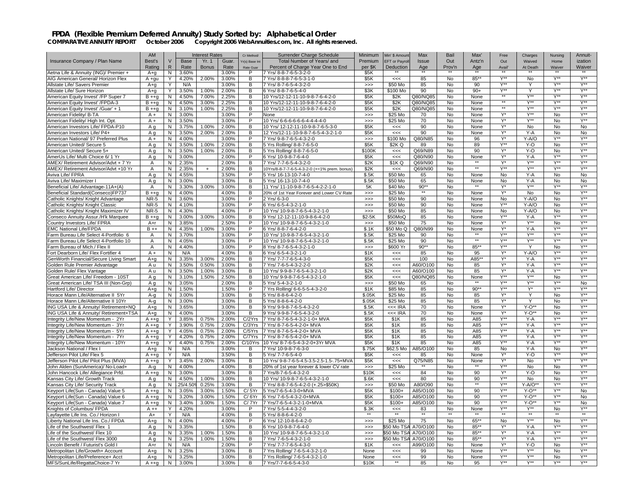|                                                                                 | AM                |                |                | <b>Interest Rates</b> |                | Cr Method/       | Surrender Charge Schedule                                        | Minimum        | Min' \$ Amoun        | Max                       | Bail      | Max'            | Free                                 | Charges          | Nursina                | Annuit-                              |
|---------------------------------------------------------------------------------|-------------------|----------------|----------------|-----------------------|----------------|------------------|------------------------------------------------------------------|----------------|----------------------|---------------------------|-----------|-----------------|--------------------------------------|------------------|------------------------|--------------------------------------|
| Insurance Company / Plan Name                                                   | Best's            | $\vee$         | <b>Base</b>    | Yr. 1                 | Guar.          | Yr(s) Base In    | Total Number of Years/and                                        | Premium        | <b>EFT</b> or Payrol | <b>Issue</b>              | Out       | Antz'n          | Out                                  | Waived           | Home                   | ization                              |
|                                                                                 | Rating            | $\mathsf{R}$   | Rate           | <b>Bonus</b>          | Rate           | <b>Rate Guar</b> | Percent of Charge Year One to End                                | per \$K        | Deduction            | Age                       | Prov'n    | Age             | Avail'                               | At Death         | Waiver                 | Waiver                               |
| Aetna Life & Annuity (ING)/ Premier +                                           | $A+q$             | N              | 3.60%          |                       | 3.00%          | P                | 7 Yrs/ 8-8-7-6-5-3-2-0                                           | \$5K           |                      |                           |           |                 |                                      |                  |                        |                                      |
| AIG American General/ Horizon Flex                                              | $A + qu$          | Y              | 4.20%          | 2.00%                 | 3.00%          | B                | 7 Yrs/ 8-8-8-7-6-5-3-1-0                                         | \$5K           | <<                   | 85                        | <b>No</b> | 85**            | $Y^{\star\star}$                     | No               | $Y^{\star\star}$       | $Y^{\star\star}$                     |
| Allstate Life/ Savers Premier                                                   | $A + q$           | Y              | N/A            |                       | 3.00%          | В                | 7 Yrs/ 8-7-6-5-4-3-2-0                                           | >>             | \$50 Mo              | 85                        | No        | 90              | $V^{\star}$                          | Y                |                        | $V^{\star}$                          |
| Allstate Life/ Sure Horizon                                                     | $A + q$           | Y.             | 3.50%          | 1.00%                 | 2.00%          | В                | 6 Yrs/ 8-8-7-6-5-4-0                                             | \$3K           | \$100 Mo             | 90                        | No        | $90+$           | $Y^{\ast\ast}$                       | Y                | Y**                    | $Y^*$                                |
| American Equity Invest' /FP Super 7                                             | $B + +q$          | N              | 4.50%          | 7.00%                 | 2.25%          | B                | 10 Yrs/12-12-11-10-9-8-7-6-4-2-0                                 | \$5K           | \$2K                 | Q80/NQ85                  | No        | None            | $\star\star$                         | $Y^{\star\star}$ | $Y^{\star\star}$       | $Y^{\star\star}$                     |
| American Equity Invest' /FPDA-3                                                 | $B + q$           | Ν              | 4.50%          | 3.00%                 | 2.25%          | В                | 0 Yrs/12-12-11-10-9-8-7-6-4-2-0                                  | \$5K           | \$2K                 | Q80/NQ85                  | No        | None            | $**$                                 | $Y^{\star\star}$ | Y**                    | $\overline{Y^{**}}$                  |
| American Equity Invest' /Guar' + 1                                              | $B + q$           | N              | 3.10%          | 1.00%                 | 2.25%          | в                | 10 Yrs/12-12-11-10-9-8-7-6-4-2-0                                 | \$5K           | \$2K                 | Q80/NQ85                  | No        | None            | **                                   | Y**              | $Y^{\star\star}$       | $Y^{\star\star}$                     |
| American Fidelity/ B-TA                                                         | $A +$             | N              | 3.00%          |                       | 3.00%          | P                | None                                                             | >>             | \$25 Mo              | 70                        | No        | None            | $Y^*$                                | $Y^{\star\star}$ | <b>No</b>              | $Y^{\star\star}$                     |
| American Fidelity/ High Int. Opt.                                               | $A +$             | N              | 3.50%          |                       | 3.00%          | P                | 10 Yrs/ 6-6-6-6-6-6-4-4-4-4-0                                    | $\gg$          | \$25 Mo              | 70                        | No        | None            | Y*                                   | Y**              | <b>No</b>              | Y**                                  |
| American Investors Life/ FPDA-P10                                               | A g               | N              | 3.75%          | 1.00%                 | 2.00%          | В                | 10 Yrs/ 12-12-11-10-9-8-7-6-5-3-0                                | \$5K           | $<<$                 | 90                        | No        | None            | Y*                                   | No               | No                     | No                                   |
| American Investors Life/ P4+                                                    | Aq                | ${\sf N}$      | 3.50%          | 2.00%                 | 2.00%          | B                | 12 Yrs/12-11-10-9-8-7-6-5-4-3-2-1-0                              | \$5K           | <<                   | 90                        | No        | None            | $Y^*$                                | $Y - A$          | <b>No</b>              | <b>No</b>                            |
| American National/ 97 Preferred Plus                                            | $A +$             | N              | 4.00%          |                       | 3.00%          | P                | 7 Yrs/ 9-8-7-6-5-4-3-2-0                                         | $\gg$          | \$100 Mo             | Q80/N85                   | No        | 96              | $Y^*$                                | Y-A/O            | $Y^{\star\star}$       | $Y^{\star\star}$                     |
| American United/ Secure 5                                                       | Aq                | N              | 3.50%          | 1.00%                 | 2.00%          | В                | 5 Yrs Rolling/ 8-8-7-6-5-0                                       | \$5K           | \$2K Q               | 89                        | No        | 89              | Y**                                  | Y-O              | No                     | $Y^{\star\star}$                     |
| American United/ Secure 5+                                                      | Aq                | N              | 3.50%          | 1.00%                 | 2.00%          | B                | 5 Yrs Rolling/ 8-8-7-6-5-0                                       | \$100K         | <<                   | Q69/N89                   | No        | 90              | $Y^*$                                | Y-O              | <b>No</b>              | $Y^{\star\star}$                     |
| AmerUs Life/ Multi Choice 6/ 1 Yr                                               | A g               | N              | 3.00%          |                       | 2.00%          | P                | 6 Yrs/ 10-9-8-7-6-4-0                                            | \$5K           | <<                   | Q80/N90                   | No        | None            | Y*                                   | $Y-A$            |                        | $V^{\star}$                          |
| AMEX/ Retirement Advisor/Advt + 7 Yr                                            | A                 | N              | 2.35%          |                       | 2.00%          | В                | 7 Yrs/ 7-7-6-5-4-3-2-0                                           | \$2K           | \$1K Q               | Q69/N90                   | No        | $**$            | Y*                                   | Y**              | Y**                    | Y**                                  |
| AMEX/Retirement Advisor/Advt +10 Yr                                             | $\overline{A}$    | N              | 2.35%          | $+$                   | 2.00%          | B                | 10Yrs/8-8-7-7-6-5-4-3-2-0 (+=1% prem. bonus)                     | \$2K           | <<                   | Q69/N90                   | No        |                 | $V^{\star\star}$                     | $Y^{\star\star}$ | $Y^{\star\star}$       | $Y^{\star\star}$                     |
| Aviva Life/ FPRA                                                                | Aq                | ${\sf N}$      | 4.55%          |                       | 3.50%          | P                | 5 Yrs/ 16-13-10-7-4-0                                            | \$.5K          | \$50 Mo              | 65                        | No        | None            | No                                   | Y-A              | <b>No</b>              | No                                   |
| Aviva Life/ Maximizer I                                                         | A g               | N              | 3.00%          |                       | 3.00%          | В                | 5 Yrs/ 16-13-10-7-4-0                                            | \$.5K          | \$50 Mo              | 65                        | No        | None<br>$*$     | No                                   | $Y-A$            | No                     | No                                   |
| Beneficial Life/ Advantage-11A+(A)                                              | $\overline{A}$    | N              | 3.30%          | 3.00%                 | 3.00%          | B                | 11 Yrs/ 11-10-9-8-7-6-5-4-2-2-1-0                                | 5K             | \$40 Mo              | $90**$<br>$^{\star\star}$ | No        |                 | Y*                                   | $Y^{\ast\ast}$   | $Y^{\ast\ast}$         | $Y^{\star\star}$<br>Y**              |
| Beneficial Standard(Conseco)FP737                                               | $B + q$           | N              | 4.00%          |                       | 4.00%          | В                | 20% of 1st Year Forever and Lower CV Rate                        | >>             | \$25 Mo              |                           | No        | None            | Y*                                   | No               | No                     |                                      |
| Catholic Knights/ Knight Advantage                                              | NR-5              | N              | 3.60%          |                       | 3.00%          | P                | 2 Yrs/ 6-3-0                                                     | $>>>$          | \$50 Mo              | 90                        | No        | None            | No<br>Y**                            | Y-A/O            | No                     | $Y^{\star\star}$<br>$Y^{\star\star}$ |
| Catholic Knights/ Knight Classic                                                | NR-5              | N              | 4.10%          |                       | 3.00%          | P<br>P           | 6 Yrs/ 6-5-4-3-2-1-0                                             | $>>>$          | \$50 Mo              | 90                        | No        | None            |                                      | Y-A/O            | <b>No</b>              | $Y^{\star\star}$                     |
| Catholic Knights/ Knight Maximizer IV                                           | NR-5              | N              | 4.30%          |                       | 4.00%          |                  | 10 Yrs/ 10-9-8-7-6-5-4-3-2-1-0                                   | $\gg$          | \$50 Mo              | 85                        | No        | None            | No<br>Y**                            | Y-A/O            | No<br>$Y^{\star\star}$ | $Y^{**}$                             |
| Conseco Annuity Assur./H'k Marquee                                              | $B + +g$<br>$A+r$ | N              | 3.00%          | 3.00%                 | 3.00%<br>2.50% | В<br>P           | 9 Yrs/ 12-12-11-10-9-8-6-4-2-0                                   | \$2-5K         | \$50MoQ<br>\$50 Mo   | 85<br>75                  | No<br>No  | None<br>None    | Y*                                   | Y-A<br>Y**       | <b>No</b>              | $Y^{\star\star}$                     |
| Country Investors Life/ FPRA                                                    |                   | N<br>N         | 3.85%          | 1.00%                 |                | P                | 10 Yrs/ 10-9-8-7-6-5-4-3-2-1-0                                   | $>>>$          | \$50 Mo Q            | Q80/N99                   |           |                 | Y*                                   | Y-A              | $Y^{\star\star}$       | $Y^{\star\star}$                     |
| <b>EMC National Life/FPDA</b>                                                   | $B + +$<br>A      | N              | 4.35%<br>3.70% |                       | 3.00%<br>3.00% | P                | 6 Yrs/ 8-8-7-6-4-2-0                                             | \$.1K<br>\$.5K | \$25 Mo              | 90                        | No<br>No  | None            | Y**                                  | $Y^{\ast\ast}$   | $Y^{\star\star}$       | $Y^{\star\star}$                     |
| Farm Bureau Life Select 4-Portfolio 6<br>Farm Bureau Life Select 4-Portfolio 10 | A                 | N              | 4.05%          |                       | 3.00%          | P                | 10 Yrs/ 10-9-8-7-6-5-4-3-2-1-0<br>10 Yrs/ 10-9-8-7-6-5-4-3-2-1-0 | \$.5K          | \$25 Mo              | 90                        | No        | $\overline{**}$ | $Y^{\star\star}$                     | $Y^{\ast\ast}$   | $Y^{\ast\ast}$         | $Y^{\ast\ast}$                       |
| Farm Bureau of Mich./ Flex II                                                   | $\overline{A}$    | $\overline{N}$ | 4.40%          |                       | 3.00%          | $\overline{P}$   | 8 Yrs/ 8-7-6-5-4-3-2-1-0                                         |                | \$600 Yr             | $90**$                    | No        | 85**            | Y**                                  | Y                | No                     | $\overline{Y^{**}}$                  |
| Fort Dearborn Life/ Flex Fortifier 4                                            | $A +$             | N              | N/A            |                       | 4.00%          | В                | 6 Yrs/ 6-5-4-3-2-1-0                                             | $\gg$<br>\$1K  | <<                   | 85                        | No        | 95              | Y*                                   | $Y-A/O$          | $Y^{\star\star}$       | $Y^{\star\star}$                     |
| GenWorth Financial/Secure Living Smart                                          | $A+q$             | N              | 3.35%          | 3.00%                 | 2.00%          | В                | 7 Yrs/ 7-7-7-6-5-4-3-0                                           | \$5K           | $<<$                 | 100                       | No        | A85*            | Y*                                   | $Y - A$          | Y**                    | Y**                                  |
| Golden Rule Premier Advantage                                                   | A u               | N              | 3.50%          | 0.50%                 | 3.00%          | В                | 7 Yrs/ 7-6-5-4-3-2-2-0                                           | \$2K           | $<<$                 | A60/O100                  | No        | 85              | Y*                                   | $Y-A$            | Y**                    | Y**                                  |
| Golden Rule/ Flex Vantage                                                       | A u               | N              | 3.50%          | 1.00%                 | 3.00%          | В                | 10 Yrs/ 9-9-8-7-6-5-4-3-2-1-0                                    | \$2K           | $<<$                 | A60/O100                  | No        | 85              | Y*                                   | Y-A              | Y**                    | $Y^{\ast\ast}$                       |
| Great American Life/ Freedom - 10ST                                             | Aq                | N              | 3.10%          | 1.50%                 | 2.50%          | B                | 10 Yrs/ 9-9-8-7-6-5-4-3-2-1-0                                    | \$5K           | $<<$                 | Q80/NQ85                  | <b>No</b> | None            | $Y^{\star\star}$                     | $Y^{\ast\ast}$   | <b>No</b>              | $Y^{\star\star}$                     |
| Great American Life/ TSA III (Non-Grp)                                          | Aq                | $\overline{N}$ | 3.05%          |                       | 2.00%          | B                | 5 Yrs/ 5-4-3-2-1-0                                               | $\gg$          | \$50 Mo              | 65                        | No        | $**$            | $Y^{\star\star}$                     | Y**              | $Y^{\star\star}$       | No                                   |
| Hartford Life/ Director                                                         | $A+q$             | N              | 1.50%          |                       | 1.50%          | P                | 7 Yrs Rolling/ 6-6-5-5-4-3-2-0                                   | \$1K           | \$85 Mo              | 85                        | No        | $90**$          | $Y^{\star\star}$                     | Y*               | Y**                    | Y**                                  |
| Horace Mann Life/Alternative II 5Yr                                             | $A-a$             | $\overline{N}$ | 3.00%          |                       | 3.00%          | В                | 5 Yrs/ 8-8-6-4-2-0                                               | \$.05K         | \$25 Mo              | 85                        | No        | 85              | $Y^*$                                | Y                | No                     | $Y^{\star\star}$                     |
| Horace Mann Life/Alternative II 10Yr                                            | A-q               | N              | 3.00%          |                       | 3.00%          | В                | 5 Yrs/ 8-8-6-4-2-0                                               | \$.05K         | \$25 Mo              | 85                        | No        | 85              | Y*                                   | Y                | <b>No</b>              | $Y^{\star\star}$                     |
| ING USA Life & Annuity/ Retirement+NQ                                           | $A+q$             | N              | 3.65%          |                       | 3.00%          | B                | 9 Yrs/ 9-9-8-7-6-5-4-3-2-0                                       | \$.5K          | <<< IRA              | 70                        | No        | None            | Y*                                   | $Y-O^*$          | <b>No</b>              | $Y^{\star\star}$                     |
| ING USA Life & Annuity/ Retirement+TSA                                          | $A+g$             | N              | 4.00%          |                       | 3.00%          | B                | 9 Yrs/ 9-9-8-7-6-5-4-3-2-0                                       | \$.5K          | <<< IRA              | 70                        | No        | None            | Y*                                   | $Y-O^*$          | No                     | $Y^{\star\star}$                     |
| Integrity Life/New Momentum - 2Yr                                               | $A + q$           | Y              | 3.85%          | 0.75%                 | 2.00%          | C/2Yrs           | 7 Yrs/ 8-7-6-5-4-3-2-1-0+ MVA                                    | \$5K           | \$1K                 | 85                        | No        | A85             | Y**                                  | $Y-A$            | <b>Y**</b>             | $Y^{\star\star}$                     |
| Integrity Life/New Momentum - 3Yr                                               | $A + q$           | Y              | 3.90%          | 0.75%                 | 2.00%          | C/3Yrs           | 7 Yrs/ 8-7-6-5-4-2-0+ MVA                                        | \$5K           | \$1K                 | 85                        | No        | A85             | $\overline{\mathsf{Y}^{\star\star}}$ | Y-A              | $Y^{\star\star}$       | $\mathsf{Y}^{\star\star}$            |
| Integrity Life/New Momentum - 5Yr                                               | $A + g$           | Υ              | 4.05%          | 0.75%                 | 2.00%          | C/5Yrs           | 7 Yrs/ 8-7-6-5-4-2-0+ MVA                                        | \$5K           | \$1K                 | 85                        | No        | A85             | Y**                                  | $Y - A$          | Y**                    | $Y^{\star\star}$                     |
| Integrity Life/New Momentum - 7Yr                                               | $A + q$           | Y              | 4.20%          | 0.75%                 | 2.00%          | C/7Yrs           | 7 Yrs/ 8-7-6-5-4-2-0+ MVA                                        | \$5K           | \$1K                 | 85                        | No        | A85             | Y**                                  | $Y-A$            | Y**                    | $Y^{\star\star}$                     |
| Integrity Life/New Momentum - 10Yr                                              | $A + q$           | Υ              | 4.40%          | 0.75%                 | 2.00%          | C/10Yrs          | 10 Yrs/ 8-7-6-5-4-3-2-0+3Yr MVA                                  | \$5K           | \$1K                 | 85                        | No        | A85             | $Y^{\star\star}$                     | Y-A              | $Y^{\star\star}$       | $Y^{\star\star}$                     |
| Jackson National / Flex                                                         | $A+q$             | Ν              | N/A            |                       | 3.00%          | В                | 7 Yrs/ 10-9-8-7-6-3-0                                            | \$.75K         | \$62.5 Mo            | A85/O100                  | No        | 85              | No                                   | Y-A              | No                     | $Y^{\star\star}$                     |
| Jefferson Pilot Life/ Flex 5                                                    | $A + q$           | Υ              | N/A            |                       | 3.50%          | В                | 5 Yrs/ 7-7-6-5-4-0                                               | \$5K           | $<<$                 | 85                        | No        | None            | Y*                                   | Y-O              | Y**                    | $Y^{\star\star}$                     |
| Jefferson Pilot Life/ Pilot Plus (MVA)                                          | $A + q$           | Υ              | 3.45%          | 2.00%                 | 3.00%          | В                | 10 Yrs/ 9-8-7-6-5-4.5-3.5-2.5-1.5-.75+MVA                        | \$5K           | $<<$                 | Q75/N85                   | No        | None            | $Y^*$                                | No               | <b>Y**</b>             | $Y^{\star\star}$                     |
| John Alden (SunAmerica)/ No-Load+                                               | $A-g$             | N              | 4.00%          |                       | 4.00%          | В                | 20% of 1st year forever & lower CV rate                          | >>>            | \$25 Mo              |                           | No        |                 | $V^{\star}$                          | No               | No                     | $V^{\star}$                          |
| John Hancock Life/ Allegiance Prfd.                                             | $A + q$           | $\overline{N}$ | 3.00%          |                       | 3.00%          | В                | 7 Yrs/8-7-6-5-4-3-2-0                                            | \$10K          | <<                   | 84                        | No        | 90              | Y*                                   | $Y-O$            | No                     | Y**                                  |
| Kansas City Life/ Growth Track                                                  | Αa                | N              | 4.50%          | 1.00%                 | 3.00%          | B                | 10 Yrs/ 10-9-8-7-6-5-4-3-2-1-0                                   | \$.6K          | <<                   | 80                        | No        | 90              | Y**                                  | No               | <b>No</b>              | $Y^{\star\star}$                     |
| Kansas City Life/ Security Track                                                | A g               | N              | .25/4.50       | 0.25%                 | 3.00%          | В                | 7 Yrs/ 8-8-7-6-5-4-2-0 (+.25>\$50K)                              | $>>>$          | \$50 Mo              | A80/O90                   | No        | $***$           | $Y^{\star\star}$                     | Y-A/O*           | $V^{\star\star}$       | $Y^{\star\star}$                     |
| Keyport Life(Sun - Canada) Value 5                                              | $A + q$           | $\overline{N}$ | 3.05%          | 3.00%                 | 1.50%          | C/5Yr            | 5 Yrs/7-6-5-4-3-0+MVA                                            | \$5K           | $$100+$              | A85/O100                  | No        | 90              | $Y^{\star\star}$                     | $Y-O^*$          | Y**                    | No                                   |
| Keyport Life(Sun - Canada) Value 6                                              | $A + a$           | N              | 3.20%          | 3.00%                 | 1.50%          | C/6Yr            | 6 Yrs/ 7-6-5-4-3-2-0+MVA                                         | \$5K           | $$100+$              | A85/O100                  | No        | 90              | Y**                                  | $Y-O**$          | $Y^{\star\star}$       | No                                   |
| Keyport Life(Sun - Canada) Value 7                                              | $A + g$           | N              | 3.40%          | 3.00%                 | 1.50%          | C/7Yr            | 7 Yrs/7-6-5-4-3-2-1-0+MVA                                        | \$5K           | $$100+$              | A85/O100                  | No        | 90              | Y**                                  | $Y-O^*$          | Y**                    | No                                   |
| Knights of Columbus/ FPDA                                                       | $A + +$           | Y.             | 4.20%          |                       | 3.00%          | P                | 7 Yrs/ 5-5-4-4-3-2-0                                             | \$.3K          | $<<$                 | 83                        | No        | None            | Y**                                  | $Y^{\ast\ast}$   | No                     | Y**                                  |
| Layfayette Life Ins. Co./ Horizon I                                             | $A+$              | Y              | N/A            |                       | 4.00%          | B                | 5 Yrs/ 8-8-6-4-2-0                                               |                |                      |                           |           | $***$           |                                      |                  |                        |                                      |
| Liberty National Life Ins. Co./ FPDA                                            | $A+q$             | N              | 4.00%          |                       | 4.00%          | P                | 6 Yrs/ 12-10-8-6-4-2-0                                           | >>             | \$25 Mo              | 75                        | No        | 65**            | No                                   | $Y^{\ast\ast}$   | No                     | $Y^{\ast\ast}$                       |
| Life of the Southwest/ Flex 1                                                   | A q               | N              | 3.35%          |                       | 1.50%          | В                | 6 Yrs/ 10-9-8-7-6-4-0                                            | >>             | 550 Mo TS            | A70/O100                  | No        | $85*$           | Y*                                   | $Y-A$            | $Y^{\star\star}$       | $Y^{\star\star}$                     |
| Life of the Southwest/ Flex 10                                                  | A g               | N              | 3.35%          | 1.00%                 | 1.50%          | В                | 10 Yrs/ 10-9-8-7-6-5-4-3-2-1-0                                   | >>             | 50 Mo TS             | A70/O100                  | No        | $85**$          | $Y^*$                                | $Y-A$            | $Y^{\star\star}$       | $Y^{\star\star}$                     |
| Life of the Southwest/ Flex 3000                                                | A g               | N              | 3.25%          | 1.00%                 | 1.50%          | В                | 7 Yrs/ 7-6-5-4-3-2-1-0                                           | $>>>$          | 50 Mo TS             | A70/O100                  | No        | $85**$          | Y*                                   | $Y - A$          | $V^{\star\star}$       | $V^{\star\star}$                     |
| Lincoln Benefit / Futurist's Gold I                                             | A+r               | $\overline{N}$ | N/A            |                       | 2.00%          | P                | 7 Yrs/ 7-7-7-6-5-4-3-0                                           | \$1K           | <<                   | A99/O100                  | No        | None            | Y*                                   | Y-O              | <b>No</b>              | $V^{\star}$                          |
| Metropolitan Life/Growth+ Account                                               | $A+q$             | N              | 3.25%          |                       | 3.00%          | B                | 7 Yrs Rolling/ 7-6-5-4-3-2-1-0                                   | None           | <<                   | 99                        | No        | None            | Y**                                  | $Y^{\star\star}$ | <b>No</b>              | $Y^{\star\star}$                     |
| Metropolitan Life/Preference+ Acct                                              | $A+g$             | N              | 3.25%          |                       | 3.00%          | в                | 7 Yrs Rolling/ 7-6-5-4-3-2-1-0                                   | None           | <<                   | 99                        | No        | None            | $V^{\star\star}$                     | $Y^{\ast\ast}$   | No                     | $Y^{\ast\ast}$                       |
| MFS/SunLife/RegattaChoice-7 Yr                                                  | $A + g$           | N              | 3.00%          |                       | 3.00%          | В                | 7 Yrs/7-7-6-6-5-4-3-0                                            | \$10K          |                      | 85                        | No        | 95              | $Y^{\star\star}$                     | Y**              | Y**                    | $Y^{\star\star}$                     |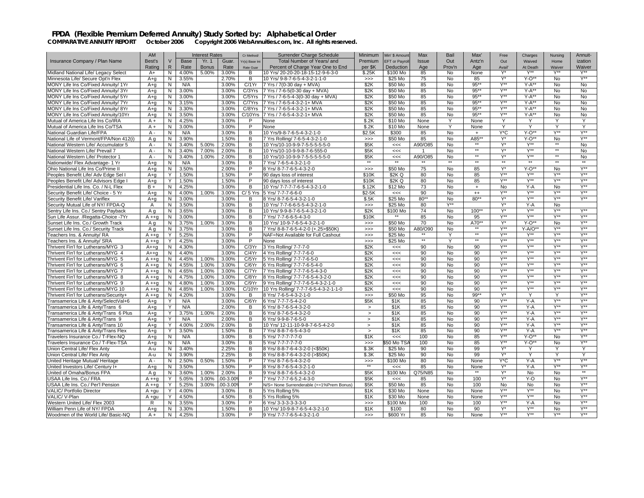|                                            | AM           |                |             | <b>Interest Rates</b> |         | Cr Method/       | Surrender Charge Schedule                | Minimum                  | Min' \$ Amount       | Max          | Bail      | Max'         | Free             | Charges          | Nursing          | Annuit-          |
|--------------------------------------------|--------------|----------------|-------------|-----------------------|---------|------------------|------------------------------------------|--------------------------|----------------------|--------------|-----------|--------------|------------------|------------------|------------------|------------------|
| Insurance Company / Plan Name              | Best's       | $\vee$         | <b>Base</b> | Yr. 1                 | Guar.   | Yr(s) Base Int   | Total Number of Years/ and               | Premium                  | <b>EFT</b> or Payrol | Issue        | Out       | Antz'n       | Out              | Waived           | Home             | ization          |
|                                            | Rating       | $\mathsf{R}$   | Rate        | <b>Bonus</b>          | Rate    | <b>Rate Guar</b> | Percent of Charge Year One to End        | per \$K                  | Deduction            | Age          | Prov'n    | Age          | Avail            | At Death         | Waiver           | Waiver           |
| Midland National Life/ Legacy Select       | $A+$         | N              | 4.00%       | 5.00%                 | 3.00%   | B                | 10 Yrs/ 20-20-20-18-15-12-9-6-3-0        | \$.25K                   | \$100 Mo             | 85           | No        | None         | Y*               | $Y^{\star\star}$ | Y**              | $Y^{\star\star}$ |
| Minnesota Life/ Secure Opt'n Flex          | $A + a$      | N              | 3.55%       |                       | 2.70%   | B                | 10 Yrs/ 9-8-7-6-5-4-3-2-1-1-0            | >>                       | \$25 Mo              | 75           | <b>No</b> | 85           | $Y^*$            | $Y-O**$          | <b>No</b>        | $Y^{\star\star}$ |
| <b>MONY Life Ins Co/Fixed Annuity/ 1Yr</b> | $A + q$      | N              | N/A         |                       | 3.00%   | C/1Yr            | 7 Yrs / 7(0-30 day + MVA)                | \$2K                     | \$50 Mo              | 85           | No        | $95**$       | Y**              | $Y-A**$          | No.              | No               |
| MONY Life Ins Co/Fixed Annuity/ 3Yr        | $A + q$      | $\overline{N}$ | 3.00%       |                       | 3.00%   | C/3Yrs           | 7 Yrs / 7-6-5(0-30 day + MVA)            | \$2K                     | \$50 Mo              | 85           | <b>No</b> | $95***$      | $Y^{\ast\ast}$   | $Y-A**$          | <b>No</b>        | <b>No</b>        |
| MONY Life Ins Co/Fixed Annuity/ 5Yr        | $A + q$      | N              | 3.00%       |                       | 3.00%   | C/5Yrs           | 7 Yrs / 7-6-5-4-3(0-30 day + MVA)        | \$2K                     | \$50 Mo              | 85           | <b>No</b> | 95**         | Y**              | $Y-A**$          | <b>No</b>        | <b>No</b>        |
| MONY Life Ins Co/Fixed Annuity/ 7Yr        | $A + q$      | N              | 3.15%       |                       | 3.00%   | C/7Yrs           | 7 Yrs / 7-6-5-4-3-2-1+ MVA               | \$2K                     | \$50 Mo              | 85           | No        | $95**$       | Y**              | $Y-A^*$          | No               | No               |
| MONY Life Ins Co/Fixed Annuity/ 8Yr        | $A + q$      | N              | 3.30%       |                       | 3.00%   | C/8Yrs           | 7 Yrs / 7-6-5-4-3-2-1+ MVA               | \$2K                     | \$50 Mo              | 85           | No        | $95*$        | $V^{\star\star}$ | $Y-A^*$          | <b>No</b>        | <b>No</b>        |
| MONY Life Ins Co/Fixed Annuity/10Yr        | $A + q$      | N              | 3.50%       |                       | 3.00%   | C/10Yrs          | 7 Yrs / 7-6-5-4-3-2-1+ MVA               | \$2K                     | \$50 Mo              | 85           | No        | $95**$       | Y**              | $Y-A**$          | No               | No               |
| Mutual of America Life Ins Co/IRA          | $A +$        | N              | 4.25%       |                       | 3.00%   | P                | None                                     | \$.2K                    | \$10 Mo              | None         | Y         | None         | Y                | Y                | Υ                | Y                |
| Mutual of America Life Ins Co/TSA          | $A +$        | N              | 3.00%       |                       | 3.00%   | P                | None                                     | \$.2K                    | \$10 Mo              | None         | Y         | None         | Y                | $\mathsf{v}$     | Υ                | Y                |
| National Guardian Life/FPA                 | A -          | ${\sf N}$      | N/A         |                       | 3.00%   | B                | 10 Yrs/9-8-7-6-5-4-3-2-1-0               | \$2.5K                   | \$300                | 85           | No        | $\ddot{}$    | Y*C              | $Y-O**$          | $Y^{\star\star}$ | $Y^{\star\star}$ |
| National Life of Vermont/FPA/Non 412(i)    | Αq           | N              | 3.90%       |                       | 1.50%   | В                | 7 Yrs Rolling/ 7-6-5-4-3-2-1-0           | $>>>$                    | \$50 Mo              | 85           | No        | A85*         | Y*               | Y-O*             | <b>No</b>        | $Y^{\star\star}$ |
| National Western Life/ Accumulator 5       | $A -$        | $\overline{N}$ | 3.40%       | 5.00%                 | 2.00%   | B                | 10 Yrs/10-10-9-9-7-5-5-5-5-5-0           | \$5K                     | <<                   | A90/O85      | <b>No</b> |              | Y*               | $Y^{\star\star}$ |                  | <b>No</b>        |
| National Western Life/ Prevail 7           | $A -$        | N              | 3.40%       | 7.00%                 | 2.00%   | B                | 10 Yrs/10-10-9-9-8-7-6-555-0             | \$5K                     | <<                   |              | <b>No</b> | $\star\star$ | $Y^*$            | $Y^{\star\star}$ | $*$              | <b>No</b>        |
| National Western Life/ Protector 1         | $A -$        | N              | 3.40%       | 1.00%                 | 2.00%   | B                | 10 Yrs/10-10-9-9-7-5-5-5-5-5-0           | \$5K                     | $<<$                 | A90/O85      | No        | $\star\star$ | Y*               | $Y^{\star\star}$ | $\star\star$     | No               |
| Nationwide/ Flex Advantage- 1 Yr           | $A + a$      | N              | N/A         |                       | 3.00%   | B                | 7 Yrs/ 7-6-5-4-3-2-1-0                   |                          | $*$                  |              | $**$      | $**$         | $\overline{**}$  |                  | $\overline{1}$   | $**$             |
| Ohio National Life Ins Co/Prime II         | $A + q$      | N              | 3.50%       |                       | 2.00%   | P                | 8 Yrs/ 8-7-7-6-5-4-3-2-0                 | >>                       | \$50 Mo              | 75           | <b>No</b> | 85           | Y*               | $Y-O**$          | <b>No</b>        | $Y^{\star\star}$ |
| Peoples Benefit Life/ Adv Edge Sel         | $A + q$      | Υ              | 1.50%       |                       | 1.50%   | P                | 90 days loss of interest                 | \$10K                    | \$2K Q               | 80           | No        | 85           | $Y^{\star\star}$ | $Y^{\star\star}$ | $Y^{\star\star}$ | $Y^{\star\star}$ |
| Peoples Benefit Life/ Advisors Edge        | $A+q$        | Y              | 1.50%       |                       | 1.50%   | P                | 90 days loss of interest                 | \$10K                    | \$2K Q               | 80           | No        | 85           | $V^{\star\star}$ | $Y^{\star\star}$ | Y**              | $Y^{\star\star}$ |
| Presidential Life Ins. Co. / N-L Flex      | $B +$        | N              | 4.25%       |                       | 3.00%   | B                | 10 Yrs/ 7-7-7-7-6-5-4-3-2-1-0            | \$.12K                   | \$12 Mo              | 73           | <b>No</b> | $+$          | <b>No</b>        | $Y - A$          | <b>No</b>        | $Y^{\star\star}$ |
| Security Benefit Life/ Choice - 5 Yr       | $A + q$      | N              | 4.00%       | 1.00%                 | 3.00%   | $C/5$ Yrs        | 5 Yrs/ 7-7-7-6-6-0                       | \$2-5K                   | <<                   | 90           | <b>No</b> | $^{++}$      | Y**              | Y**              | $V^{\star\star}$ | $Y^{\star\star}$ |
| Security Benefit Life/ Variflex            | $A + q$      | N              | 3.00%       |                       | 3.00%   | B                | 8 Yrs/ 8-7-6-5-4-3-2-1-0                 | \$.5K                    | \$25 Mo              | $80**$       | <b>No</b> | $80**$       | $Y^*$            | $Y^{\ast\ast}$   | $Y^{\ast\ast}$   | $Y^{\star\star}$ |
| Security Mutual Life of NY/ FPDA-Q         | $\mathsf{A}$ | $\overline{N}$ | 3.50%       |                       | 3.00%   | B                | 10 Yrs/ 7-7-6-6-5-5-4-3-2-1-0            | >>                       | \$25 Mo              | 80           | Y**       |              | Y*               | $Y-A$            | <b>No</b>        |                  |
| Sentry Life Ins. Co./ Sentry Payback       | A a          | N              | 3.65%       |                       | 3.00%   | B                | 10 Yrs/ 9-9-8-7-6-5-4-3-2-1-0            | \$2K                     | \$100 Mo             | 74           | <b>No</b> | $100**$      | $Y^*$            | Y**              | $Y^{\star\star}$ | $Y^{\star\star}$ |
| Sun Life Assur. /Regatta-Choice -7Yr       | $A + q$      | N              | 3.00%       |                       | 3.00%   | В                | 7 Yrs/ 7-7-6-6-5-4-3-0                   | \$10K                    |                      | 85           | No        | 95           | Y**              | $Y^{\star\star}$ | Y**              | $Y^{\star\star}$ |
| Sunset Life Ins. Co./ Growth Track         | A q          | N              | 3.75%       | 1.00%                 | 3.00%   | B                | 10 Yrs/ 10-9-7-6-5-4-3-2-1-0             | $>>>$                    | \$50 Mo              | 70           | No        | A70*         | Y*               | $Y-O^*$          | No               | Y**              |
| Sunset Life Ins. Co./ Security Track       | Aq           | N              | 3.75%       |                       | 3.00%   | B                | 7 Yrs/ 8-8-7-6-5-4-2-0 (+.25>\$50K)      | $>>>$                    | \$50 Mo              | A80/O90      | No        | $**$         | $Y^{\star\star}$ | Y-A/O**          | $Y^{\star\star}$ | $Y^{\star\star}$ |
| Feachers Ins. & Annuity/ RA                | $A + q$      | Y              | 5.25%       |                       | 3.00%   | P                | NAF=Not Available for Full Cashout       | $>>>$                    | \$25 Mo              |              | ٧         | $\star\star$ | $V^{\star\star}$ | $Y^{\star\star}$ | $Y^{\ast\ast}$   | $Y^{\star\star}$ |
| Feachers Ins. & Annuity/ SRA               | $A + a$      | Y              | 4.25%       |                       | 3.00%   | P                | None                                     | $>>>$                    | \$25 Mo              | $\star\star$ | Y         | $\star\star$ | $Y^{\star\star}$ | $Y^{\star\star}$ | Y**              | $Y^{\star\star}$ |
| Thrivent Fin'l for Lutherans/MYG 3         | $A++a$       | N              | 4.30%       |                       | 3.00%   | C/3Yr            | 3 Yrs Rolling/ 7-7-7-0                   | \$2K                     | $<<$                 | 90           | No        | 90           | V**              | $V^{\star\star}$ | $Y^{\star\star}$ | $V^{\star\star}$ |
| Thrivent Fin'l for Lutherans/MYG 4         | $A++a$       | N              | 4.40%       |                       | 3.00%   | C/4Yr            | 4 Yrs Rolling/ 7-7-7-6-0                 | \$2K                     | <<                   | 90           | <b>No</b> | 90           | $V^{\star\star}$ | Y**              | Y**              | Y**              |
| Thrivent Fin'l for Lutherans/MYG 5         | $A + q$      | N              | 4.45%       | 1.00%                 | 3.00%   | C/5Yr            | 5 Yrs Rolling/ 7-7-7-6-5-0               | \$2K                     | $<<$                 | 90           | No        | 90           | $Y^{\star\star}$ | $Y^{\ast\ast}$   | $Y^{\star\star}$ | $Y^{\star\star}$ |
| Thrivent Fin'l for Lutherans/MYG 6         | $A + g$      | N              | 4.55%       | 1.00%                 | 3.00%   | C/6Yr            | 6 Yrs Rolling/ 7-7-7-6-5-4-0             | \$2K                     | $<<$                 | 90           | No        | 90           | $Y^{\star\star}$ | $Y^{\star\star}$ | $Y^{\star\star}$ | $Y^{\star\star}$ |
| Thrivent Fin'l for Lutherans/MYG 7         | $A + q$      | N              | 4.65%       | 1.00%                 | 3.00%   | C/7Yr            | 7 Yrs Rolling/ 7-7-7-6-5-4-3-0           | \$2K                     | $<<$                 | 90           | No        | 90           | $Y^{\star\star}$ | $Y^{\star\star}$ | $V^{\star\star}$ | $Y^{\star\star}$ |
| Thrivent Fin'l for Lutherans/MYG 8         | $A + q$      | N              | 4.75%       | 1.00%                 | 3.00%   | C/8Yr            | 8 Yrs Rolling/ 7-7-7-6-5-4-3-2-0         | \$2K                     | <<                   | 90           | No        | 90           | $V^{\star\star}$ | Y**              | Y**              | $Y^{\star\star}$ |
| Thrivent Fin'l for Lutherans/MYG 9         | $A + a$      | N              | 4.80%       | 1.00%                 | 3.00%   | C/9Yr            | 9 Yrs Rolling/ 7-7-7-6-5-4-3-2-1-0       | \$2K                     | <<                   | 90           | <b>No</b> | 90           | $Y^{\star\star}$ | $Y^{\star\star}$ | $Y^{\star\star}$ | $Y^{\star\star}$ |
| Thrivent Fin'l for Lutherans/MYG 10        | $A + q$      | N              | 4.85%       | 1.00%                 | 3.00%   | C/10Yr           | 10 Yrs Rolling/ 7-7-7-6-5-4-3-2-1-1-0    | \$2K                     | $<<$                 | 90           | No        | 90           | Y**              | $Y^{\star\star}$ | Y**              | $Y^{\star\star}$ |
| Thrivent Fin'l for Lutherans/Security+     | $A + q$      | N              | 4.20%       |                       | 3.00%   | B                | 8 Yrs/ 7-6-5-4-3-2-1-0                   | $>>>$                    | \$50 Mo              | 95           | No        | $99**$       | $Y^*$            | Y                | Y                | Y**              |
| Transamerica Life & Anty/SelectVal+6       | $A + q$      | Y              | N/A         |                       | 3.00%   | C/6Yr            | 6 Yrs/ 7-7-7-5-4-2-0                     | \$5K                     | \$1K                 | 85           | No        | 90           | $Y^{\star\star}$ | $Y - A$          | $Y^{\star\star}$ | $Y^{\star\star}$ |
| Transamerica Life & Anty/Trans 6           | $A + q$      | Y              | N/A         |                       | 2.00%   | В                | 6 Yrs/ 8-7-6-5-4-3-2-0                   | $\, > \,$                | \$1K                 | 85           | No        | 90           | Y**              | Y-A              | $Y^{\ast\ast}$   | $Y^{\ast\ast}$   |
| Transamerica Life & Anty/Trans 6 Plus      | $A + q$      | Y              | 3.75%       | 1.00%                 | 2.00%   | B                | 6 Yrs/ 8-7-6-5-4-3-2-0                   | $\geq$                   | \$1K                 | 85           | No        | 90           | $Y^{\star\star}$ | $Y-A$            | $Y^{\star\star}$ | $V^{\star\star}$ |
| Fransamerica Life & Anty/Trans 9           | $A + q$      | Y              | N/A         |                       | 2.00%   | B                | 6 Yrs/ 9-9-8-7-6-5-0                     | $\geq$                   | \$1K                 | 85           | No        | 90           | Y**              | $Y - A$          | Y**              | $Y^{\star\star}$ |
| Fransamerica Life & Anty/Trans 10          | $A + a$      | Y              | 4.00%       | 2.00%                 | 2.00%   | B                | 10 Yrs/ 12-11-10-9-8-7-6-5-4-2-0         | $\geq$                   | \$1K                 | 85           | No        | 90           | $Y^{\star\star}$ | $Y - A$          | $Y^{\star\star}$ | $Y^{\star\star}$ |
| Fransamerica Life & Anty/Trans Flex        | $A + q$      | Y              | 3.50%       |                       | 1.50%   | B                | 7 Yrs/ 8-8-7-6-5-4-3-0                   | $\, > \,$                | \$1K                 | 85           | No        | 90           | $V^{\star\star}$ | $Y-A$            | Y**              | $V^{**}$         |
| Travelers Insurance Co./ T-Flex-NQ         | $A + q$      | N              | N/A         |                       | 3.00%   | в                | 5 Yrs/ 7-7-7-7-7-0                       | \$1K                     | <<                   | 100          | No        | 85           | $Y^{\star\star}$ | $Y-O**$          | <b>No</b>        | $Y^{\star\star}$ |
| Travelers Insurance Co./ T-Flex-TSA        | $A + q$      | N              | N/A         |                       | 3.00%   | B                | 5 Yrs/ 7-7-7-7-7-0                       | $>>>$                    | 50 Mo TS.            | 100          | No        | 85           | Y**              | $Y-O**$          | No               | $Y^{\star\star}$ |
| Union Central Life/ Flex Anty              | A-u          | N              | 3.40%       |                       | 2.25%   | B                | 8 Yrs/ 8-8-7-6-4-3-2-0 (<\$50K)          | \$.3K                    | \$25 Mo              | 90           | No        | 99           | $Y^*$            | Y                | Y                | Y                |
| Union Central Life/ Flex Anty              | A-u          | N              | 3.90%       |                       | 2.25%   | B                | 8 Yrs/ 8-8-7-6-4-3-2-0 (>\$50K)          | \$.3K                    | \$25 Mo              | 90           | No        | 99           | Y*               | Y                | Υ                | Y                |
| United Heritage Mutual/ Heritage           | $A -$        | N.             | 2.50%       | 0.50%                 | 1.50%   | P                | 7 Yrs/ 8-7-6-5-4-3-2-0                   | >>                       | \$100 Mo             | 80           | <b>No</b> | None         | Y*C              | $Y - A$          | $Y^{\star\star}$ | $Y^{\star\star}$ |
| United Investors Life/ Century I+          | $A + q$      | N              | 3.50%       |                       | 3.50%   | $\overline{P}$   | 8 Yrs/ 8-7-6-5-4-3-2-1-0                 | $\overline{\phantom{0}}$ | <<                   | 85           | No        | None         | Y*               | $Y-A$            | Y**              | $V^{\star\star}$ |
| United of Omaha/Bonus FPA                  | A a          | N              | 3.60%       | 1.00%                 | 2.00%   | B                | 9 Yrs/ 8-8-7-6-5-4-3-2-0                 | \$5K                     | \$100 Mo             | Q75/N85      | <b>No</b> | $*$          | Y*               | <b>No</b>        | <b>No</b>        | $\star\star$     |
| USAA Life Ins. Co./ FRA                    | $A + q$      | Y              | 5.05%       | 3.00%                 | 00-3.00 | P                | 7 Yrs/ 7-7-7-6-5.2-4-3-0                 | \$5K                     | $<<$                 | 85           | No        | 100          | $Y^*$            | Y-O              | <b>No</b>        | $Y^{\star\star}$ |
| USAA Life Ins. Co./ Per'l Pension          | $A + q$      | Y              | 5.25%       | 3.00%                 | 00-3.00 | P                | N/S= None Surrenderable (+=1%Prem Bonus) | \$5K                     | \$50 Mo              | 85           | No        | 100          | <b>No</b>        | No               | No               | $V^{**}$         |
| VALIC/ Portfolio Director                  | $A + qu$     | Y              | 4.00%       |                       | 3.00%   | B                | 5 Yrs Rolling 5%                         | \$1K                     | \$30 Mo              | None         | No        | None         | $Y^{\star\star}$ | $Y^{\ast\ast}$   | <b>No</b>        | $Y^{\star\star}$ |
| VALIC/V-Plan                               | $A + gu$     | Y              | 4.50%       |                       | 4.50%   | B                | 5 Yrs Rolling 5%                         | \$1K                     | \$30 Mo              | None         | <b>No</b> | None         | $Y^{\star\star}$ | $Y^{\star\star}$ | No               | $Y^{\star\star}$ |
| Western United Life/ Flex 2003             | R            | N              | 3.55%       |                       | 3.00%   | P                | 6 Yrs/ 3-3-3-3-3-3-0                     | $\gg$                    | \$100 Mo             | 100          | No        | 100          | $Y^{\ast\ast}$   | $Y-A$            | No               | $Y^{\ast\ast}$   |
| William Penn Life of NY/ FPDA              | $A + a$      | N              | 3.30%       |                       | 1.50%   | B                | 10 Yrs/ 10-9-8-7-6-5-4-3-2-1-0           | \$1K                     | \$100                | 80           | <b>No</b> | 90           | $Y^*$            | $Y^{\star\star}$ | No.              | $Y^{\star\star}$ |
| Woodmen of the World Life/ Basic-NQ        | $A +$        | N              | 4.25%       |                       | 3.00%   | P                | 9 Yrs/ 7-7-7-6-5-4-3-2-1-0               | >>                       | \$600 Yr             | 85           | <b>No</b> | None         | $Y^{\star\star}$ | Y**              | <b>Y**</b>       | $Y^{\star\star}$ |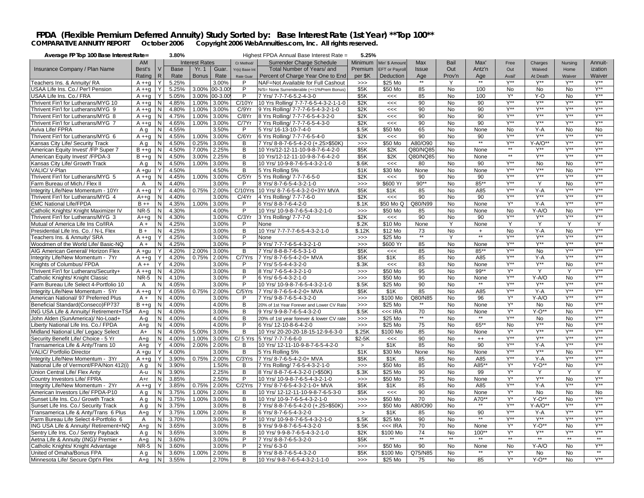### FPDA (Flexible Premium Deferred Annuity) Study Sorted by: Base Interest Rate (1st Year) \*\* Top 100\*\*<br>COMPARATIVE ANNUITY REPORT October 2006 Copyright 2006 WebAnnuities.com, Inc. All rights reserved.

| Average FP Top 100 Base Interest Rate=      |             |              | 3.80% |                       |         |                | Highest FPDA Annual Base Interest Rate =  | 5.25%   |                      |                 |                |            |                  |                  |                  |                  |
|---------------------------------------------|-------------|--------------|-------|-----------------------|---------|----------------|-------------------------------------------|---------|----------------------|-----------------|----------------|------------|------------------|------------------|------------------|------------------|
|                                             | AM          |              |       | <b>Interest Rates</b> |         | Cr Method/     | Surrender Charge Schedule                 | Minimum | Min' \$ Amount       | Max             | Bail           | Max'       | Free             | Charges          | Nursing          | Annuit-          |
| Insurance Company / Plan Name               | Best's      | $\vee$       | Base  | Yr. 1                 | Guar.   | Yr(s) Base Int | Total Number of Years/ and                | Premium | <b>EFT</b> or Payrol | <b>Issue</b>    | Out            | Antz'n     | Out              | Waived           | Home             | ization          |
|                                             | Rating      | $\mathsf{R}$ | Rate  | <b>Bonus</b>          | Rate    | Rate Guar      | Percent of Charge Year One to End         | per \$K | Deduction            | Age             | Prov'n         | Age        | Avail'           | At Death         | Waiver           | Waiver           |
|                                             |             |              |       |                       |         |                |                                           |         |                      | $***$           |                | $***$      |                  |                  |                  |                  |
| Teachers Ins. & Annuity/ RA                 | $A + g$     | Y            | 5.25% |                       | 3.00%   | P              | NAF=Not Available for Full Cashout        | >>      | \$25 Mo              |                 | Y              |            | $Y^{\star\star}$ | Y**              | Y**              | $Y^{\star\star}$ |
| USAA Life Ins. Co./ Per'l Pension           | $A + g$     | Y            | 5.25% | 3.00%                 | 00-3.00 | P              | N/S= None Surrenderable (+=1%Prem Bonus)  | \$5K    | \$50 Mo              | 85              | No             | 100        | <b>No</b>        | <b>No</b>        | <b>No</b>        | $Y^{\star\star}$ |
| JSAA Life Ins. Co./ FRA                     | $A + q$     |              | 5.05% | 3.00%                 | 00-3.00 | P              | 7 Yrs/ 7-7-7-6-5.2-4-3-0                  | \$5K    | <<                   | 85              | No             | 100        | Y*               | Y-O              | No               | $V^{\ast\ast}$   |
| Thrivent Fin'l for Lutherans/MYG 10         | $A + q$     | N            | 4.85% | 1.00%                 | 3.00%   | C/10Yr         | 10 Yrs Rolling/ 7-7-7-6-5-4-3-2-1-1-0     | \$2K    | <<                   | 90              | No             | 90         | Y**              | Y**              | Y**              | $Y^{\ast\ast}$   |
| Thrivent Fin'l for Lutherans/MYG 9          | $A + q$     | N            | 4.80% | 1.00%                 | 3.00%   | C/9Yr          | 9 Yrs Rolling/ 7-7-7-6-5-4-3-2-1-0        | \$2K    | <<                   | 90              | No             | 90         | $Y^{\star\star}$ | $Y^{\star\star}$ | $Y^{\star\star}$ | $Y^{\star\star}$ |
| Thrivent Fin'l for Lutherans/MYG 8          | $A + q$     | N            | 4.75% | 1.00%                 | 3.00%   | C/8Yr          | 8 Yrs Rolling/ 7-7-7-6-5-4-3-2-0          | \$2K    | <<                   | 90              | No             | 90         | <b>V**</b>       | <b>V**</b>       | <b>V**</b>       | $V^{\star\star}$ |
| Thrivent Fin'l for Lutherans/MYG 7          | $A + q$     | N            | 4.65% | 1.00%                 | 3.00%   | C/7Yr          | 7 Yrs Rolling/ 7-7-7-6-5-4-3-0            | \$2K    | <<                   | 90              | No             | 90         | $Y^{\star\star}$ | Y**              | Y**              | Y**              |
| Aviva Life/ FPRA                            | A g         | N            | 4.55% |                       | 3.50%   | P              | 5 Yrs/ 16-13-10-7-4-0                     | \$.5K   | \$50 Mo              | 65              | N <sub>o</sub> | None       | <b>No</b>        | $Y - A$          | <b>No</b>        | <b>No</b>        |
|                                             |             |              |       |                       |         |                |                                           |         |                      |                 |                |            | $Y^{\ast\ast}$   | $Y^{\ast\ast}$   | $Y^{\ast\ast}$   |                  |
| Thrivent Fin'l for Lutherans/MYG 6          | $A + q$     | $\mathsf{N}$ | 4.55% | 1.00%                 | 3.00%   | C/6Yr          | 6 Yrs Rolling/ 7-7-7-6-5-4-0              | \$2K    | <<                   | 90              | No             | 90<br>$**$ |                  |                  |                  | $Y^{\star\star}$ |
| Kansas City Life/ Security Track            | A q         | N            | 4.50% | 0.25%                 | 3.00%   | B              | 7 Yrs/ 8-8-7-6-5-4-2-0 (+.25>\$50K)       | >>      | \$50 Mo              | A80/O90         | <b>No</b>      |            | $Y^{\star\star}$ | $Y-A/O^*$        | $Y^{\ast\ast}$   | $Y^{\ast\ast}$   |
| American Equity Invest' /FP Super 7         | $B + +q$    | N            | 4.50% | 7.00%                 | 2.25%   | B              | 10 Yrs/12-12-11-10-9-8-7-6-4-2-0          | \$5K    | \$2K                 | Q80/NQ85        | No             | None       |                  | Y**              | Y**              | $Y^{**}$         |
| American Equity Invest' /FPDA-3             | $B + +q$    | N            | 4.50% | 3.00%                 | 2.25%   | B              | 10 Yrs/12-12-11-10-9-8-7-6-4-2-0          | \$5K    | \$2K                 | Q80/NQ85        | No             | None       | $**$             | Y**              | <b>V**</b>       | Y**              |
| Kansas City Life/ Growth Track              | Aq          | N            | 4.50% | 1.00%                 | 3.00%   | B              | 10 Yrs/ 10-9-8-7-6-5-4-3-2-1-0            | \$.6K   | <<                   | 80              | No             | 90         | $Y^{\star\star}$ | No               | No               | $Y^{\ast\ast}$   |
| VALIC/V-Plan                                | A +qu       | Y            | 4.50% |                       | 4.50%   | B              | 5 Yrs Rolling 5%                          | \$1K    | \$30 Mo              | None            | No             | None       | $Y^{\ast\ast}$   | Y**              | No               | $Y^{\star\star}$ |
| Thrivent Fin'l for Lutherans/MYG 5          | $A + g$     | N            | 4.45% | 1.00%                 | 3.00%   | C/5Yr          | 5 Yrs Rolling/ 7-7-7-6-5-0                | \$2K    | <<                   | 90              | No             | 90         | $Y^{\ast\ast}$   | Y**              | Y**              | $Y^{\ast\ast}$   |
| Farm Bureau of Mich./ Flex II               | Α           | N            | 4.40% |                       | 3.00%   | P              | 8 Yrs/ 8-7-6-5-4-3-2-1-0                  | $>>>$   | \$600 Yr             | $90**$          | No             | 85**       | $Y^{\ast\ast}$   | Y                | No               | $Y^{\ast\ast}$   |
| Integrity Life/New Momentum - 10Yr          | $A + q$     | Y            | 4.40% | 0.75%                 | 2.00%   | C/10Yrs        | 10 Yrs/ 8-7-6-5-4-3-2-0+3Yr MVA           | \$5K    | \$1K                 | 85              | No             | A85        | Y**              | $Y-A$            | <b>V**</b>       | $Y^{\star\star}$ |
|                                             |             |              |       |                       |         |                |                                           |         |                      |                 |                |            | $Y^{\star\star}$ | $Y^{\star\star}$ | <b>V**</b>       | $Y^{\star\star}$ |
| Thrivent Fin'l for Lutherans/MYG 4          | $A++q$      | N            | 4.40% |                       | 3.00%   | C/4Yr          | 4 Yrs Rolling/ 7-7-7-6-0                  | \$2K    | <<                   | 90              | No             | 90         |                  |                  | Y**              |                  |
| <b>EMC National Life/FPDA</b>               | $B + +$     | N            | 4.35% | 1.00%                 | 3.00%   | P              | 6 Yrs/ 8-8-7-6-4-2-0                      | \$.1K   | \$50 Mo Q            | Q80/N99         | No             | None       | $Y^*$            | $Y-A$            |                  | $Y^{\star\star}$ |
| Catholic Knights/ Knight Maximizer IV       | <b>NR-5</b> | N            | 4.30% |                       | 4.00%   | P              | 10 Yrs/ 10-9-8-7-6-5-4-3-2-1-0            | $>>>$   | \$50 Mo              | 85              | No             | None       | <b>No</b>        | $Y-A/O$          | <b>No</b>        | $Y^{\ast\ast}$   |
| Thrivent Fin'l for Lutherans/MYG 3          | $A++q$      | N            | 4.30% |                       | 3.00%   | C/3Yr          | 3 Yrs Rolling/ 7-7-7-0                    | \$2K    | <<                   | 90              | <b>No</b>      | 90         | $Y^{\star\star}$ | $Y^{\ast\ast}$   | $Y^{\star\star}$ | Y**              |
| Mutual of America Life Ins Co/IRA           | $A +$       | N            | 4.25% |                       | 3.00%   | P              | None                                      | \$.2K   | \$10 Mo              | None            | Y              | None       | Y                | Y                | Y                | Y                |
| Presidential Life Ins. Co. / N-L Flex       | $B +$       | N            | 4.25% |                       | 3.00%   | $\overline{B}$ | 10 Yrs/ 7-7-7-7-6-5-4-3-2-1-0             | \$.12K  | \$12 Mo              | 73              | No.            | $+$        | <b>No</b>        | $Y - A$          | <b>No</b>        | $Y^{\star\star}$ |
| Teachers Ins. & Annuity/ SRA                | $A + q$     | Y            | 4.25% |                       | 3.00%   | P              | None                                      | $>>>$   | \$25 Mo              | $\star\star$    | Υ              | $**$       | $Y^{**}$         | Y**              | $Y^{\ast\ast}$   | $Y^{\star\star}$ |
| <b>Noodmen of the World Life/ Basic-NQ</b>  | $A +$       | N            | 4.25% |                       | 3.00%   | P              | 9 Yrs/ 7-7-7-6-5-4-3-2-1-0                | >>      | \$600 Yr             | 85              | <b>No</b>      | None       | $Y^{\star\star}$ | Y**              | $Y^{\star\star}$ | Y**              |
| AIG American General/ Horizon Flex          | A +qu       | Y            | 4.20% | 2.00%                 | 3.00%   | B              | 7 Yrs/ 8-8-8-7-6-5-3-1-0                  | \$5K    | <<                   | 85              | No             | $85***$    | Y**              | <b>No</b>        | Y**              | $Y^{\star\star}$ |
| Integrity Life/New Momentum - 7Yr           | $A + q$     | Y            | 4.20% | 0.75%                 | 2.00%   | C/7Yrs         | 7 Yrs/ 8-7-6-5-4-2-0+ MVA                 | \$5K    | \$1K                 | 85              | No             | A85        | $Y^{\ast\ast}$   | $Y - A$          | $Y^{\star\star}$ | $Y^{\star\star}$ |
| Knights of Columbus/ FPDA                   | $A + +$     | Y            | 4.20% |                       | 3.00%   | P              | 7 Yrs/ 5-5-4-4-3-2-0                      | \$.3K   | <<                   | 83              | No             | None       | $Y^{\ast\ast}$   | Y**              | No               | $Y^{\ast\ast}$   |
| Thrivent Fin'l for Lutherans/Security+      | $A + g$     | N            | 4.20% |                       | 3.00%   | В              | 8 Yrs/ 7-6-5-4-3-2-1-0                    | $>>>$   | \$50 Mo              | 95              | No             | 99**       | $Y^*$            | Y                | Y                | $Y^{\ast\ast}$   |
| Catholic Knights/ Knight Classic            | <b>NR-5</b> | N            | 4.10% |                       | 3.00%   | P              | 6 Yrs/ 6-5-4-3-2-1-0                      |         | \$50 Mo              | 90              | No             | None       | Y**              | $Y-A/O$          | <b>No</b>        | $Y^{\star\star}$ |
|                                             |             |              |       |                       |         | P              |                                           | $>>>$   |                      | 90              |                | $***$      | $Y^{\star\star}$ | $Y^{\star\star}$ | $Y^{\star\star}$ | $Y^{**}$         |
| Farm Bureau Life Select 4-Portfolio 10      | A           | N            | 4.05% |                       | 3.00%   |                | 10 Yrs/ 10-9-8-7-6-5-4-3-2-1-0            | \$.5K   | \$25 Mo              |                 | No             |            | $Y^{\ast\ast}$   |                  | Y**              | Y**              |
| Integrity Life/New Momentum - 5Yr           | $A + q$     | Y            | 4.05% | 0.75%                 | 2.00%   | C/5Yrs         | 7 Yrs/ 8-7-6-5-4-2-0+ MVA                 | \$5K    | \$1K                 | 85              | <b>No</b>      | A85        |                  | $Y-A$            |                  |                  |
| American National/ 97 Preferred Plus        | $A +$       | N            | 4.00% |                       | 3.00%   | P              | 7 Yrs/ 9-8-7-6-5-4-3-2-0                  | >>      | \$100 Mo             | Q80/N85         | No             | 96         | $Y^*$            | $Y-A/O$          | Y**              | $Y^{\ast\ast}$   |
| Beneficial Standard(Conseco)FP737           | $B + +q$    | N            | 4.00% |                       | 4.00%   | B              | 20% of 1st Year Forever and Lower CV Rate | $>>>$   | \$25 Mo              |                 | <b>No</b>      | None       | Y*               | <b>No</b>        | <b>No</b>        | Y**              |
| ING USA Life & Annuity/ Retirement+TS/      | A+q         | N            | 4.00% |                       | 3.00%   | B              | 9 Yrs/ 9-9-8-7-6-5-4-3-2-0                | \$.5K   | $<<$ IRA             | 70              | No             | None       | $Y^*$            | $Y-O^*$          | <b>No</b>        | Y**              |
| John Alden (SunAmerica)/ No-Load+           | A-g         | N            | 4.00% |                       | 4.00%   | В              | 20% of 1st year forever & lower CV rate   | $>>>$   | \$25 Mo              | $**$            | No             |            | $Y^{**}$         | No               | No               | $Y^{\star\star}$ |
| Liberty National Life Ins. Co./ FPDA        | $A + q$     | N            | 4.00% |                       | 4.00%   | P              | 6 Yrs/ 12-10-8-6-4-2-0                    | $>>>$   | \$25 Mo              | 75              | No             | $65***$    | No               | Y**              | No               | $Y^{\ast\ast}$   |
| <b>Aidland National Life/ Legacy Select</b> | $A+$        | N            | 4.00% | 5.00%                 | 3.00%   | В              | 10 Yrs/ 20-20-20-18-15-12-9-6-3-0         | \$.25K  | \$100 Mo             | 85              | No             | None       | Y*               | Y**              | $Y^{\star\star}$ | $Y^{\star\star}$ |
| Security Benefit Life/ Choice - 5 Yr        | $A + q$     | N            | 4.00% | 1.00%                 | 3.00%   | $C/5$ Yrs      | 5 Yrs/ 7-7-7-6-6-0                        | $$2-5K$ | <<                   | 90              | No             | $^{++}$    | $Y^{\star\star}$ | Y**              | <b>Y**</b>       | $Y^{\star\star}$ |
| Transamerica Life & Anty/Trans 10           | A+q         | <sup>Y</sup> | 4.00% | 2.00%                 | 2.00%   | B              | 10 Yrs/ 12-11-10-9-8-7-6-5-4-2-0          | $\, >$  | \$1K                 | 85              | No             | 90         | $Y^{\ast\ast}$   | $Y-A$            | Y**              | $Y^{\star\star}$ |
| <b>VALIC/ Portfolio Director</b>            | $A + gu$    | Y            | 4.00% |                       | 3.00%   | В              | 5 Yrs Rolling 5%                          | \$1K    | \$30 Mo              | None            | No             | None       | Y**              | Y**              | No               | $Y^{\ast\ast}$   |
| Integrity Life/New Momentum - 3Yr           | $A + q$     | Y            | 3.90% | 0.75%                 | 2.00%   | C/3Yrs         | 7 Yrs/ 8-7-6-5-4-2-0+ MVA                 | \$5K    | \$1K                 | 85              | No             | A85        | $Y^{\star\star}$ | $Y-A$            | <b>Y**</b>       | $V^{\ast\ast}$   |
| National Life of Vermont/FPA/Non 412(i)     |             | N            |       |                       |         | в              |                                           |         |                      |                 | No             | A85*       | Y*               | Y-O*'            | <b>No</b>        | $Y^{\star\star}$ |
|                                             | A g         |              | 3.90% |                       | 1.50%   |                | 7 Yrs Rolling/ 7-6-5-4-3-2-1-0            | $>>>$   | \$50 Mo              | 85              |                |            | $Y^*$            | Y                | Y                | Y                |
| Union Central Life/ Flex Anty               | A-u         | $\mathsf{N}$ | 3.90% |                       | 2.25%   | B              | 8 Yrs/ 8-8-7-6-4-3-2-0 (>\$50K)           | \$.3K   | \$25 Mo              | 90              | No             | 99         |                  | Y**              |                  | Y**              |
| Country Investors Life/ FPRA                | $A+r$       | N            | 3.85% |                       | 2.50%   | P              | 10 Yrs/ 10-9-8-7-6-5-4-3-2-1-0            | $>>>$   | \$50 Mo              | $\overline{75}$ | No             | None       | $Y^*$            |                  | N <sub>o</sub>   |                  |
| Integrity Life/New Momentum - 2Yr           | $A + q$     | Y            | 3.85% | 0.75%                 | 2.00%   | C/2Yrs         | 7 Yrs/ 8-7-6-5-4-3-2-1-0+ MVA             | \$5K    | \$1K                 | 85              | No             | A85        | $Y^{\ast\ast}$   | $Y - A$          | $Y^{\ast\ast}$   | $Y^{\star\star}$ |
| American Investors Life/ FPDA-P10           | A q         | N            | 3.75% | 1.00%                 | 2.00%   | B              | 10 Yrs/ 12-12-11-10-9-8-7-6-5-3-0         | \$5K    | <<                   | 90              | <b>No</b>      | None       | $Y^*$            | <b>No</b>        | <b>No</b>        | N <sub>o</sub>   |
| Sunset Life Ins. Co./ Growth Track          | A q         | N            | 3.75% | 1.00%                 | 3.00%   | B              | 10 Yrs/ 10-9-7-6-5-4-3-2-1-0              | >>      | \$50 Mo              | $\overline{70}$ | No.            | A70**      | $Y^*$            | $Y-O^*$          | <b>No</b>        | $Y^{\ast\ast}$   |
| Sunset Life Ins. Co./ Security Track        | A q         | N            | 3.75% |                       | 3.00%   | B              | 7 Yrs/ 8-8-7-6-5-4-2-0 (+.25>\$50K)       | >>      | \$50 Mo              | A80/O90         | No             |            | $Y^{\ast\ast}$   | $Y-A/O^*$        | $Y^{\ast\ast}$   | $V^{\star\star}$ |
| Transamerica Life & Anty/Trans 6 Plus       | A+a         | Y            | 3.75% | 1.00%                 | 2.00%   | B              | 6 Yrs/ 8-7-6-5-4-3-2-0                    | $\geq$  | \$1K                 | 85              | No.            | 90         | $Y^{\ast\ast}$   | $Y - A$          | Y**              | $Y^{\ast\ast}$   |
| arm Bureau Life Select 4-Portfolio 6        | Α           | N            | 3.70% |                       | 3.00%   | P              | 10 Yrs/ 10-9-8-7-6-5-4-3-2-1-0            | \$.5K   | \$25 Mo              | 90              | No             | $***$      | $Y^{\star\star}$ | Y**              | $Y^{\star\star}$ | $Y^{\ast\ast}$   |
| ING USA Life & Annuity/ Retirement+NQ       | A+q         | N            | 3.65% |                       | 3.00%   | В              | 9 Yrs/ 9-9-8-7-6-5-4-3-2-0                | \$.5K   | $<<$ IRA             | 70              | No             | None       | Y*               | $Y-O**$          | No               | $Y^{\star\star}$ |
| Sentry Life Ins. Co./ Sentry Payback        | A g         | N            | 3.65% |                       | 3.00%   | B              | 10 Yrs/ 9-9-8-7-6-5-4-3-2-1-0             | \$2K    | \$100 Mo             | 74              | No             | $100**$    | Y*               | Y**              | $Y^{\star\star}$ | $V^{\ast\ast}$   |
| Aetna Life & Annuity (ING)/ Premier +       | $A + q$     | $\mathsf{N}$ | 3.60% |                       | 3.00%   | P              | 7 Yrs/ 8-8-7-6-5-3-2-0                    | \$5K    | $***$                | $**$            | $**$           | $**$       | $**$             | $**$             | $**$             | $**$             |
| Catholic Knights/ Knight Advantage          | <b>NR-5</b> | N            | 3.60% |                       | 3.00%   | P              | 2 Yrs/ 6-3-0                              | $>>>$   | \$50 Mo              | 90              | $\overline{N}$ | None       | <b>No</b>        | $Y-A/O$          | $\overline{N}$   | $Y^{\ast\ast}$   |
| United of Omaha/Bonus FPA                   | A g         | N            | 3.60% | 1.00%                 | 2.00%   | B              | 9 Yrs/ 8-8-7-6-5-4-3-2-0                  | \$5K    | \$100 Mo             | Q75/N85         | No.            |            | Y*               | No               | No               |                  |
|                                             |             |              |       |                       |         |                |                                           |         |                      |                 |                | 85         | $Y^*$            |                  |                  | $V^{\ast\ast}$   |
| Minnesota Life/ Secure Opt'n Flex           | $A+q$       | N            | 3.55% |                       | 2.70%   | B              | 10 Yrs/ 9-8-7-6-5-4-3-2-1-1-0             | $>>>$   | \$25 Mo              | 75              | <b>No</b>      |            |                  | $Y-O**$          | <b>No</b>        |                  |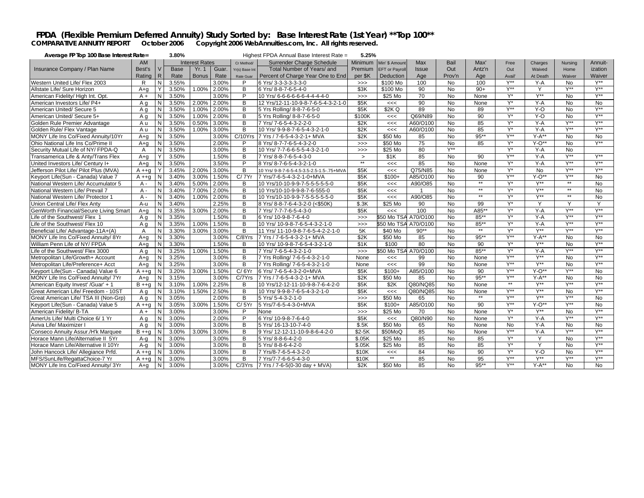### FPDA (Flexible Premium Deferred Annuity) Study Sorted by: Base Interest Rate (1st Year) \*\* Top 100\*\*<br>COMPARATIVE ANNUITY REPORT October 2006 Copyright 2006 WebAnnuities.com, Inc. All rights reserved.

| Average FP Top 100 Base Interest Rate= |                |              | 3.80%       |                       |       |                | Highest FPDA Annual Base Interest Rate =  | 5.25%          |                       |              |                |              |                                    |                         |                               |                               |
|----------------------------------------|----------------|--------------|-------------|-----------------------|-------|----------------|-------------------------------------------|----------------|-----------------------|--------------|----------------|--------------|------------------------------------|-------------------------|-------------------------------|-------------------------------|
|                                        | <b>AM</b>      |              |             | <b>Interest Rates</b> |       | Cr Method/     | Surrender Charge Schedule                 | <b>Minimum</b> | Min' \$ Amount        | Max          | Bail           | Max'         | Free                               | Charges                 | Nursina                       | Annuit-                       |
| Insurance Company / Plan Name          | Best's         |              | <b>Base</b> | <b>Yr. 1</b>          | Guar. | Yr(s) Base Int | Total Number of Years/ and                | Premium        | <b>EFT</b> or Payroll | <b>Issue</b> | Out            | Antz'n       | Out                                | Waived                  | Home                          | ization                       |
|                                        | Rating         | $\mathsf{R}$ | Rate        | <b>Bonus</b>          | Rate  | Rate Guar      | Percent of Charge Year One to End         | per \$K        | Deduction             | Age          | Prov'n         | Age          | Avail                              | At Death                | Waiver                        | Waiver                        |
| Western United Life/ Flex 2003         | R              | N            | 3.55%       |                       | 3.00% | P              | 6 Yrs/ 3-3-3-3-3-3-0                      | >>             | \$100 Mo              | 100          | No             | 100          | $Y^{\star\star}$                   | $Y-A$                   | <b>No</b>                     | $Y^{\star\star}$              |
| Allstate Life/ Sure Horizon            | $A + q$        |              | 3.50%       | 1.00%                 | 2.00% | в              | 6 Yrs/ 8-8-7-6-5-4-0                      | \$3K           | \$100 Mo              | 90           | No             | $90+$        | $Y^{\star\star}$                   | Y                       | $V^{\star\star}$              | $V^{\star\star}$              |
| American Fidelity/ High Int. Opt.      | $A +$          | N            | 3.50%       |                       | 3.00% | P              | 10 Yrs/ 6-6-6-6-6-6-4-4-4-4-0             | >>             | \$25 Mo               | 70           | No             | None         | $Y^*$                              | Y**                     | <b>No</b>                     | $V^{\ast\ast}$                |
| American Investors Life/ P4+           | A a            | N            | 3.50%       | 2.00%                 | 2.00% | B              | 12 Yrs/12-11-10-9-8-7-6-5-4-3-2-1-0       | \$5K           | <<                    | 90           | <b>No</b>      | None         | $Y^*$                              | $Y - A$                 | <b>No</b>                     | <b>No</b>                     |
| American United/ Secure 5              | A q            | N            | 3.50%       | 1.00%                 | 2.00% | B              | 5 Yrs Rolling/ 8-8-7-6-5-0                | \$5K           | \$2KQ                 | 89           | $\overline{N}$ | 89           | $Y^{\star\star}$                   | $Y-0$                   | <b>No</b>                     | <b>V**</b>                    |
| American United/ Secure 5+             | A a            | N            | 3.50%       | 1.00%                 | 2.00% | В              | 5 Yrs Rolling/ 8-8-7-6-5-0                | \$100K         | <<                    | Q69/N89      | No             | 90           | $Y^*$                              | $Y - O$                 | <b>No</b>                     | Y**                           |
| Golden Rule Premier Advantage          | A u            | N            | 3.50%       | 0.50%                 | 3.00% | В              | 7 Yrs/ 7-6-5-4-3-2-2-0                    | \$2K           | <<                    | A60/O100     | N <sub>o</sub> | 85           | $Y^*$                              | $Y - A$                 | Y**                           | Y**                           |
| Golden Rule/ Flex Vantage              | A u            | N            | 3.50%       | 1.00%                 | 3.00% | B              | 10 Yrs/ 9-9-8-7-6-5-4-3-2-1-0             | \$2K           | <<                    | A60/O100     | <b>No</b>      | 85           | $Y^*$                              | $Y - A$                 | $V^{\ast\ast}$                | Y**                           |
| MONY Life Ins Co/Fixed Annuity/10Yr    | A+q            | N            | 3.50%       |                       | 3.00% | C/10Yrs        | 7 Yrs / 7-6-5-4-3-2-1+ MVA                | \$2K           | \$50 Mo               | 85           | <b>No</b>      | $95***$      | <b>V**</b>                         | $Y-A**$                 | <b>No</b>                     | <b>No</b>                     |
| Ohio National Life Ins Co/Prime II     | A+a            | N            | 3.50%       |                       | 2.00% | P              | 8 Yrs/ 8-7-7-6-5-4-3-2-0                  | >>             | \$50 Mo               | 75           | No             | 85           | $Y^*$                              | $Y-O**$                 | <b>No</b>                     | $V^{\star\star}$              |
| Security Mutual Life of NY/ FPDA-Q     | $\overline{A}$ | N            | 3.50%       |                       | 3.00% | B              | 10 Yrs/ 7-7-6-6-5-5-4-3-2-1-0             | >>             | \$25 Mo               | 80           | $V^{\ast\ast}$ |              | $Y^*$                              | $Y - A$                 | <b>No</b>                     |                               |
| Transamerica Life & Anty/Trans Flex    | $A + q$        |              | 3.50%       |                       | 1.50% | B              | 7 Yrs/ 8-8-7-6-5-4-3-0                    | $\geq$         | \$1K                  | 85           | No             | 90           | $Y^{\star\star}$                   | $Y - A$                 | Y**                           | Y**                           |
| United Investors Life/ Century I+      | $A + a$        | N            | 3.50%       |                       | 3.50% | P              | 8 Yrs/ 8-7-6-5-4-3-2-1-0                  | $**$           | <<                    | 85           | <b>No</b>      | None         | $Y^*$                              | $Y - A$                 | <b>Y**</b>                    | $Y^{\ast\ast}$                |
| Jefferson Pilot Life/ Pilot Plus (MVA) | $A + a$        |              | 3.45%       | 2.00%                 | 3.00% | B              | 10 Yrs/ 9-8-7-6-5-4.5-3.5-2.5-1.5-.75+MVA | \$5K           | <<                    | Q75/N85      | <b>No</b>      | None         | $Y^*$                              | <b>No</b>               | $V^{\star\star}$              | $V^{\star\star}$              |
| Keyport Life(Sun - Canada) Value 7     | $A + q$        |              | 3.40%       | 3.00%                 | 1.50% | C/7Yr          | 7 Yrs/7-6-5-4-3-2-1-0+MVA                 | \$5K           | $$100+$               | A85/O100     | <b>No</b>      | 90           | <b>V**</b>                         | $Y-O^{**}$              | V**                           | <b>No</b>                     |
| National Western Life/ Accumulator 5   | $A -$          | N            | 3.40%       | 5.00%                 | 2.00% | B              | 10 Yrs/10-10-9-9-7-5-5-5-5-5-0            | \$5K           | <<                    | A90/O85      | No             | $**$         | Y*                                 | <b>V**</b>              | $**$                          | N <sub>o</sub>                |
| National Western Life/ Prevail 7       | $A -$          | N            | 3.40%       | 7.00%                 | 2.00% | B              | 10 Yrs/10-10-9-9-8-7-6-555-0              | \$5K           | <<                    |              | No             | $**$         | $Y^*$                              | $Y^{\star\star}$        | $***$                         | <b>No</b>                     |
| National Western Life/ Protector 1     | $A -$          | N            | 3.40%       | 1.00%                 | 2.00% | в              | 10 Yrs/10-10-9-9-7-5-5-5-5-5-0            | \$5K           | <<                    | A90/O85      | No             | $\star\star$ | $Y^*$                              | Y**                     | $**$                          | <b>No</b>                     |
| Union Central Life/ Flex Anty          | A-u            | N            | 3.40%       |                       | 2.25% | в              | 8 Yrs/ 8-8-7-6-4-3-2-0 (<\$50K)           | \$.3K          | \$25 Mo               | 90           | N <sub>o</sub> | 99           | $Y^*$                              | Y                       | Y                             | Y                             |
| GenWorth Financial/Secure Living Smart | $A + a$        | N            | 3.35%       | 3.00%                 | 2.00% | B              | 7 Yrs/ 7-7-7-6-5-4-3-0                    | \$5K           | <<                    | 100          | <b>No</b>      | A85**        | $Y^*$                              | $Y-A$                   | $V^{\ast\ast}$                | $Y^{\star\star}$              |
| Life of the Southwest/ Flex 1          | A q            | N            | 3.35%       |                       | 1.50% | B              | 6 Yrs/ 10-9-8-7-6-4-0                     | >>             | \$50 Mo TSA           | A70/O100     | <b>No</b>      | $85***$      | $Y^*$                              | $Y - A$                 | V**                           | Y**                           |
| Life of the Southwest/ Flex 10         | A q            | N            | 3.35%       | 1.00%                 | 1.50% | в              | 10 Yrs/ 10-9-8-7-6-5-4-3-2-1-0            | $>>>$          | \$50 Mo TSA           | A70/O100     | $\overline{N}$ | 85**         | Y*                                 | $Y-A$                   | Y**                           | $Y^{\ast\ast}$                |
| Beneficial Life/ Advantage-11A+(A)     | $\overline{A}$ | N            | 3.30%       | 3.00%                 | 3.00% | B              | 11 Yrs/ 11-10-9-8-7-6-5-4-2-2-1-0         | 5K             | \$40 Mo               | $90**$       | N <sub>o</sub> | $**$         | $Y^*$                              | $Y^{\star\star}$        | $Y^{\ast\ast}$                | $Y^{\star\star}$              |
| MONY Life Ins Co/Fixed Annuity/ 8Yr    | $A + q$        | N            | 3.30%       |                       | 3.00% | C/8Yrs         | 7 Yrs / 7-6-5-4-3-2-1+ MVA                | \$2K           | \$50 Mo               | 85           | No             | $95***$      | Y**                                | $Y-A**$                 | <b>No</b>                     | <b>No</b>                     |
| William Penn Life of NY/ FPDA          | A+a            | N            | 3.30%       |                       | 1.50% | B              | 10 Yrs/ 10-9-8-7-6-5-4-3-2-1-0            | \$1K           | \$100                 | 80           | <b>No</b>      | 90           | $Y^*$                              | $Y^{\star\star}$        | <b>No</b>                     | $Y^{\star\star}$              |
| Life of the Southwest/ Flex 3000       | A a            | N            | 3.25%       | 1.00%                 | 1.50% | B              | 7 Yrs/ 7-6-5-4-3-2-1-0                    | >>             | \$50 Mo TSA A70/O100  |              | $\overline{N}$ | $85***$      | $Y^*$                              | $Y-A$                   | $V^{\star\star}$              | $V^{\star\star}$              |
| Metropolitan Life/Growth+ Account      | $A + q$        | N            | 3.25%       |                       | 3.00% | B              | 7 Yrs Rolling/ 7-6-5-4-3-2-1-0            | None           | <<                    | 99           | No             | None         | $Y^{\star\star}$                   | $Y^{\star\star}$        | <b>No</b>                     | $V^{\star\star}$              |
| Metropolitan Life/Preference+ Acct     | $A + q$        | N            | 3.25%       |                       | 3.00% | B              | 7 Yrs Rolling/ 7-6-5-4-3-2-1-0            | None           | <<                    | 99           | No             | None         | $Y^{\ast\ast}$                     | Y**                     | No                            | $Y^{\ast\ast}$                |
| Keyport Life(Sun - Canada) Value 6     | $A + a$        | N            | 3.20%       | 3.00%                 | 1.50% | C/6Yr          | 6 Yrs/ 7-6-5-4-3-2-0+MVA                  | \$5K           | $$100+$               | A85/O100     | N <sub>o</sub> | 90           | $Y^{\ast\ast}$                     | $Y - O^{**}$            | $Y^{\ast\ast}$                | <b>No</b>                     |
| MONY Life Ins Co/Fixed Annuity/ 7Yr    | $A + q$        | N            | 3.15%       |                       | 3.00% | C/7Yrs         | 7 Yrs / 7-6-5-4-3-2-1+ MVA                | \$2K           | \$50 Mo               | 85           | No             | $95***$      | Y**<br>$\star\star$                | $Y-A**$                 | <b>No</b>                     | $\overline{N}$                |
| American Equity Invest' / Guar' + 1    | $B + +g$       | N            | 3.10%       | 1.00%                 | 2.25% | B              | 10 Yrs/12-12-11-10-9-8-7-6-4-2-0          | \$5K           | \$2K                  | Q80/NQ85     | <b>No</b>      | None         |                                    | Y**                     | Y**                           | $V^{\star\star}$              |
| Great American Life/ Freedom - 10ST    | A a            | N            | 3.10%       | 1.50%                 | 2.50% | B              | 10 Yrs/ 9-9-8-7-6-5-4-3-2-1-0             | \$5K           | <<                    | Q80/NQ85     | No             | None<br>$**$ | $Y^{\star\star}$<br>$V^{\ast\ast}$ | Y**<br>$V^{\star\star}$ | <b>No</b><br>$V^{\star\star}$ | $V^{\star\star}$              |
| Great American Life/ TSA III (Non-Grp) | A q            | N            | 3.05%       |                       | 2.00% | B              | 5 Yrs/ 5-4-3-2-1-0                        | >>             | \$50 Mo               | 65           | <b>No</b>      |              |                                    |                         | <b>V**</b>                    | <b>No</b>                     |
| Keyport Life(Sun - Canada) Value 5     | $A + q$        | N            | 3.05%       | 3.00%                 | 1.50% | C/5Yr          | 5 Yrs/7-6-5-4-3-0+MVA                     | \$5K           | $$100+$               | A85/O100     | $\overline{N}$ | 90           | $Y^{\ast\ast}$                     | $Y - O^{**}$            |                               | <b>No</b>                     |
| American Fidelity/ B-TA                | $A +$          | N            | 3.00%       |                       | 3.00% | P              | None                                      | >>             | \$25 Mo               | 70           | No             | None         | $Y^*$                              | $Y^{\ast\ast}$          | <b>No</b><br>$V^{\star\star}$ | $Y^{\ast\ast}$<br>Y**         |
| AmerUs Life/ Multi Choice 6/ 1 Yr      | A a            | N            | 3.00%       |                       | 2.00% | P              | 6 Yrs/ 10-9-8-7-6-4-0                     | \$5K           | <<                    | Q80/N90      | No             | None         | $Y^*$                              | $Y-A$                   |                               |                               |
| Aviva Life/ Maximizer I                | A q            | N            | 3.00%       |                       | 3.00% | В              | 5 Yrs/ 16-13-10-7-4-0                     | \$.5K          | \$50 Mo               | 65           | No             | None         | No<br>$V^{\star\star}$             | $Y - A$                 | <b>No</b><br>$V^{\star\star}$ | <b>No</b><br>$V^{\star\star}$ |
| Conseco Annuity Assur./H'k Marquee     | $B + a$        | N            | 3.00%       | 3.00%                 | 3.00% | B              | 9 Yrs/ 12-12-11-10-9-8-6-4-2-0            | $$2-5K$        | \$50MoQ               | 85           | <b>No</b>      | None         |                                    | $Y - A$                 |                               |                               |
| Horace Mann Life/Alternative II 5Yr    | $A - q$        | N            | 3.00%       |                       | 3.00% | B              | 5 Yrs/ 8-8-6-4-2-0                        | \$.05K         | \$25 Mo               | 85           | No             | 85           | $Y^*$                              | Y                       | <b>No</b>                     | $Y^{\star\star}$              |
| Horace Mann Life/Alternative II 10Yr   | A-q            | N            | 3.00%       |                       | 3.00% | В              | 5 Yrs/ 8-8-6-4-2-0                        | \$.05K         | \$25 Mo               | 85           | No             | 85           | $Y^*$                              | Y                       | <b>No</b>                     | Y**                           |
| John Hancock Life/ Allegiance Prfd.    | $A + q$        | N            | 3.00%       |                       | 3.00% | B              | 7 Yrs/8-7-6-5-4-3-2-0                     | \$10K          | <<<br>$\star\star$    | 84           | No             | 90           | $Y^*$                              | $Y-O$                   | <b>No</b><br><b>V**</b>       | Y**<br>$Y^{\ast\ast}$         |
| MFS/SunLife/RegattaChoice-7 Yr         | $A + q$        | N            | 3.00%       |                       | 3.00% | B              | 7 Yrs/7-7-6-6-5-4-3-0                     | \$10K          |                       | 85           | <b>No</b>      | 95           | $Y^{\star\star}$<br><b>V**</b>     | <b>Y**</b>              |                               |                               |
| MONY Life Ins Co/Fixed Annuity/ 3Yr    | A+q            | N            | 3.00%       |                       | 3.00% | C/3Yrs         | 7 Yrs / 7-6-5(0-30 day + MVA)             | \$2K           | $$50$ Mo              | 85           | No             | $95***$      |                                    | $Y-A**$                 | <b>No</b>                     | <b>No</b>                     |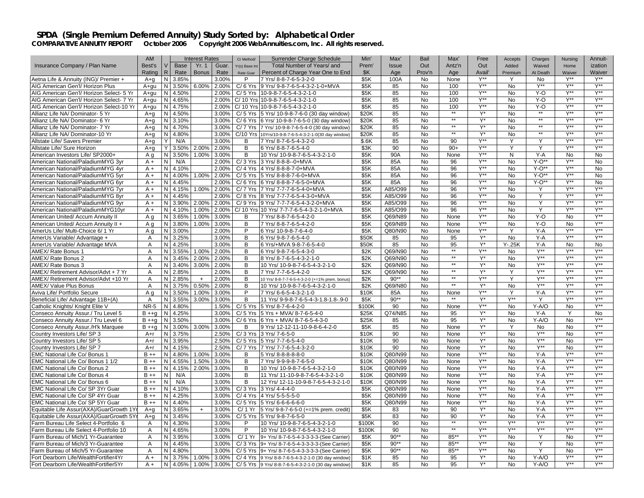|                                          | <b>AM</b>                |                |                      | <b>Interest Rates</b> |       | Cr Method/     | Surrender Charge Schedule                            | Min'           | Max'          | Bail           | Max'         | Free             | Accepts        | Charges                 | Nursing          | Annuit-                 |
|------------------------------------------|--------------------------|----------------|----------------------|-----------------------|-------|----------------|------------------------------------------------------|----------------|---------------|----------------|--------------|------------------|----------------|-------------------------|------------------|-------------------------|
| Insurance Company / Plan Name            | Best's                   | V              | <b>Base</b>          | Yr. 1                 | Guar. | Yr(s) Base Int | Total Number of Years/ and                           | Prem'          | <b>Issue</b>  | Out            | Antz'n       | Out              | Added          | Waived                  | Home             | ization                 |
|                                          | Rating                   | R.             | Rate                 | <b>Bonus</b>          | Rate  | Rate Guar      | Percent of Charge Year One to End                    | \$K            | Age           | Prov'n         | Age          | Avail'           | Premium        | At Death                | Waiver           | Waiver                  |
| Aetna Life & Annuity (ING)/ Premier +    | $A + q$                  | N              | 3.85%                |                       | 3.00% | P              | 7 Yrs/ 8-8-7-6-5-3-2-0                               | \$5K           | 100A          | <b>No</b>      | None         | $Y^{\ast\ast}$   | Y              | <b>No</b>               | $Y^{\ast\ast}$   | $Y^{\ast\ast}$          |
| AIG American Gen'l/ Horizon Plus         | A+qu                     | N              | 3.50%                | 6.00%                 | 2.00% | $C/6$ Yrs      | 9 Yrs/ 9-8-7-6-5-4-3-2-1-0+MVA                       | \$5K           | 85            | No             | 100          | $Y^{\ast\ast}$   | No             | $Y^{**}$                | $Y^*$            | $Y^{**}$                |
| AIG American Gen'l/ Horizon Select- 5 Yr | A+qu                     | N              | 4.50%                |                       | 2.00% | $C/5$ Yrs      | 10-9-8-7-6-5-4-3-2-1-0                               | \$5K           | 85            | <b>No</b>      | 100          | $Y^{\ast\ast}$   | <b>No</b>      | $Y-O$                   | $Y^{\ast\ast}$   | $Y^{\ast\ast}$          |
| AIG American Gen'l/ Horizon Select- 7 Yr | $A+au$                   | N              | 4.65%                |                       | 2.00% |                | C/ 10 Yrs 10-9-8-7-6-5-4-3-2-1-0                     | \$5K           | 85            | <b>No</b>      | 100          | $Y^{\ast\ast}$   | <b>No</b>      | Y-O                     | Y**              | $Y^{\ast\ast}$          |
|                                          |                          | N              |                      |                       |       |                |                                                      | \$5K           |               | No             | 100          | $Y^{\ast\ast}$   |                |                         | $Y^{\star\star}$ | $\overline{Y^{**}}$     |
| AIG American Gen'l/ Horizon Select-10 Yr | A+qu                     |                | 4.75%                |                       | 2.00% |                | C/ 10 Yrs 10-9-8-7-6-5-4-3-2-1-0                     |                | 85            |                | $**$         |                  | No             | Y-O<br>$**$             | Y**              | $Y^{\star\star}$        |
| Allianz Life NA/ Dominator- 5 Yr         | $A + a$                  |                | N 4.50%              |                       | 3.00% |                | C/ 5 Yrs 5 Yrs/ 10-9-8-7-6-0 (30 day window)         | \$20K          | 85            | <b>No</b>      | $**$         | Y*               | <b>No</b>      | $**$                    | Y**              | Y**                     |
| Allianz Life NA/ Dominator- 6 Yr         | $A + a$                  | $\overline{N}$ | 3.10%                |                       | 3.00% |                | C/6 Yrs 6 Yrs/ 10-9-8-7-6-5-0 (30 day window)        | \$20K          | 85            | <b>No</b>      | $\star\star$ | Y*               | N <sub>o</sub> | $\star\star$            |                  |                         |
| Allianz Life NA/ Dominator- 7 Yr         | $A + q$                  | N              | 4.70%                |                       | 3.00% |                | C/ 7 Yrs 7 Yrs/ 10-9-8-7-6-5-4-0 (30 day window)     | \$20K          | 85            | No             | $**$         | Y*               | No             | $**$                    | Y**              | $Y^{\ast\ast}$          |
| Allianz Life NA/ Dominator-10 Yr         | $A + a$                  | $\overline{N}$ | 4.80%                |                       | 3.00% |                | C/10 Yrs 10Yrs/10-9-8-7-6-5-4-3-2-1-0(30 day window) | \$20K          | 85            | N <sub>o</sub> |              | Y*               | No             |                         | Y**              | Y**                     |
| Allstate Life/ Savers Premier            | $A + q$                  | Υ              | N/A                  |                       | 3.00% | В              | 7 Yrs/ 8-7-6-5-4-3-2-0                               | \$.6K          | 85            | No             | 90           | $Y^{\ast\ast}$   | Υ              | Y                       | Y**              | $Y^{\ast\ast}$          |
| Allstate Life/ Sure Horizon              | $A + q$                  | Y              | 3.50%                | 2.00%                 | 2.00% | В              | 6 Yrs/ 8-8-7-6-5-4-0                                 | \$3K           | 90            | No             | $90+$        | $Y^{**}$         | Υ              | Y                       | Y**              | $V^{**}$                |
| American Investors Life/ SP2000+         | A q                      | N              | 3.50%                | 1.00%                 | 3.00% | B              | 10 Yrs/ 10-9-8-7-6-5-4-3-2-1-0                       | \$5K           | 90A           | <b>No</b>      | None         | $Y^{\ast\ast}$   | N              | $Y - A$                 | <b>No</b>        | <b>No</b>               |
| American National/PaladiumMYG 3yr        | $A +$                    | N              | N/A                  |                       | 2.00% | $C/3$ Yrs      | 3 Yrs/ 8-8-8--0+MVA                                  | \$5K           | 85A           | <b>No</b>      | 96           | $Y^{\ast\ast}$   | <b>No</b>      | $Y-O**$                 | Y**              | <b>No</b>               |
| American National/PaladiumMYG 4yr        | $A +$                    | N              | 4.10%                |                       | 2.00% |                | C/ 4 Yrs 4 Yrs/ 8-8-8-7-0+MVA                        | \$5K           | 85A           | No             | 96           | $Y^{\star\star}$ | No             | $Y - \overline{O^{**}}$ | Y**              | No                      |
| American National/PaladiumMYG 5yr        | $A +$                    | N              | 4.00%                | 1.00%                 | 2.00% |                | C/ 5 Yrs 5 Yrs/ 8-8-8-7-6-0+MVA                      | \$5K           | 85A           | <b>No</b>      | 96           | $Y^{\star\star}$ | <b>No</b>      | $Y-O**$                 | $Y^{\star\star}$ | <b>No</b>               |
| American National/PaladiumMYG 6yr        | $A +$                    | N              | 4.45%                |                       | 2.00% | $C/6$ Yrs      | 6 Yrs/ 8-8-8-7-6-5-0+MVA                             | \$5K           | 85A           | No             | 96           | $Y^{\ast\ast}$   | No             | $Y - O^{**}$            | Y**              | No                      |
| American National/PaladiumMYG 7yr        | $A +$                    | N              | 4.15%                | 1.00%                 | 2.00% | C/ 7 Yrs       | 7 Yrs/ 7-7-7-6-5-4-0+MVA                             | \$5K           | A85/O99       | No             | 96           | $Y^{\star\star}$ | No             | Y                       | Y**              | $Y^{\star\star}$        |
| American National/PaladiumMYG 8yr        | $A +$                    | $\overline{N}$ | 4.45%                |                       | 2.00% |                | C/8 Yrs 8 Yrs/ 7-7-7-6-5-4-3-0+MVA                   | \$5K           | A85/O99       | <b>No</b>      | 96           | $Y^{\ast\ast}$   | No.            | Y                       | Y**              | $Y^{\ast\ast}$          |
| American National/PaladiumMYG 9yr        | $A +$                    | N              | 3.90%                | 2.00%                 | 2.00% | C/9 Yrs        | 9 Yrs/ 7-7-7-6-5-4-3-2-0+MVA                         | \$5K           | A85/O99       | No             | 96           | $Y^{\star\star}$ | No             | Y                       | $Y^{\star\star}$ | $Y^{\star\star}$        |
| American National/PaladiumMYG10yr        | $A +$                    | N              | 4.10%                | 1.00%                 | 2.00% |                | C/ 10 Yrs 10 Yrs/ 7-7-7-6-5-4-3-2-1-0+MVA            | \$5K           | A85/O99       | No             | 96           | Y**              | No             | Y                       | Y**              | Y**                     |
| American United/ Accum Annuity II        | A q                      | N              | 3.65%                | 1.00%                 | 3.00% | В              | 7 Yrs/ 8-8-7-6-5-4-2-0                               | \$5K           | Q69/N89       | <b>No</b>      | None         | $Y^{\star\star}$ | No.            | $Y-O$                   | <b>No</b>        | $Y^{\ast\ast}$          |
| American United/ Accum Annuity II +      | A q                      | N              | 3.80%                | 1.00%                 | 3.00% | B              | 7 Yrs/ 8-8-7-6-5-4-2-0                               | \$5K           | Q69/N89       | <b>No</b>      | None         | $Y^{\star\star}$ | No             | $Y-O$                   | No               | $Y^{\ast\ast}$          |
| AmerUs Life/ Multi-Choice 6/ 1 Yr        | A q                      | N              | 3.00%                |                       | 2.00% | P              | 6 Yrs/ 10-9-8-7-6-4-0                                | \$5K           | Q80/N90       | No             | None         | $Y^{\ast\ast}$   | Y              | Y-A                     | $Y^{\star\star}$ | $Y^{\ast\ast}$          |
| AmerUs Variable/ Advantage +             | A                        | N              | 3.25%                |                       | 3.00% | В              | 6 Yrs/ 9-8-7-6-5-4-0                                 | \$50K          | 85            | <b>No</b>      | 95           | Y*               | No.            | $Y - A$                 | $V^{\ast\ast}$   | $V^{\star\star}$        |
| AmerUs Variable/ Advantage MVA           | A                        | N              | 4.25%                |                       | 3.00% | B              | 6 Yrs/+MVA 9-8-7-6-5-4-0                             | \$50K          | 85            | <b>No</b>      | 95           | $Y^*$            | $Y - 25K$      | Y-A                     | No               | <b>No</b>               |
| AMEX/ Rate Bonus 1                       | A                        | N              | 3.55%                | 1.00%                 | 2.00% | B              | 6 Yrs/ 9-8-7-6-5-4-3-0                               | \$2K           | Q69/N90       | <b>No</b>      | $**$         | $Y^{\ast\ast}$   | No.            | $Y^{\ast\ast}$          | $Y^{\star\star}$ | $Y^{\star\star}$        |
| AMEX/ Rate Bonus 2                       | $\overline{A}$           | N              | 3.45%                | 2.00%                 | 2.00% | B              | 8 Yrs/ 8-7-6-5-4-3-2-1-0                             | \$2K           | Q69/N90       | <b>No</b>      | $\star\star$ | $Y^*$            | $\overline{N}$ | <b>Y**</b>              | Y**              | $Y^{\ast\ast}$          |
| AMEX/ Rate Bonus 3                       | $\overline{A}$           | N              | 3.40%                | 3.00%                 | 2.00% | В              | 10 Yrs/ 10-9-8-7-6-5-4-3-2-1-0                       | \$2K           | Q69/N90       | <b>No</b>      | $**$         | Y*               | <b>No</b>      | $Y^{\star\star}$        | $Y^{\ast\ast}$   | $Y^{\star\star}$        |
| AMEX/ Retirement Advisor/Advt + 7 Yr     | A                        | N              | 2.85%                |                       | 2.00% | В              | 7 Yrs/ 7-7-6-5-4-2-0                                 | \$2K           | Q69/N90       | No             | $**$         | $Y^*$            | Y              | $Y^{\ast\ast}$          | $Y^{\ast\ast}$   | $Y^{\ast\ast}$          |
| AMEX/ Retirement Advisor/Advt +10 Yr     | $\overline{A}$           | N              | 2.85%                | $+$                   | 2.00% | B              | 10 Yrs/ 8-8-7-7-6-5-4-3-2-0 (+=1% prem. bonus)       | \$2K           | $90**$        | <b>No</b>      | $\star\star$ | <b>Y**</b>       | Y              | $Y^{\ast\ast}$          | Y**              | Y**                     |
| AMEX/ Value Plus Bonus                   | $\overline{A}$           | N              | 3.75%                | 0.50%                 | 2.00% | B              | 10 Yrs/ 10-9-8-7-6-5-4-3-2-1-0                       | \$2K           | Q69/N80       | No             | $**$         | $Y^*$            | <b>No</b>      | $Y^{\ast\ast}$          | Y**              | $Y^{\star\star}$        |
| Aviva Life/ Portfolio Secure             | A q                      | N              | 3.50%                | 1.00%                 | 3.00% | P              | 7 Yrs/ 6-6-5-4-3-2-1-0                               | \$10K          |               | No             | None         | Y**              |                | $Y - A$                 | Y**              | <b>V**</b>              |
|                                          |                          | N              |                      | 3.00%                 | 3.00% | B              |                                                      |                | 85A<br>$90**$ | <b>No</b>      | $*$          | $\overline{Y^*}$ | Y**            | Y                       | Y**              | Y**                     |
| Beneficial Life/ Advantage 11B+(A)       | $\overline{A}$<br>$NR-5$ |                | 3.55%                |                       |       |                | 11 Yrs/ 9-9-8-7-6-5-4-3-1.8-1.8-.9-0                 | \$5K<br>\$100K | 90            | N <sub>o</sub> |              | $Y^{\ast\ast}$   | $\overline{N}$ | $Y-A/O$                 | N <sub>o</sub>   | Y**                     |
| Catholic Knights/ Knight Elite V         |                          |                | $\overline{N}$ 4.80% |                       | 1.50% | $C/5$ Yrs      | 5 Yrs/ 8-7-6-4-2-0                                   |                |               |                | None         | Y*               |                |                         |                  |                         |
| Conseco Annuity Assur./ Tru Level 5      | $B + +q$                 | N              | 4.25%                |                       | 3.00% | $C/5$ Yrs      | 5 Yrs + MVA/ 8-7-6-5-4-0                             | \$25K          | Q74/N85       | No             | 95           | $Y^*$            | <b>No</b>      | Y-A                     | Y                | <b>No</b><br><b>V**</b> |
| Conseco Annuity Assur./ Tru Level 6      | $B + +q$                 | $\overline{N}$ | 3.50%                |                       | 3.00% |                | $C/6$ Yrs 6 Yrs + MVA/ 8-7-6-5-4-3-0                 | \$25K          | 85            | <b>No</b>      | 95           |                  | $\overline{N}$ | $Y-A/O$                 | <b>No</b>        |                         |
| Conseco Annuity Assur./H'k Marquee       | $B + +g$                 | N              | 3.00%                | 3.00%                 | 3.00% | B              | 9 Yrs/ 12-12-11-10-9-8-6-4-2-0                       | \$5K           | 85            | <b>No</b>      | None         | Y*               | Y              | No                      | <b>No</b>        | $Y^{\ast\ast}$          |
| Country Investors Life/ SP 3             | $A+r$                    |                | $\overline{N}$ 3.75% |                       | 2.50% | C/3 Yrs        | 3 Yrs/ 7-6-5-0                                       | \$10K          | 90            | <b>No</b>      | None         | Y*               | N <sub>o</sub> | Y**                     | <b>No</b>        | $Y^{\ast\ast}$          |
| Country Investors Life/ SP 5             | $A+r$                    | N              | 3.95%                |                       | 2.50% | $C/5$ Yrs      | 5 Yrs/ 7-7-6-5-4-0                                   | \$10K          | 90            | <b>No</b>      | None         | Y*               | <b>No</b>      | $Y^{\ast\ast}$          | <b>No</b>        | $Y^{\ast\ast}$          |
| Country Investors Life/ SP 7             | $A+r$                    | N              | 4.15%                |                       | 2.50% | $C/7$ Yrs      | 7 Yrs/ 7-7-6-5-4-3-2-0                               | \$10K          | 90            | <b>No</b>      | None         | Y*               | <b>No</b>      | $Y^{\star\star}$        | <b>No</b>        | $V^{\star\star}$        |
| EMC National Life Co/ Bonus              | $B + +$                  | N              | 4.80%                | 1.00%                 | 3.00% | B              | 5 Yrs/ 8-8-8-8-8-0                                   | \$10K          | Q80/N99       | No             | None         | $Y^{\ast\ast}$   | No             | Y-A                     | $Y^*$            | $Y^{\ast\ast}$          |
| EMC National Life Co/ Bonus 1 1/2        | $B + +$                  | N              | 4.55%                | 1.50%                 | 3.00% | B              | 7 Yrs/ 9-9-9-8-7-6-5-0                               | \$10K          | Q80/N99       | $\overline{N}$ | None         | <b>Y**</b>       | $\overline{N}$ | $Y - A$                 | Y**              | $Y^{\ast\ast}$          |
| EMC National Life Co/ Bonus 2            | $B + +$                  | N              | 4.15%                | 2.00%                 | 3.00% | B              | 10 Yrs/ 10-9-8-7-6-5-4-3-2-1-0                       | \$10K          | Q80/N99       | $\overline{N}$ | None         | $Y^{\ast\ast}$   | $\overline{N}$ | $Y-A$                   | $Y^{\ast\ast}$   | $Y^{\ast\ast}$          |
| EMC National Life Co/ Bonus 4            | $B + +$                  | N              | N/A                  |                       | 3.00% | В              | 11 Yrs/ 11-10-9-8-7-6-5-4-3-2-1-0                    | \$10K          | Q80/N99       | No             | None         | $Y^{\ast\ast}$   | No             | $Y - A$                 | $Y^{\star\star}$ | $V^{**}$                |
| EMC National Life Co/ Bonus 6            | $B + +$                  | N              | N/A                  |                       | 3.00% | B              | 12 Yrs/ 12-11-10-9-8-7-6-5-4-3-2-1-0                 | \$10K          | Q80/N99       | <b>No</b>      | None         | <b>Y**</b>       | <b>No</b>      | $Y-A$                   | Y**              | $Y^{\star\star}$        |
| EMC National Life Co/ SP 3Yr Guar        | $B + +$                  | N              | 4.10%                |                       | 3.00% | $C/3$ Yrs      | 3 Yrs/ 4-4-4-0                                       | \$5K           | Q80/N99       | <b>No</b>      | None         | $Y^{\ast\ast}$   | <b>No</b>      | $Y - A$                 | Y**              | $Y^{\ast\ast}$          |
| EMC National Life Co/ SP 4Yr Guar        | $B + +$                  | N              | 4.25%                |                       | 3.00% |                | C/ 4 Yrs 4 Yrs/ 5-5-5-5-0                            | \$5K           | Q80/N99       | No             | None         | $Y^{\ast\ast}$   | No             | Y-A                     | $Y^{\ast\ast}$   | $Y^{\star\star}$        |
| EMC National Life Co/ SP 5Yr Guar        | $B + +$                  | N              | 4.40%                |                       | 3.00% |                | C/5 Yrs 5 Yrs/ 6-6-6-6-6-0                           | \$5K           | Q80/N99       | <b>No</b>      | None         | $Y^{\ast\ast}$   | <b>No</b>      | $Y - A$                 | $Y^{\star\star}$ | <b>V**</b>              |
| Equitable Life Assur(AXA)/GuarGrowth 1Yr | $A + q$                  | N              | 3.65%                | $+$                   | 3.00% | $C/1$ Yr       | 5 Yrs/ 9-8-7-6-5-0 (+=1% prem. credit)               | \$5K           | 83            | No             | 90           | Y*               | No             | $Y - A$                 | Y**              | $Y^{\star\star}$        |
| Equitable Life Assur(AXA)/GuarGrowth 5Yr | $A + q$                  | Ν              | 3.45%                |                       | 3.00% | $C/5$ Yrs      | 5 Yrs/ 9-8-7-6-5-0                                   | \$5K           | 83            | No             | 90           | $Y^*$            | No             | Y-A                     | $Y^{\ast\ast}$   | $Y^{\ast\ast}$          |
| Farm Bureau Life Select 4-Portfolio 6    | A                        | N              | 4.30%                |                       | 3.00% | Þ              | 10 Yrs/ 10-9-8-7-6-5-4-3-2-1-0                       | \$100K         | 90            | <b>No</b>      | $**$         | $Y^{\ast\ast}$   | Y**            | Y**                     | Y**              | $Y^{\ast\ast}$          |
| Farm Bureau Life Select 4-Portfolio 10   | A                        | N              | 4.65%                |                       | 3.00% | P              | 10 Yrs/ 10-9-8-7-6-5-4-3-2-1-0                       | \$100K         | 90            | No             | $**$         | $Y^{\ast\ast}$   | $Y^{\ast\ast}$ | $Y^{\star\star}$        | $Y^{\ast\ast}$   | $Y^{\ast\ast}$          |
| Farm Bureau of Mich/1 Yr-Guarantee       | Α                        | N              | 3.95%                |                       | 3.00% | $C/1$ Yr       | 9+ Yrs/ 8-7-6-5-4-3-3-3-3-(See Carrier)              | \$5K           | $90**$        | No             | 85**         | $Y^{\ast\ast}$   | No             | Y                       | No               | $Y^{\ast\ast}$          |
| Farm Bureau of Mich/3 Yr-Guarantee       | Α                        | N              | 4.45%                |                       | 3.00% |                | C/ 3 Yrs 9+ Yrs/ 8-7-6-5-4-3-3-3-3-(See Carrier)     | \$5K           | $90**$        | No             | 85**         | $Y^{\ast\ast}$   | No             | Y                       | No               | $Y^{\ast\ast}$          |
| Farm Bureau of Mich/5 Yr-Guarantee       | A                        | N              | 4.80%                |                       | 3.00% |                | C/ 5 Yrs 9+ Yrs/ 8-7-6-5-4-3-3-3-3-(See Carrier)     | \$5K           | $90**$        | No             | 85**         | $Y^{\ast\ast}$   | No             | Y                       | No               | $Y^{\ast\ast}$          |
| Fort Dearborn Life/WealthFortifier4Yr    | $A +$                    | N              | 3.75%                | 1.00%                 | 3.00% |                | C/ 4 Yrs 9 Yrs/ 8-8-7-6-5-4-3-2-1-0 (30 day window)  | \$1K           | 85            | No             | 95           | $Y^*$            | No.            | Y-A/O                   | Y**              | $Y^{\ast\ast}$          |
| Fort Dearborn Life/WealthFortifier5Yr    | $A +$                    | N              | 4.05%                | 1.00%                 | 3.00% |                | C/ 5 Yrs 9 Yrs/ 8-8-7-6-5-4-3-2-1-0 (30 day window)  | \$1K           | 85            | <b>No</b>      | 95           | Y*               | No             | Y-A/O                   | Y**              | $Y^{\star\star}$        |
|                                          |                          |                |                      |                       |       |                |                                                      |                |               |                |              |                  |                |                         |                  |                         |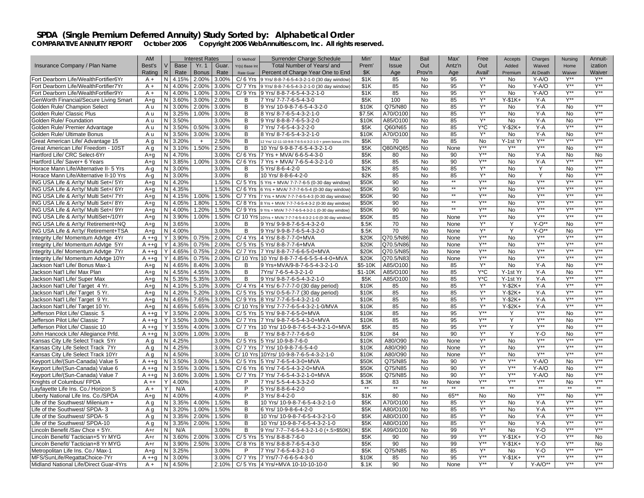| <b>Base</b><br>Yr. 1<br>Total Number of Years/ and<br>Insurance Company / Plan Name<br>Best's<br>V<br>Guar.<br>Prem'<br><b>Issue</b><br>Out<br>Antz'n<br>Out<br>Added<br>ization<br>Yr(s) Base Int<br>Waived<br>Home<br>Rating<br>R<br>Rate<br><b>Bonus</b><br>Rate<br>Percent of Charge Year One to End<br>\$K<br>Prov'n<br>Avail'<br>Age<br>Age<br>Premium<br>At Death<br>Waiver<br>Waiver<br>Rate Guar<br>N<br>Y*<br>Y-A/O<br>$Y^{\star\star}$<br>Fort Dearborn Life/WealthFortifier6Yr<br>$A +$<br>4.15%<br>2.00%<br>3.00%<br>$C/6$ Yrs<br>9 Yrs/ 8-8-7-6-5-4-3-2-1-0 (30 day window)<br>\$1K<br>85<br><b>No</b><br>95<br><b>No</b><br>$Y^{\star\star}$<br>Y*<br>$Y^{\ast\ast}$<br>$Y^{**}$<br>\$1K<br>Y-A/O<br>Fort Dearborn Life/WealthFortifier7Yr<br>$A +$<br>N<br>4.00%<br>2.00%<br>3.00%<br>$C/7$ Yrs<br>9 Yrs/ 8-8-7-6-5-4-3-2-1-0 (30 day window)<br>85<br>No<br>95<br>No<br>Y**<br>$Y^*$<br>$V^{\ast\ast}$<br>N<br>95<br>$Y-A/O$<br>Fort Dearborn Life/WealthFortifier9Yr<br>$A +$<br>4.00%<br>1.00%<br>3.00%<br>$C/9$ Yrs<br>9 Yrs/ 8-8-7-6-5-4-3-2-1-0<br>\$1K<br>85<br>No<br>No.<br>Y*<br>Y**<br>N<br>$Y-$1K+$<br>GenWorth Financial/Secure Living Smart<br>$A + a$<br>3.60%<br>3.00%<br>2.00%<br>7 Yrs/ 7-7-7-6-5-4-3-0<br>\$5K<br>100<br><b>No</b><br>85<br>Y-A<br>B<br>$Y^*$<br>$V^{\ast\ast}$<br>$\overline{N}$<br>$Y-A$<br><b>No</b><br>3.00%<br>2.00%<br>3.00%<br>9 Yrs/ 10-9-8-7-6-5-4-3-2-0<br>\$10K<br>Q75/N80<br><b>No</b><br>85<br>A u<br>В<br><b>No</b><br>$Y^{\star\star}$<br>$\mathsf{Y}^\star$<br>N<br>3.25%<br>1.00%<br>3.00%<br>\$7.5K<br>85<br>Y-A<br>No<br>Golden Rule/ Classic Plus<br>A u<br>B<br>8 Yrs/ 8-7-6-5-4-3-2-1-0<br>A70/O100<br>No<br>No<br>$Y^{\star\star}$<br>$Y^*$<br>N<br>3.50%<br>3.00%<br>9 Yrs/ 8-8-8-7-6-5-3-2-0<br>\$10K<br>A85/O100<br><b>No</b><br>85<br><b>No</b><br>$Y - A$<br><b>No</b><br>A u<br>B<br>$Y^*C$<br>Y**<br>$Y^{\ast\ast}$<br>N<br>$Y-$2K+$<br>Y-A<br>Golden Rule/ Premier Advantage<br>A u<br>3.50%<br>3.00%<br>В<br>7 Yrs/ 7-6-5-4-3-2-2-0<br>\$5K<br>Q60/N65<br>No<br>85<br>0.50%<br>85<br>Y*<br>Y**<br>N<br>3.00%<br>3.00%<br>B<br>8 Yrs/ 8-7-6-5-4-3-2-1-0<br>\$10K<br>A70/O100<br><b>No</b><br><b>No</b><br>$Y - A$<br><b>No</b><br>Golden Rule/ Ultimate Bonus<br>Au<br>3.50%<br>$Y^{\ast\ast}$<br>$Y^{\ast\ast}$<br>$Y^{\ast\ast}$<br>N<br>3.20%<br>2.50%<br>85<br><b>No</b><br>Y-1st Yr<br>Great American Life/ Advantage 15<br>A a<br>B<br>\$5K<br>No<br>$+$<br>12 Yrs/ 12-11-10-9-8-7-6-5-4-3-2-1-0 + prem bonus 15%<br>70<br>$Y^{\ast\ast}$<br>$Y^{\ast\ast}$<br>$Y^{\ast\ast}$<br><b>V**</b><br>N<br>1.50%<br>2.50%<br>\$5K<br>Q80/NQ85<br>No<br><b>No</b><br>Great American Life/ Freedom - 10ST<br>A q<br>3.10%<br>В<br>10 Yrs/ 9-9-8-7-6-5-4-3-2-1-0<br>None<br>Y**<br>Hartford Life/ CRC Select-6Yr<br>N<br>4.70%<br>3.00%<br>7 Yrs + MVA/ 6-6-5-4-3-0<br>\$5K<br><b>No</b><br>90<br><b>No</b><br>$Y - A$<br><b>No</b><br>$A + a$<br>$C/6$ Yrs<br>80<br><b>No</b><br>$\overline{N}$<br>$\overline{N}$<br>$Y^{\ast\ast}$<br>Y**<br>$Y^{\star\star}$<br>Hartford Life/ Saver+ 6 Years<br>$A + a$<br>3.85%<br>1.00%<br>$C/6$ Yrs<br>7 Yrs + MVA/ 7-6-5-4-3-2-1-0<br>\$5K<br>85<br>90<br><b>No</b><br>$Y - A$<br>3.00%<br>N<br>85<br>Y*<br>No<br>$Y^{\star\star}$<br>Horace Mann Life/Alternative II- 5 Yrs<br>3.00%<br>3.00%<br>\$2K<br>85<br>No<br>No<br>Y<br>A-q<br>В<br>5 Yrs/ 8-6-4-2-0<br>N<br>$Y^*$<br>Y<br>Y**<br>Horace Mann Life/Alternative II-10 Yrs<br>3.00%<br>3.00%<br>В<br>10 Yrs/ 8-8-6-4-2-0<br>\$2K<br>85<br>No<br>85<br>No<br><b>No</b><br>A-q<br>$Y^{\ast\ast}$<br>\$50K<br>$**$<br>$Y^{**}$<br>Y**<br>$Y^{\ast\ast}$<br>ING USA Life & An'ty/ Multi Set+/ 5Yr<br>N.<br>4.20%<br>1.50%<br>$C/5$ Yrs<br>90<br>No<br><b>No</b><br>$A + q$<br>5 Yrs + MVA/ 7-7-7-6-5 (0-30 day window)<br>$**$<br>$Y^{\ast\ast}$<br>Y**<br>N<br>\$50K<br>90<br>No<br>$Y^{\star\star}$<br>$Y^{**}$<br>ING USA Life & An'ty/ Multi Set+/ 6Yr<br>4.35%<br>1.50%<br>C/ 6 Yrs 6 Yrs + MVA/ 7-7-7-6-5-4 (0-30 day window<br><b>No</b><br>$A + q$<br>$**$<br>$Y^{\ast\ast}$<br>Y**<br>Y**<br>$Y^{\ast\ast}$<br>N 4.15%<br>\$50K<br>90<br><b>No</b><br><b>No</b><br>ING USA Life & An'ty/ Multi Set+/7Yr<br>$A + a$<br>1.00%<br>1.50%<br>C/ 7 Yrs 7 Yrs + MVA/ 7-7-7-6-5-4-3 (0-30 day window)<br>$**$<br>$Y^{\ast\ast}$<br>$Y^{\ast\ast}$<br>$Y^{\ast\ast}$<br>N<br>4.05%<br>1.50%<br>\$50K<br>90<br>Y**<br>ING USA Life & An'ty/ Multi Set+/ 8Yr<br>1.80%<br>C/ 8 Yrs 8 Yrs + MVA/ 7-7-7-6-5-4-3-2 (0-30 day window<br><b>No</b><br>No.<br>A+q<br>$\star\star$<br><b>Y**</b><br>Y**<br>1.50%<br>\$50K<br>90<br>$Y^{\star\star}$<br>$Y^{\star\star}$<br>ING USA Life & An'ty/ Multi Set+/ 9Yr<br>N<br>4.00%<br>1.20%<br>$C/9$ Yrs<br>No<br>No<br>$A + a$<br>9 Yrs + MVA/ 7-7-7-6-5-4-3-2-1 (0-30 day window<br>$Y^{\ast\ast}$<br>$Y^{\ast\ast}$<br>Y**<br>$Y^{\ast\ast}$<br>ING USA Life & An'ty/ MultiSet+/10Yr<br>N<br>3.90%<br>1.00%<br>1.50%<br>C/ 10 Yrs 10Yrs + MVA/ 7-7-7-6-5-4-3-2-1-0 (0-30 day window)<br>\$50K<br>85<br><b>No</b><br>No.<br>$A + a$<br>None<br>$Y^{\ast\ast}$<br>N<br>3.65%<br>\$.5K<br>70<br>No<br>Y*<br>$Y-O**$<br><b>No</b><br>ING USA Life & An'ty/ Retirement+NQ<br>$A + q$<br>3.00%<br>B<br>9 Yrs/ 9-9-8-7-6-5-4-3-2-0<br>None<br>Y*<br>$Y^{\ast\ast}$<br>ING USA Life & An'ty/ Retirement+TSA<br>N<br>4.00%<br>3.00%<br>9 Yrs/ 9-9-8-7-6-5-4-3-2-0<br>\$.5K<br>70<br>No<br>Y<br>$Y-O^*$<br><b>No</b><br>$A + q$<br>в<br>None<br>Y**<br>$Y^{\star\star}$<br>Y**<br>$Y^{\star\star}$<br>Integrity Life/ Momentum Advtge 4Yr<br>Y<br>3.90%<br>0.75%<br>2.00%<br>C/ 4 Yrs 4 Yrs/ 8-8-7-7-0+MVA<br>\$20K<br>Q70.5/N86<br>No<br>$A + q$<br>None<br>No<br>$Y^{\ast\ast}$<br>$Y^{\star\star}$<br>Y**<br><b>Y**</b><br>Integrity Life/ Momentum Advtge 5Yr<br>$A + q$<br>Y<br>4.35%<br>0.75%<br>2.00%<br>C/ 5 Yrs 5 Yrs/ 8-8-7-7-6+MVA<br>\$20K<br>Q70.5/N86<br>No<br>None<br>No<br>$Y^{\ast\ast}$<br>$Y^{\star\star}$<br>Y**<br>$Y^{\star\star}$<br>Integrity Life/ Momentum Advtge 7Yr<br>Y<br>4.65%<br>0.75%<br>2.00%<br>C/ 7 Yrs 7 Yrs/ 8-8-7-7-6-6-5-0+MVA<br>\$20K<br>Q70.5/N85<br>No<br>None<br>No<br>$A + q$<br>0.75%<br>C/ 10 Yrs 10 Yrs/ 8-8-7-7-6-6-5-5-4-4-0+MVA<br>Q70.5/N83<br>$Y^{\star\star}$<br>$Y^{\star\star}$<br>$Y^{\star\star}$<br>$Y^{\star\star}$<br>Integrity Life/ Momentum Advtge 10Yr<br>$A + q$<br>Y<br>4.85%<br>2.00%<br>\$20K<br><b>No</b><br>None<br>No.<br>$V^{\star\star}$<br>Y*<br>$Y - A$<br>Jackson Nat'l Life/ Bonus Max-1<br>Ν<br>4.65%<br>8.40%<br>3.00%<br>B<br>9 Yrs+MVA/9-8-7-6-5-4-3-2-1-0<br>\$5-10K<br>A85/O100<br><b>No</b><br>85<br><b>No</b><br>No<br>A+q<br>4.55%<br>7Yrs/7-6-5-4-3-2-1-0<br>Y*C<br>$Y - A$<br>$Y^{\star\star}$<br>Jackson Nat'l Life/ Max Plan<br>$A + q$<br>N<br>4.55%<br>3.00%<br>В<br>$$1-10K$<br>A85/O100<br><b>No</b><br>85<br>Y-1st Yr<br>No<br>$V^{\star\star}$<br>Jackson Nat'l Life/ Super Max<br>N 5.35%<br>5.35%<br>3.00%<br>9 Yrs/ 9-8-7-6-5-4-3-2-1-0<br>\$5K<br>A85/O100<br>85<br>Y*C<br>Y-A<br>Y**<br>$A + q$<br>B<br>No<br>Y-1st Yr<br>N<br>$Y^*$<br>$Y-$2K+$<br>$Y - A$<br>$Y^{\star\star}$<br>$Y^{\star\star}$<br>Jackson Nat'l Life/ Target 4 Yr.<br>$A + a$<br>4.10%<br>5.10%<br>3.00%<br>C/ 4 Yrs 4 Yrs/ 6-7-7-7-0 (30 day period)<br>\$10K<br>85<br>No<br>85<br>Jackson Nat'l Life/ Target 5 Yr.<br>N<br>4.20%<br>5.20%<br>3.00%<br>C/ 5 Yrs 5 Yrs/ 0-5-6-7-7 (30 day period)<br>85<br>85<br>$Y^*$<br>$Y-$2K+$<br>$Y - A$<br>$Y^{\star\star}$<br>$Y^{\star\star}$<br>$A + q$<br>\$10K<br>No<br>$Y^*$<br>$Y^{\star\star}$<br>$Y^{\star\star}$<br>Jackson Nat'l Life/ Target 9 Yr.<br>N<br>4.65%<br>7.65%<br>3.00%<br>C/ 9 Yrs 8 Yrs/ 7-7-6-5-4-3-2-1-0<br>\$10K<br>85<br>No<br>85<br>$Y-$2K+$<br>Y-A<br>$A + q$<br>$\overline{Y^{\star\star}}$<br>Y*<br>$Y^{\ast\ast}$<br>Jackson Nat'l Life/ Target 10 Yr.<br>$A + a$<br>N<br>4.65%<br>5.65%<br>3.00%<br>C/ 10 Yrs 9 Yrs/ 7-7-7-6-5-4-3-2-1-0/MVA<br>\$10K<br>85<br><b>No</b><br>85<br>$Y-$2K+$<br>$Y - A$<br>$Y^{\ast\ast}$<br>$Y^{\ast\ast}$<br>$Y^{\ast\ast}$<br>95<br><b>No</b><br>Jefferson Pilot Life/ Classic 5<br>Y<br>3.50%<br>2.00%<br>3.00%<br>C/ 5 Yrs 5 Yrs/ 9-8-7-6-5-0+MVA<br>\$10K<br>85<br>No<br>$A + q$<br>Y<br>$V^{\ast\ast}$<br><b>V**</b><br>Y**<br>Y<br>3.50%<br>3.00%<br>3.00%<br>$C/7$ Yrs<br>7 Yrs/ 9-8-7-6-5-4-3-0+MVA<br>\$10K<br>85<br><b>No</b><br>95<br>Y<br>No.<br>$A + a$<br>$Y^{\ast\ast}$<br>$Y^{\ast\ast}$<br>$Y^{\ast\ast}$<br>95<br>Y<br><b>No</b><br>Jefferson Pilot Life/ Classic 10<br>$A + q$<br>Y<br>3.55%<br>4.00%<br>3.00%<br>$C/7$ Yrs<br>10 Yrs/ 10-9-8-7-6-5-4-3-2-1-0+MVA<br>\$5K<br>85<br><b>No</b><br>Y*<br>$Y^{\ast\ast}$<br>90<br>Y<br>John Hancock Life/ Allegiance Prfd.<br>N<br>3.00%<br>1.00%<br>3.00%<br>7 Yrs/ 8-8-7-7-7-6-6-0<br>\$10K<br>84<br><b>No</b><br>Y-O<br>No<br>$A + a$<br>B<br>Y*<br>$Y^{\star\star}$<br>$Y^{\star\star}$<br>$Y^{\star\star}$<br>A80/O90<br><b>No</b><br>Kansas City Life Select Track 5Yr<br>A q<br>N<br>4.25%<br>3.00%<br>$C/5$ Yrs<br>5 Yrs/ 10-9-8-7-6-0<br>\$10K<br>No<br>None<br>Y*<br>Y**<br>$Y^{\star\star}$<br>N<br>Y**<br>Kansas City Life Select Track 7Yr<br>4.25%<br>3.00%<br>$C/7$ Yrs<br>7 Yrs/ 10-9-8-7-6-5-4-0<br>\$10K<br>A80/O90<br><b>No</b><br>None<br><b>No</b><br>A q<br>$Y^*$<br>$Y^{\ast\ast}$<br>$Y^*$<br>$Y^{\ast\ast}$<br>4.50%<br>\$10K<br>A80/O90<br><b>No</b><br>No<br>Kansas City Life Select Track 10Yr<br>A q<br>ΝI<br>3.00%<br>C/ 10 Yrs 10Yrs/ 10-9-8-7-6-5-4-3-2-1-0<br>None<br>Y*<br><b>Y**</b><br>Y**<br>N<br>3.50%<br>3.00%<br>C/ 5 Yrs 5 Yrs/ 7-6-5-4-3-0+MVA<br>\$50K<br>Q75/N85<br><b>No</b><br>$Y-A/O$<br><b>No</b><br>Keyport Life/(Sun-Canada) Value 5<br>$A + q$<br>1.50%<br>90<br>$Y^*$<br>Y**<br>$Y^{\ast\ast}$<br>$Y-A/O$<br>1.50%<br>C/6 Yrs 6 Yrs/ 7-6-5-4-3-2-0+MVA<br>\$50K<br>Q75/N85<br><b>No</b><br>90<br><b>No</b><br>Keyport Life/(Sun-Canada) Value 6<br>$A + a$<br>N<br>3.55%<br>3.00%<br>Y*<br>Y**<br><b>V**</b><br>N<br>Q75/N85<br>$Y-A/O$<br>3.00%<br>1.50%<br>C/ 7 Yrs<br>\$50K<br><b>No</b><br>90<br><b>No</b><br>Keyport Life/(Sun-Canada) Value 7<br>$A + q$<br>3.60%<br>7 Yrs/ 7-6-5-4-3-2-1-0+MVA<br>Y**<br>Y**<br>$Y^{\ast\ast}$<br>$Y^{\star\star}$<br>Knights of Columbus/ FPDA<br>4.00%<br>7 Yrs/ 5-5-4-4-3-3-2-0<br>\$.3K<br>None<br><b>No</b><br>$A + +$<br>Y<br>3.00%<br>P<br>83<br>No<br>$\star\star$<br>Ÿ<br>$**$<br>$**$<br>$*$<br>$**$<br>$**$<br>$**$<br>N/A<br>P<br>Layfayette Life Ins. Co./ Horizon S<br>$A +$<br>4.00%<br>5 Yrs/ 8-8-6-4-2-0<br>$65***$<br>$Y^{\ast\ast}$<br>$Y^{\ast\ast}$<br>N<br>4.00%<br>\$1K<br><b>No</b><br>Liberty National Life Ins. Co./SPDA<br>$A + a$<br>4.00%<br>P<br>3 Yrs/ 8-4-2-0<br>80<br><b>No</b><br><b>No</b><br><b>No</b><br>$\overline{N}$<br>$Y^*$<br>Y**<br><b>V**</b><br>4.00%<br>1.50%<br>10 Yrs/ 10-9-8-7-6-5-4-3-2-1-0<br>\$5K<br>85<br>Y-A<br>Life of the Southwest/ Milenium +<br>A q<br>3.35%<br>В<br>A70/O100<br>No<br>No<br>Y**<br>Y*<br>$Y^{\ast\ast}$<br>Life of the Southwest/ SPDA- 3<br>N<br>3.20%<br>1.00%<br>1.50%<br>B<br>6 Yrs/ 10-9-8-6-4-2-0<br>\$5K<br>A80/O100<br><b>No</b><br>85<br><b>No</b><br>$Y - A$<br>Aa<br>$\overline{N}$<br>$\overline{N}$<br>85<br>Y*<br>$Y-A$<br>$Y^{\ast\ast}$<br>$Y^{\ast\ast}$<br>Life of the Southwest/ SPDA- 5<br>A <sub>q</sub><br>3.35%<br>2.00%<br>1.50%<br>B<br>10 Yrs/ 10-9-8-7-6-5-4-3-2-1-0<br>\$5K<br>A80/O100<br>No<br>Y**<br>85<br>$\mathsf{Y}^\star$<br>$Y - A$<br>$Y^{\star\star}$<br>N<br>3.35%<br>2.00%<br>1.50%<br>B<br>\$5K<br>A80/O100<br>No<br>No<br>Life of the Southwest/ SPDA-10<br>A q<br>10 Yrs/ 10-9-8-7-6-5-4-3-2-1-0<br>Y**<br>$\overline{N}$<br>99<br>$Y^*$<br>$Y-O$<br>Y**<br>Lincoln Benefit /Sav Chce + 5Yr.<br>$A+r$<br>N/A<br>3.00%<br>9 Yrs/ 7-7--7-6-5-4-3-2-1-0 (+.5>\$50K)<br>\$5K<br>A99/O100<br><b>No</b><br><b>No</b><br>B<br>$Y^{\ast\ast}$<br>N<br>$Y^{\ast\ast}$<br>Lincoln Benefit/ Tactician+5 Yr MYG<br>3.60%<br>3.00%<br>C/5 Yrs 5 Yrs/ 8-8-8-7-6-0<br>\$5K<br>No<br>99<br>$Y-$1K+$<br>Y-O<br><b>No</b><br>A+r<br>2.00%<br>90<br><b>Y**</b><br>N<br>2.50%<br>\$5K<br>90<br>No<br>99<br>Y-O<br>$Y^{\star\star}$<br>Lincoln Benefit/ Tactician+8 Yr MYG<br>$A+r$<br>3.90%<br>3.00%<br>C/8 Yrs 8 Yrs/8-8-8-7-6-5-4-3-0<br>$Y-$1K+$<br><b>No</b> |                                        | <b>AM</b> |   |       | <b>Interest Rates</b> |       | Cr Method/ | Surrender Charge Schedule | Min' | Max'    | Bail | Max' | Free | Accepts   | Charges | Nursing | Annuit-          |
|------------------------------------------------------------------------------------------------------------------------------------------------------------------------------------------------------------------------------------------------------------------------------------------------------------------------------------------------------------------------------------------------------------------------------------------------------------------------------------------------------------------------------------------------------------------------------------------------------------------------------------------------------------------------------------------------------------------------------------------------------------------------------------------------------------------------------------------------------------------------------------------------------------------------------------------------------------------------------------------------------------------------------------------------------------------------------------------------------------------------------------------------------------------------------------------------------------------------------------------------------------------------------------------------------------------------------------------------------------------------------------------------------------------------------------------------------------------------------------------------------------------------------------------------------------------------------------------------------------------------------------------------------------------------------------------------------------------------------------------------------------------------------------------------------------------------------------------------------------------------------------------------------------------------------------------------------------------------------------------------------------------------------------------------------------------------------------------------------------------------------------------------------------------------------------------------------------------------------------------------------------------------------------------------------------------------------------------------------------------------------------------------------------------------------------------------------------------------------------------------------------------------------------------------------------------------------------------------------------------------------------------------------------------------------------------------------------------------------------------------------------------------------------------------------------------------------------------------------------------------------------------------------------------------------------------------------------------------------------------------------------------------------------------------------------------------------------------------------------------------------------------------------------------------------------------------------------------------------------------------------------------------------------------------------------------------------------------------------------------------------------------------------------------------------------------------------------------------------------------------------------------------------------------------------------------------------------------------------------------------------------------------------------------------------------------------------------------------------------------------------------------------------------------------------------------------------------------------------------------------------------------------------------------------------------------------------------------------------------------------------------------------------------------------------------------------------------------------------------------------------------------------------------------------------------------------------------------------------------------------------------------------------------------------------------------------------------------------------------------------------------------------------------------------------------------------------------------------------------------------------------------------------------------------------------------------------------------------------------------------------------------------------------------------------------------------------------------------------------------------------------------------------------------------------------------------------------------------------------------------------------------------------------------------------------------------------------------------------------------------------------------------------------------------------------------------------------------------------------------------------------------------------------------------------------------------------------------------------------------------------------------------------------------------------------------------------------------------------------------------------------------------------------------------------------------------------------------------------------------------------------------------------------------------------------------------------------------------------------------------------------------------------------------------------------------------------------------------------------------------------------------------------------------------------------------------------------------------------------------------------------------------------------------------------------------------------------------------------------------------------------------------------------------------------------------------------------------------------------------------------------------------------------------------------------------------------------------------------------------------------------------------------------------------------------------------------------------------------------------------------------------------------------------------------------------------------------------------------------------------------------------------------------------------------------------------------------------------------------------------------------------------------------------------------------------------------------------------------------------------------------------------------------------------------------------------------------------------------------------------------------------------------------------------------------------------------------------------------------------------------------------------------------------------------------------------------------------------------------------------------------------------------------------------------------------------------------------------------------------------------------------------------------------------------------------------------------------------------------------------------------------------------------------------------------------------------------------------------------------------------------------------------------------------------------------------------------------------------------------------------------------------------------------------------------------------------------------------------------------------------------------------------------------------------------------------------------------------------------------------------------------------------------------------------------------------------------------------------------------------------------------------------------------------------------------------------------------------------------------------------------------------------------------------------------------------------------------------------------------------------------------------------------------------------------------------------------------------------------------------------------------------------------------------------------------------------------------------------------------------------------------------------------------------------------------------------------------------------------------------------------------------------------------------------------------------------------------------------------------------------------------------------------------------------------------------------------------------------------------------------------------------------------------------------------------------------------------------------------------------------------------------------------------------------------------------------------------------------------------------------------------------------------------------------------------------------------------------------------------------------------------------------------------------------------------------------------------------------------------------------------------------------------------------------------------------------------------------------------------------------------------------------------------------------------------------------------------------------------------------------------------------------------------------------------------------------------------------------------------------------------------------------------------------------------------------------------------------------------------------------------------------------------------------------------------------------------------------------------------------------------------------------------------------------------------------------------------------------------------------------------------------------------------------------------------------------------------------------------------------------------------------------------------------------------------------------------------------------------------------------------------------------------------------------------------------------------------------------------------------------------------------------------------------------------------------------------------------------------------------------------------------------------------------------------------------------------------------------------------------------------------------------------------------------------------------------------------------------------------------------------------------------------------------------------------------------------------------------------------------------------------------------------------------------------------------------------------------------------------------------------------------------------------------------------------------------------------------------------------------------------------------------------------------------------------------------------------------------------------------------------------------------------------------------------------------------------------------------------------------------------------------------------------------------------------------------------------------------------------------------------------------------------------------------------------------------------------------------------------------------------------------------------------------------------------------------------------------------------------------------------------------------------------------------------------------------------------------------------------------------------------------------------------------------------------------------------------------------------------------------------------------------------------------------------------------------------------------|----------------------------------------|-----------|---|-------|-----------------------|-------|------------|---------------------------|------|---------|------|------|------|-----------|---------|---------|------------------|
|                                                                                                                                                                                                                                                                                                                                                                                                                                                                                                                                                                                                                                                                                                                                                                                                                                                                                                                                                                                                                                                                                                                                                                                                                                                                                                                                                                                                                                                                                                                                                                                                                                                                                                                                                                                                                                                                                                                                                                                                                                                                                                                                                                                                                                                                                                                                                                                                                                                                                                                                                                                                                                                                                                                                                                                                                                                                                                                                                                                                                                                                                                                                                                                                                                                                                                                                                                                                                                                                                                                                                                                                                                                                                                                                                                                                                                                                                                                                                                                                                                                                                                                                                                                                                                                                                                                                                                                                                                                                                                                                                                                                                                                                                                                                                                                                                                                                                                                                                                                                                                                                                                                                                                                                                                                                                                                                                                                                                                                                                                                                                                                                                                                                                                                                                                                                                                                                                                                                                                                                                                                                                                                                                                                                                                                                                                                                                                                                                                                                                                                                                                                                                                                                                                                                                                                                                                                                                                                                                                                                                                                                                                                                                                                                                                                                                                                                                                                                                                                                                                                                                                                                                                                                                                                                                                                                                                                                                                                                                                                                                                                                                                                                                                                                                                                                                                                                                                                                                                                                                                                                                                                                                                                                                                                                                                                                                                                                                                                                                                                                                                                                                                                                                                                                                                                                                                                                                                                                                                                                                                                                                                                                                                                                                                                                                                                                                                                                                                                                                                                                                                                                                                                                                                                                                                                                                                                                                                                                                                                                                                                                                                                                                                                                                                                                                                                                                                                                                                                                                                                                                                                                                                                                                                                                                                                                                                                                                                                                                                                                                                                                                                                                                                                                                                                                                                                                                                                                                                                                                                                                                                                                                                                                                                                                                        |                                        |           |   |       |                       |       |            |                           |      |         |      |      |      |           |         |         |                  |
|                                                                                                                                                                                                                                                                                                                                                                                                                                                                                                                                                                                                                                                                                                                                                                                                                                                                                                                                                                                                                                                                                                                                                                                                                                                                                                                                                                                                                                                                                                                                                                                                                                                                                                                                                                                                                                                                                                                                                                                                                                                                                                                                                                                                                                                                                                                                                                                                                                                                                                                                                                                                                                                                                                                                                                                                                                                                                                                                                                                                                                                                                                                                                                                                                                                                                                                                                                                                                                                                                                                                                                                                                                                                                                                                                                                                                                                                                                                                                                                                                                                                                                                                                                                                                                                                                                                                                                                                                                                                                                                                                                                                                                                                                                                                                                                                                                                                                                                                                                                                                                                                                                                                                                                                                                                                                                                                                                                                                                                                                                                                                                                                                                                                                                                                                                                                                                                                                                                                                                                                                                                                                                                                                                                                                                                                                                                                                                                                                                                                                                                                                                                                                                                                                                                                                                                                                                                                                                                                                                                                                                                                                                                                                                                                                                                                                                                                                                                                                                                                                                                                                                                                                                                                                                                                                                                                                                                                                                                                                                                                                                                                                                                                                                                                                                                                                                                                                                                                                                                                                                                                                                                                                                                                                                                                                                                                                                                                                                                                                                                                                                                                                                                                                                                                                                                                                                                                                                                                                                                                                                                                                                                                                                                                                                                                                                                                                                                                                                                                                                                                                                                                                                                                                                                                                                                                                                                                                                                                                                                                                                                                                                                                                                                                                                                                                                                                                                                                                                                                                                                                                                                                                                                                                                                                                                                                                                                                                                                                                                                                                                                                                                                                                                                                                                                                                                                                                                                                                                                                                                                                                                                                                                                                                                                                                        |                                        |           |   |       |                       |       |            |                           |      |         |      |      |      |           |         |         |                  |
|                                                                                                                                                                                                                                                                                                                                                                                                                                                                                                                                                                                                                                                                                                                                                                                                                                                                                                                                                                                                                                                                                                                                                                                                                                                                                                                                                                                                                                                                                                                                                                                                                                                                                                                                                                                                                                                                                                                                                                                                                                                                                                                                                                                                                                                                                                                                                                                                                                                                                                                                                                                                                                                                                                                                                                                                                                                                                                                                                                                                                                                                                                                                                                                                                                                                                                                                                                                                                                                                                                                                                                                                                                                                                                                                                                                                                                                                                                                                                                                                                                                                                                                                                                                                                                                                                                                                                                                                                                                                                                                                                                                                                                                                                                                                                                                                                                                                                                                                                                                                                                                                                                                                                                                                                                                                                                                                                                                                                                                                                                                                                                                                                                                                                                                                                                                                                                                                                                                                                                                                                                                                                                                                                                                                                                                                                                                                                                                                                                                                                                                                                                                                                                                                                                                                                                                                                                                                                                                                                                                                                                                                                                                                                                                                                                                                                                                                                                                                                                                                                                                                                                                                                                                                                                                                                                                                                                                                                                                                                                                                                                                                                                                                                                                                                                                                                                                                                                                                                                                                                                                                                                                                                                                                                                                                                                                                                                                                                                                                                                                                                                                                                                                                                                                                                                                                                                                                                                                                                                                                                                                                                                                                                                                                                                                                                                                                                                                                                                                                                                                                                                                                                                                                                                                                                                                                                                                                                                                                                                                                                                                                                                                                                                                                                                                                                                                                                                                                                                                                                                                                                                                                                                                                                                                                                                                                                                                                                                                                                                                                                                                                                                                                                                                                                                                                                                                                                                                                                                                                                                                                                                                                                                                                                                                                                        |                                        |           |   |       |                       |       |            |                           |      |         |      |      |      |           |         |         |                  |
|                                                                                                                                                                                                                                                                                                                                                                                                                                                                                                                                                                                                                                                                                                                                                                                                                                                                                                                                                                                                                                                                                                                                                                                                                                                                                                                                                                                                                                                                                                                                                                                                                                                                                                                                                                                                                                                                                                                                                                                                                                                                                                                                                                                                                                                                                                                                                                                                                                                                                                                                                                                                                                                                                                                                                                                                                                                                                                                                                                                                                                                                                                                                                                                                                                                                                                                                                                                                                                                                                                                                                                                                                                                                                                                                                                                                                                                                                                                                                                                                                                                                                                                                                                                                                                                                                                                                                                                                                                                                                                                                                                                                                                                                                                                                                                                                                                                                                                                                                                                                                                                                                                                                                                                                                                                                                                                                                                                                                                                                                                                                                                                                                                                                                                                                                                                                                                                                                                                                                                                                                                                                                                                                                                                                                                                                                                                                                                                                                                                                                                                                                                                                                                                                                                                                                                                                                                                                                                                                                                                                                                                                                                                                                                                                                                                                                                                                                                                                                                                                                                                                                                                                                                                                                                                                                                                                                                                                                                                                                                                                                                                                                                                                                                                                                                                                                                                                                                                                                                                                                                                                                                                                                                                                                                                                                                                                                                                                                                                                                                                                                                                                                                                                                                                                                                                                                                                                                                                                                                                                                                                                                                                                                                                                                                                                                                                                                                                                                                                                                                                                                                                                                                                                                                                                                                                                                                                                                                                                                                                                                                                                                                                                                                                                                                                                                                                                                                                                                                                                                                                                                                                                                                                                                                                                                                                                                                                                                                                                                                                                                                                                                                                                                                                                                                                                                                                                                                                                                                                                                                                                                                                                                                                                                                                                                        |                                        |           |   |       |                       |       |            |                           |      |         |      |      |      |           |         |         |                  |
|                                                                                                                                                                                                                                                                                                                                                                                                                                                                                                                                                                                                                                                                                                                                                                                                                                                                                                                                                                                                                                                                                                                                                                                                                                                                                                                                                                                                                                                                                                                                                                                                                                                                                                                                                                                                                                                                                                                                                                                                                                                                                                                                                                                                                                                                                                                                                                                                                                                                                                                                                                                                                                                                                                                                                                                                                                                                                                                                                                                                                                                                                                                                                                                                                                                                                                                                                                                                                                                                                                                                                                                                                                                                                                                                                                                                                                                                                                                                                                                                                                                                                                                                                                                                                                                                                                                                                                                                                                                                                                                                                                                                                                                                                                                                                                                                                                                                                                                                                                                                                                                                                                                                                                                                                                                                                                                                                                                                                                                                                                                                                                                                                                                                                                                                                                                                                                                                                                                                                                                                                                                                                                                                                                                                                                                                                                                                                                                                                                                                                                                                                                                                                                                                                                                                                                                                                                                                                                                                                                                                                                                                                                                                                                                                                                                                                                                                                                                                                                                                                                                                                                                                                                                                                                                                                                                                                                                                                                                                                                                                                                                                                                                                                                                                                                                                                                                                                                                                                                                                                                                                                                                                                                                                                                                                                                                                                                                                                                                                                                                                                                                                                                                                                                                                                                                                                                                                                                                                                                                                                                                                                                                                                                                                                                                                                                                                                                                                                                                                                                                                                                                                                                                                                                                                                                                                                                                                                                                                                                                                                                                                                                                                                                                                                                                                                                                                                                                                                                                                                                                                                                                                                                                                                                                                                                                                                                                                                                                                                                                                                                                                                                                                                                                                                                                                                                                                                                                                                                                                                                                                                                                                                                                                                                                                                        |                                        |           |   |       |                       |       |            |                           |      |         |      |      |      |           |         |         |                  |
|                                                                                                                                                                                                                                                                                                                                                                                                                                                                                                                                                                                                                                                                                                                                                                                                                                                                                                                                                                                                                                                                                                                                                                                                                                                                                                                                                                                                                                                                                                                                                                                                                                                                                                                                                                                                                                                                                                                                                                                                                                                                                                                                                                                                                                                                                                                                                                                                                                                                                                                                                                                                                                                                                                                                                                                                                                                                                                                                                                                                                                                                                                                                                                                                                                                                                                                                                                                                                                                                                                                                                                                                                                                                                                                                                                                                                                                                                                                                                                                                                                                                                                                                                                                                                                                                                                                                                                                                                                                                                                                                                                                                                                                                                                                                                                                                                                                                                                                                                                                                                                                                                                                                                                                                                                                                                                                                                                                                                                                                                                                                                                                                                                                                                                                                                                                                                                                                                                                                                                                                                                                                                                                                                                                                                                                                                                                                                                                                                                                                                                                                                                                                                                                                                                                                                                                                                                                                                                                                                                                                                                                                                                                                                                                                                                                                                                                                                                                                                                                                                                                                                                                                                                                                                                                                                                                                                                                                                                                                                                                                                                                                                                                                                                                                                                                                                                                                                                                                                                                                                                                                                                                                                                                                                                                                                                                                                                                                                                                                                                                                                                                                                                                                                                                                                                                                                                                                                                                                                                                                                                                                                                                                                                                                                                                                                                                                                                                                                                                                                                                                                                                                                                                                                                                                                                                                                                                                                                                                                                                                                                                                                                                                                                                                                                                                                                                                                                                                                                                                                                                                                                                                                                                                                                                                                                                                                                                                                                                                                                                                                                                                                                                                                                                                                                                                                                                                                                                                                                                                                                                                                                                                                                                                                                                                                        |                                        |           |   |       |                       |       |            |                           |      |         |      |      |      |           |         |         |                  |
|                                                                                                                                                                                                                                                                                                                                                                                                                                                                                                                                                                                                                                                                                                                                                                                                                                                                                                                                                                                                                                                                                                                                                                                                                                                                                                                                                                                                                                                                                                                                                                                                                                                                                                                                                                                                                                                                                                                                                                                                                                                                                                                                                                                                                                                                                                                                                                                                                                                                                                                                                                                                                                                                                                                                                                                                                                                                                                                                                                                                                                                                                                                                                                                                                                                                                                                                                                                                                                                                                                                                                                                                                                                                                                                                                                                                                                                                                                                                                                                                                                                                                                                                                                                                                                                                                                                                                                                                                                                                                                                                                                                                                                                                                                                                                                                                                                                                                                                                                                                                                                                                                                                                                                                                                                                                                                                                                                                                                                                                                                                                                                                                                                                                                                                                                                                                                                                                                                                                                                                                                                                                                                                                                                                                                                                                                                                                                                                                                                                                                                                                                                                                                                                                                                                                                                                                                                                                                                                                                                                                                                                                                                                                                                                                                                                                                                                                                                                                                                                                                                                                                                                                                                                                                                                                                                                                                                                                                                                                                                                                                                                                                                                                                                                                                                                                                                                                                                                                                                                                                                                                                                                                                                                                                                                                                                                                                                                                                                                                                                                                                                                                                                                                                                                                                                                                                                                                                                                                                                                                                                                                                                                                                                                                                                                                                                                                                                                                                                                                                                                                                                                                                                                                                                                                                                                                                                                                                                                                                                                                                                                                                                                                                                                                                                                                                                                                                                                                                                                                                                                                                                                                                                                                                                                                                                                                                                                                                                                                                                                                                                                                                                                                                                                                                                                                                                                                                                                                                                                                                                                                                                                                                                                                                                                                                        | Golden Rule/ Champion Select           |           |   |       |                       |       |            |                           |      |         |      |      |      |           |         |         |                  |
|                                                                                                                                                                                                                                                                                                                                                                                                                                                                                                                                                                                                                                                                                                                                                                                                                                                                                                                                                                                                                                                                                                                                                                                                                                                                                                                                                                                                                                                                                                                                                                                                                                                                                                                                                                                                                                                                                                                                                                                                                                                                                                                                                                                                                                                                                                                                                                                                                                                                                                                                                                                                                                                                                                                                                                                                                                                                                                                                                                                                                                                                                                                                                                                                                                                                                                                                                                                                                                                                                                                                                                                                                                                                                                                                                                                                                                                                                                                                                                                                                                                                                                                                                                                                                                                                                                                                                                                                                                                                                                                                                                                                                                                                                                                                                                                                                                                                                                                                                                                                                                                                                                                                                                                                                                                                                                                                                                                                                                                                                                                                                                                                                                                                                                                                                                                                                                                                                                                                                                                                                                                                                                                                                                                                                                                                                                                                                                                                                                                                                                                                                                                                                                                                                                                                                                                                                                                                                                                                                                                                                                                                                                                                                                                                                                                                                                                                                                                                                                                                                                                                                                                                                                                                                                                                                                                                                                                                                                                                                                                                                                                                                                                                                                                                                                                                                                                                                                                                                                                                                                                                                                                                                                                                                                                                                                                                                                                                                                                                                                                                                                                                                                                                                                                                                                                                                                                                                                                                                                                                                                                                                                                                                                                                                                                                                                                                                                                                                                                                                                                                                                                                                                                                                                                                                                                                                                                                                                                                                                                                                                                                                                                                                                                                                                                                                                                                                                                                                                                                                                                                                                                                                                                                                                                                                                                                                                                                                                                                                                                                                                                                                                                                                                                                                                                                                                                                                                                                                                                                                                                                                                                                                                                                                                                                                        |                                        |           |   |       |                       |       |            |                           |      |         |      |      |      |           |         |         |                  |
|                                                                                                                                                                                                                                                                                                                                                                                                                                                                                                                                                                                                                                                                                                                                                                                                                                                                                                                                                                                                                                                                                                                                                                                                                                                                                                                                                                                                                                                                                                                                                                                                                                                                                                                                                                                                                                                                                                                                                                                                                                                                                                                                                                                                                                                                                                                                                                                                                                                                                                                                                                                                                                                                                                                                                                                                                                                                                                                                                                                                                                                                                                                                                                                                                                                                                                                                                                                                                                                                                                                                                                                                                                                                                                                                                                                                                                                                                                                                                                                                                                                                                                                                                                                                                                                                                                                                                                                                                                                                                                                                                                                                                                                                                                                                                                                                                                                                                                                                                                                                                                                                                                                                                                                                                                                                                                                                                                                                                                                                                                                                                                                                                                                                                                                                                                                                                                                                                                                                                                                                                                                                                                                                                                                                                                                                                                                                                                                                                                                                                                                                                                                                                                                                                                                                                                                                                                                                                                                                                                                                                                                                                                                                                                                                                                                                                                                                                                                                                                                                                                                                                                                                                                                                                                                                                                                                                                                                                                                                                                                                                                                                                                                                                                                                                                                                                                                                                                                                                                                                                                                                                                                                                                                                                                                                                                                                                                                                                                                                                                                                                                                                                                                                                                                                                                                                                                                                                                                                                                                                                                                                                                                                                                                                                                                                                                                                                                                                                                                                                                                                                                                                                                                                                                                                                                                                                                                                                                                                                                                                                                                                                                                                                                                                                                                                                                                                                                                                                                                                                                                                                                                                                                                                                                                                                                                                                                                                                                                                                                                                                                                                                                                                                                                                                                                                                                                                                                                                                                                                                                                                                                                                                                                                                                                                                        | Golden Rule/ Foundation                |           |   |       |                       |       |            |                           |      |         |      |      |      |           |         |         |                  |
|                                                                                                                                                                                                                                                                                                                                                                                                                                                                                                                                                                                                                                                                                                                                                                                                                                                                                                                                                                                                                                                                                                                                                                                                                                                                                                                                                                                                                                                                                                                                                                                                                                                                                                                                                                                                                                                                                                                                                                                                                                                                                                                                                                                                                                                                                                                                                                                                                                                                                                                                                                                                                                                                                                                                                                                                                                                                                                                                                                                                                                                                                                                                                                                                                                                                                                                                                                                                                                                                                                                                                                                                                                                                                                                                                                                                                                                                                                                                                                                                                                                                                                                                                                                                                                                                                                                                                                                                                                                                                                                                                                                                                                                                                                                                                                                                                                                                                                                                                                                                                                                                                                                                                                                                                                                                                                                                                                                                                                                                                                                                                                                                                                                                                                                                                                                                                                                                                                                                                                                                                                                                                                                                                                                                                                                                                                                                                                                                                                                                                                                                                                                                                                                                                                                                                                                                                                                                                                                                                                                                                                                                                                                                                                                                                                                                                                                                                                                                                                                                                                                                                                                                                                                                                                                                                                                                                                                                                                                                                                                                                                                                                                                                                                                                                                                                                                                                                                                                                                                                                                                                                                                                                                                                                                                                                                                                                                                                                                                                                                                                                                                                                                                                                                                                                                                                                                                                                                                                                                                                                                                                                                                                                                                                                                                                                                                                                                                                                                                                                                                                                                                                                                                                                                                                                                                                                                                                                                                                                                                                                                                                                                                                                                                                                                                                                                                                                                                                                                                                                                                                                                                                                                                                                                                                                                                                                                                                                                                                                                                                                                                                                                                                                                                                                                                                                                                                                                                                                                                                                                                                                                                                                                                                                                                                                        |                                        |           |   |       |                       |       |            |                           |      |         |      |      |      |           |         |         |                  |
|                                                                                                                                                                                                                                                                                                                                                                                                                                                                                                                                                                                                                                                                                                                                                                                                                                                                                                                                                                                                                                                                                                                                                                                                                                                                                                                                                                                                                                                                                                                                                                                                                                                                                                                                                                                                                                                                                                                                                                                                                                                                                                                                                                                                                                                                                                                                                                                                                                                                                                                                                                                                                                                                                                                                                                                                                                                                                                                                                                                                                                                                                                                                                                                                                                                                                                                                                                                                                                                                                                                                                                                                                                                                                                                                                                                                                                                                                                                                                                                                                                                                                                                                                                                                                                                                                                                                                                                                                                                                                                                                                                                                                                                                                                                                                                                                                                                                                                                                                                                                                                                                                                                                                                                                                                                                                                                                                                                                                                                                                                                                                                                                                                                                                                                                                                                                                                                                                                                                                                                                                                                                                                                                                                                                                                                                                                                                                                                                                                                                                                                                                                                                                                                                                                                                                                                                                                                                                                                                                                                                                                                                                                                                                                                                                                                                                                                                                                                                                                                                                                                                                                                                                                                                                                                                                                                                                                                                                                                                                                                                                                                                                                                                                                                                                                                                                                                                                                                                                                                                                                                                                                                                                                                                                                                                                                                                                                                                                                                                                                                                                                                                                                                                                                                                                                                                                                                                                                                                                                                                                                                                                                                                                                                                                                                                                                                                                                                                                                                                                                                                                                                                                                                                                                                                                                                                                                                                                                                                                                                                                                                                                                                                                                                                                                                                                                                                                                                                                                                                                                                                                                                                                                                                                                                                                                                                                                                                                                                                                                                                                                                                                                                                                                                                                                                                                                                                                                                                                                                                                                                                                                                                                                                                                                                                                        |                                        |           |   |       |                       |       |            |                           |      |         |      |      |      |           |         |         |                  |
|                                                                                                                                                                                                                                                                                                                                                                                                                                                                                                                                                                                                                                                                                                                                                                                                                                                                                                                                                                                                                                                                                                                                                                                                                                                                                                                                                                                                                                                                                                                                                                                                                                                                                                                                                                                                                                                                                                                                                                                                                                                                                                                                                                                                                                                                                                                                                                                                                                                                                                                                                                                                                                                                                                                                                                                                                                                                                                                                                                                                                                                                                                                                                                                                                                                                                                                                                                                                                                                                                                                                                                                                                                                                                                                                                                                                                                                                                                                                                                                                                                                                                                                                                                                                                                                                                                                                                                                                                                                                                                                                                                                                                                                                                                                                                                                                                                                                                                                                                                                                                                                                                                                                                                                                                                                                                                                                                                                                                                                                                                                                                                                                                                                                                                                                                                                                                                                                                                                                                                                                                                                                                                                                                                                                                                                                                                                                                                                                                                                                                                                                                                                                                                                                                                                                                                                                                                                                                                                                                                                                                                                                                                                                                                                                                                                                                                                                                                                                                                                                                                                                                                                                                                                                                                                                                                                                                                                                                                                                                                                                                                                                                                                                                                                                                                                                                                                                                                                                                                                                                                                                                                                                                                                                                                                                                                                                                                                                                                                                                                                                                                                                                                                                                                                                                                                                                                                                                                                                                                                                                                                                                                                                                                                                                                                                                                                                                                                                                                                                                                                                                                                                                                                                                                                                                                                                                                                                                                                                                                                                                                                                                                                                                                                                                                                                                                                                                                                                                                                                                                                                                                                                                                                                                                                                                                                                                                                                                                                                                                                                                                                                                                                                                                                                                                                                                                                                                                                                                                                                                                                                                                                                                                                                                                                                                        |                                        |           |   |       |                       |       |            |                           |      |         |      |      |      |           |         |         |                  |
|                                                                                                                                                                                                                                                                                                                                                                                                                                                                                                                                                                                                                                                                                                                                                                                                                                                                                                                                                                                                                                                                                                                                                                                                                                                                                                                                                                                                                                                                                                                                                                                                                                                                                                                                                                                                                                                                                                                                                                                                                                                                                                                                                                                                                                                                                                                                                                                                                                                                                                                                                                                                                                                                                                                                                                                                                                                                                                                                                                                                                                                                                                                                                                                                                                                                                                                                                                                                                                                                                                                                                                                                                                                                                                                                                                                                                                                                                                                                                                                                                                                                                                                                                                                                                                                                                                                                                                                                                                                                                                                                                                                                                                                                                                                                                                                                                                                                                                                                                                                                                                                                                                                                                                                                                                                                                                                                                                                                                                                                                                                                                                                                                                                                                                                                                                                                                                                                                                                                                                                                                                                                                                                                                                                                                                                                                                                                                                                                                                                                                                                                                                                                                                                                                                                                                                                                                                                                                                                                                                                                                                                                                                                                                                                                                                                                                                                                                                                                                                                                                                                                                                                                                                                                                                                                                                                                                                                                                                                                                                                                                                                                                                                                                                                                                                                                                                                                                                                                                                                                                                                                                                                                                                                                                                                                                                                                                                                                                                                                                                                                                                                                                                                                                                                                                                                                                                                                                                                                                                                                                                                                                                                                                                                                                                                                                                                                                                                                                                                                                                                                                                                                                                                                                                                                                                                                                                                                                                                                                                                                                                                                                                                                                                                                                                                                                                                                                                                                                                                                                                                                                                                                                                                                                                                                                                                                                                                                                                                                                                                                                                                                                                                                                                                                                                                                                                                                                                                                                                                                                                                                                                                                                                                                                                                                                        |                                        |           |   |       |                       |       |            |                           |      |         |      |      |      |           |         |         |                  |
|                                                                                                                                                                                                                                                                                                                                                                                                                                                                                                                                                                                                                                                                                                                                                                                                                                                                                                                                                                                                                                                                                                                                                                                                                                                                                                                                                                                                                                                                                                                                                                                                                                                                                                                                                                                                                                                                                                                                                                                                                                                                                                                                                                                                                                                                                                                                                                                                                                                                                                                                                                                                                                                                                                                                                                                                                                                                                                                                                                                                                                                                                                                                                                                                                                                                                                                                                                                                                                                                                                                                                                                                                                                                                                                                                                                                                                                                                                                                                                                                                                                                                                                                                                                                                                                                                                                                                                                                                                                                                                                                                                                                                                                                                                                                                                                                                                                                                                                                                                                                                                                                                                                                                                                                                                                                                                                                                                                                                                                                                                                                                                                                                                                                                                                                                                                                                                                                                                                                                                                                                                                                                                                                                                                                                                                                                                                                                                                                                                                                                                                                                                                                                                                                                                                                                                                                                                                                                                                                                                                                                                                                                                                                                                                                                                                                                                                                                                                                                                                                                                                                                                                                                                                                                                                                                                                                                                                                                                                                                                                                                                                                                                                                                                                                                                                                                                                                                                                                                                                                                                                                                                                                                                                                                                                                                                                                                                                                                                                                                                                                                                                                                                                                                                                                                                                                                                                                                                                                                                                                                                                                                                                                                                                                                                                                                                                                                                                                                                                                                                                                                                                                                                                                                                                                                                                                                                                                                                                                                                                                                                                                                                                                                                                                                                                                                                                                                                                                                                                                                                                                                                                                                                                                                                                                                                                                                                                                                                                                                                                                                                                                                                                                                                                                                                                                                                                                                                                                                                                                                                                                                                                                                                                                                                                                                        |                                        |           |   |       |                       |       |            |                           |      |         |      |      |      |           |         |         |                  |
|                                                                                                                                                                                                                                                                                                                                                                                                                                                                                                                                                                                                                                                                                                                                                                                                                                                                                                                                                                                                                                                                                                                                                                                                                                                                                                                                                                                                                                                                                                                                                                                                                                                                                                                                                                                                                                                                                                                                                                                                                                                                                                                                                                                                                                                                                                                                                                                                                                                                                                                                                                                                                                                                                                                                                                                                                                                                                                                                                                                                                                                                                                                                                                                                                                                                                                                                                                                                                                                                                                                                                                                                                                                                                                                                                                                                                                                                                                                                                                                                                                                                                                                                                                                                                                                                                                                                                                                                                                                                                                                                                                                                                                                                                                                                                                                                                                                                                                                                                                                                                                                                                                                                                                                                                                                                                                                                                                                                                                                                                                                                                                                                                                                                                                                                                                                                                                                                                                                                                                                                                                                                                                                                                                                                                                                                                                                                                                                                                                                                                                                                                                                                                                                                                                                                                                                                                                                                                                                                                                                                                                                                                                                                                                                                                                                                                                                                                                                                                                                                                                                                                                                                                                                                                                                                                                                                                                                                                                                                                                                                                                                                                                                                                                                                                                                                                                                                                                                                                                                                                                                                                                                                                                                                                                                                                                                                                                                                                                                                                                                                                                                                                                                                                                                                                                                                                                                                                                                                                                                                                                                                                                                                                                                                                                                                                                                                                                                                                                                                                                                                                                                                                                                                                                                                                                                                                                                                                                                                                                                                                                                                                                                                                                                                                                                                                                                                                                                                                                                                                                                                                                                                                                                                                                                                                                                                                                                                                                                                                                                                                                                                                                                                                                                                                                                                                                                                                                                                                                                                                                                                                                                                                                                                                                                                                        |                                        |           |   |       |                       |       |            |                           |      |         |      |      |      |           |         |         |                  |
|                                                                                                                                                                                                                                                                                                                                                                                                                                                                                                                                                                                                                                                                                                                                                                                                                                                                                                                                                                                                                                                                                                                                                                                                                                                                                                                                                                                                                                                                                                                                                                                                                                                                                                                                                                                                                                                                                                                                                                                                                                                                                                                                                                                                                                                                                                                                                                                                                                                                                                                                                                                                                                                                                                                                                                                                                                                                                                                                                                                                                                                                                                                                                                                                                                                                                                                                                                                                                                                                                                                                                                                                                                                                                                                                                                                                                                                                                                                                                                                                                                                                                                                                                                                                                                                                                                                                                                                                                                                                                                                                                                                                                                                                                                                                                                                                                                                                                                                                                                                                                                                                                                                                                                                                                                                                                                                                                                                                                                                                                                                                                                                                                                                                                                                                                                                                                                                                                                                                                                                                                                                                                                                                                                                                                                                                                                                                                                                                                                                                                                                                                                                                                                                                                                                                                                                                                                                                                                                                                                                                                                                                                                                                                                                                                                                                                                                                                                                                                                                                                                                                                                                                                                                                                                                                                                                                                                                                                                                                                                                                                                                                                                                                                                                                                                                                                                                                                                                                                                                                                                                                                                                                                                                                                                                                                                                                                                                                                                                                                                                                                                                                                                                                                                                                                                                                                                                                                                                                                                                                                                                                                                                                                                                                                                                                                                                                                                                                                                                                                                                                                                                                                                                                                                                                                                                                                                                                                                                                                                                                                                                                                                                                                                                                                                                                                                                                                                                                                                                                                                                                                                                                                                                                                                                                                                                                                                                                                                                                                                                                                                                                                                                                                                                                                                                                                                                                                                                                                                                                                                                                                                                                                                                                                                                                                        |                                        |           |   |       |                       |       |            |                           |      |         |      |      |      |           |         |         |                  |
|                                                                                                                                                                                                                                                                                                                                                                                                                                                                                                                                                                                                                                                                                                                                                                                                                                                                                                                                                                                                                                                                                                                                                                                                                                                                                                                                                                                                                                                                                                                                                                                                                                                                                                                                                                                                                                                                                                                                                                                                                                                                                                                                                                                                                                                                                                                                                                                                                                                                                                                                                                                                                                                                                                                                                                                                                                                                                                                                                                                                                                                                                                                                                                                                                                                                                                                                                                                                                                                                                                                                                                                                                                                                                                                                                                                                                                                                                                                                                                                                                                                                                                                                                                                                                                                                                                                                                                                                                                                                                                                                                                                                                                                                                                                                                                                                                                                                                                                                                                                                                                                                                                                                                                                                                                                                                                                                                                                                                                                                                                                                                                                                                                                                                                                                                                                                                                                                                                                                                                                                                                                                                                                                                                                                                                                                                                                                                                                                                                                                                                                                                                                                                                                                                                                                                                                                                                                                                                                                                                                                                                                                                                                                                                                                                                                                                                                                                                                                                                                                                                                                                                                                                                                                                                                                                                                                                                                                                                                                                                                                                                                                                                                                                                                                                                                                                                                                                                                                                                                                                                                                                                                                                                                                                                                                                                                                                                                                                                                                                                                                                                                                                                                                                                                                                                                                                                                                                                                                                                                                                                                                                                                                                                                                                                                                                                                                                                                                                                                                                                                                                                                                                                                                                                                                                                                                                                                                                                                                                                                                                                                                                                                                                                                                                                                                                                                                                                                                                                                                                                                                                                                                                                                                                                                                                                                                                                                                                                                                                                                                                                                                                                                                                                                                                                                                                                                                                                                                                                                                                                                                                                                                                                                                                                                                                        |                                        |           |   |       |                       |       |            |                           |      |         |      |      |      |           |         |         |                  |
|                                                                                                                                                                                                                                                                                                                                                                                                                                                                                                                                                                                                                                                                                                                                                                                                                                                                                                                                                                                                                                                                                                                                                                                                                                                                                                                                                                                                                                                                                                                                                                                                                                                                                                                                                                                                                                                                                                                                                                                                                                                                                                                                                                                                                                                                                                                                                                                                                                                                                                                                                                                                                                                                                                                                                                                                                                                                                                                                                                                                                                                                                                                                                                                                                                                                                                                                                                                                                                                                                                                                                                                                                                                                                                                                                                                                                                                                                                                                                                                                                                                                                                                                                                                                                                                                                                                                                                                                                                                                                                                                                                                                                                                                                                                                                                                                                                                                                                                                                                                                                                                                                                                                                                                                                                                                                                                                                                                                                                                                                                                                                                                                                                                                                                                                                                                                                                                                                                                                                                                                                                                                                                                                                                                                                                                                                                                                                                                                                                                                                                                                                                                                                                                                                                                                                                                                                                                                                                                                                                                                                                                                                                                                                                                                                                                                                                                                                                                                                                                                                                                                                                                                                                                                                                                                                                                                                                                                                                                                                                                                                                                                                                                                                                                                                                                                                                                                                                                                                                                                                                                                                                                                                                                                                                                                                                                                                                                                                                                                                                                                                                                                                                                                                                                                                                                                                                                                                                                                                                                                                                                                                                                                                                                                                                                                                                                                                                                                                                                                                                                                                                                                                                                                                                                                                                                                                                                                                                                                                                                                                                                                                                                                                                                                                                                                                                                                                                                                                                                                                                                                                                                                                                                                                                                                                                                                                                                                                                                                                                                                                                                                                                                                                                                                                                                                                                                                                                                                                                                                                                                                                                                                                                                                                                                                                        |                                        |           |   |       |                       |       |            |                           |      |         |      |      |      |           |         |         |                  |
|                                                                                                                                                                                                                                                                                                                                                                                                                                                                                                                                                                                                                                                                                                                                                                                                                                                                                                                                                                                                                                                                                                                                                                                                                                                                                                                                                                                                                                                                                                                                                                                                                                                                                                                                                                                                                                                                                                                                                                                                                                                                                                                                                                                                                                                                                                                                                                                                                                                                                                                                                                                                                                                                                                                                                                                                                                                                                                                                                                                                                                                                                                                                                                                                                                                                                                                                                                                                                                                                                                                                                                                                                                                                                                                                                                                                                                                                                                                                                                                                                                                                                                                                                                                                                                                                                                                                                                                                                                                                                                                                                                                                                                                                                                                                                                                                                                                                                                                                                                                                                                                                                                                                                                                                                                                                                                                                                                                                                                                                                                                                                                                                                                                                                                                                                                                                                                                                                                                                                                                                                                                                                                                                                                                                                                                                                                                                                                                                                                                                                                                                                                                                                                                                                                                                                                                                                                                                                                                                                                                                                                                                                                                                                                                                                                                                                                                                                                                                                                                                                                                                                                                                                                                                                                                                                                                                                                                                                                                                                                                                                                                                                                                                                                                                                                                                                                                                                                                                                                                                                                                                                                                                                                                                                                                                                                                                                                                                                                                                                                                                                                                                                                                                                                                                                                                                                                                                                                                                                                                                                                                                                                                                                                                                                                                                                                                                                                                                                                                                                                                                                                                                                                                                                                                                                                                                                                                                                                                                                                                                                                                                                                                                                                                                                                                                                                                                                                                                                                                                                                                                                                                                                                                                                                                                                                                                                                                                                                                                                                                                                                                                                                                                                                                                                                                                                                                                                                                                                                                                                                                                                                                                                                                                                                                                                        |                                        |           |   |       |                       |       |            |                           |      |         |      |      |      |           |         |         |                  |
|                                                                                                                                                                                                                                                                                                                                                                                                                                                                                                                                                                                                                                                                                                                                                                                                                                                                                                                                                                                                                                                                                                                                                                                                                                                                                                                                                                                                                                                                                                                                                                                                                                                                                                                                                                                                                                                                                                                                                                                                                                                                                                                                                                                                                                                                                                                                                                                                                                                                                                                                                                                                                                                                                                                                                                                                                                                                                                                                                                                                                                                                                                                                                                                                                                                                                                                                                                                                                                                                                                                                                                                                                                                                                                                                                                                                                                                                                                                                                                                                                                                                                                                                                                                                                                                                                                                                                                                                                                                                                                                                                                                                                                                                                                                                                                                                                                                                                                                                                                                                                                                                                                                                                                                                                                                                                                                                                                                                                                                                                                                                                                                                                                                                                                                                                                                                                                                                                                                                                                                                                                                                                                                                                                                                                                                                                                                                                                                                                                                                                                                                                                                                                                                                                                                                                                                                                                                                                                                                                                                                                                                                                                                                                                                                                                                                                                                                                                                                                                                                                                                                                                                                                                                                                                                                                                                                                                                                                                                                                                                                                                                                                                                                                                                                                                                                                                                                                                                                                                                                                                                                                                                                                                                                                                                                                                                                                                                                                                                                                                                                                                                                                                                                                                                                                                                                                                                                                                                                                                                                                                                                                                                                                                                                                                                                                                                                                                                                                                                                                                                                                                                                                                                                                                                                                                                                                                                                                                                                                                                                                                                                                                                                                                                                                                                                                                                                                                                                                                                                                                                                                                                                                                                                                                                                                                                                                                                                                                                                                                                                                                                                                                                                                                                                                                                                                                                                                                                                                                                                                                                                                                                                                                                                                                                                                        |                                        |           |   |       |                       |       |            |                           |      |         |      |      |      |           |         |         |                  |
|                                                                                                                                                                                                                                                                                                                                                                                                                                                                                                                                                                                                                                                                                                                                                                                                                                                                                                                                                                                                                                                                                                                                                                                                                                                                                                                                                                                                                                                                                                                                                                                                                                                                                                                                                                                                                                                                                                                                                                                                                                                                                                                                                                                                                                                                                                                                                                                                                                                                                                                                                                                                                                                                                                                                                                                                                                                                                                                                                                                                                                                                                                                                                                                                                                                                                                                                                                                                                                                                                                                                                                                                                                                                                                                                                                                                                                                                                                                                                                                                                                                                                                                                                                                                                                                                                                                                                                                                                                                                                                                                                                                                                                                                                                                                                                                                                                                                                                                                                                                                                                                                                                                                                                                                                                                                                                                                                                                                                                                                                                                                                                                                                                                                                                                                                                                                                                                                                                                                                                                                                                                                                                                                                                                                                                                                                                                                                                                                                                                                                                                                                                                                                                                                                                                                                                                                                                                                                                                                                                                                                                                                                                                                                                                                                                                                                                                                                                                                                                                                                                                                                                                                                                                                                                                                                                                                                                                                                                                                                                                                                                                                                                                                                                                                                                                                                                                                                                                                                                                                                                                                                                                                                                                                                                                                                                                                                                                                                                                                                                                                                                                                                                                                                                                                                                                                                                                                                                                                                                                                                                                                                                                                                                                                                                                                                                                                                                                                                                                                                                                                                                                                                                                                                                                                                                                                                                                                                                                                                                                                                                                                                                                                                                                                                                                                                                                                                                                                                                                                                                                                                                                                                                                                                                                                                                                                                                                                                                                                                                                                                                                                                                                                                                                                                                                                                                                                                                                                                                                                                                                                                                                                                                                                                                                                                        |                                        |           |   |       |                       |       |            |                           |      |         |      |      |      |           |         |         |                  |
|                                                                                                                                                                                                                                                                                                                                                                                                                                                                                                                                                                                                                                                                                                                                                                                                                                                                                                                                                                                                                                                                                                                                                                                                                                                                                                                                                                                                                                                                                                                                                                                                                                                                                                                                                                                                                                                                                                                                                                                                                                                                                                                                                                                                                                                                                                                                                                                                                                                                                                                                                                                                                                                                                                                                                                                                                                                                                                                                                                                                                                                                                                                                                                                                                                                                                                                                                                                                                                                                                                                                                                                                                                                                                                                                                                                                                                                                                                                                                                                                                                                                                                                                                                                                                                                                                                                                                                                                                                                                                                                                                                                                                                                                                                                                                                                                                                                                                                                                                                                                                                                                                                                                                                                                                                                                                                                                                                                                                                                                                                                                                                                                                                                                                                                                                                                                                                                                                                                                                                                                                                                                                                                                                                                                                                                                                                                                                                                                                                                                                                                                                                                                                                                                                                                                                                                                                                                                                                                                                                                                                                                                                                                                                                                                                                                                                                                                                                                                                                                                                                                                                                                                                                                                                                                                                                                                                                                                                                                                                                                                                                                                                                                                                                                                                                                                                                                                                                                                                                                                                                                                                                                                                                                                                                                                                                                                                                                                                                                                                                                                                                                                                                                                                                                                                                                                                                                                                                                                                                                                                                                                                                                                                                                                                                                                                                                                                                                                                                                                                                                                                                                                                                                                                                                                                                                                                                                                                                                                                                                                                                                                                                                                                                                                                                                                                                                                                                                                                                                                                                                                                                                                                                                                                                                                                                                                                                                                                                                                                                                                                                                                                                                                                                                                                                                                                                                                                                                                                                                                                                                                                                                                                                                                                                                                                        |                                        |           |   |       |                       |       |            |                           |      |         |      |      |      |           |         |         |                  |
|                                                                                                                                                                                                                                                                                                                                                                                                                                                                                                                                                                                                                                                                                                                                                                                                                                                                                                                                                                                                                                                                                                                                                                                                                                                                                                                                                                                                                                                                                                                                                                                                                                                                                                                                                                                                                                                                                                                                                                                                                                                                                                                                                                                                                                                                                                                                                                                                                                                                                                                                                                                                                                                                                                                                                                                                                                                                                                                                                                                                                                                                                                                                                                                                                                                                                                                                                                                                                                                                                                                                                                                                                                                                                                                                                                                                                                                                                                                                                                                                                                                                                                                                                                                                                                                                                                                                                                                                                                                                                                                                                                                                                                                                                                                                                                                                                                                                                                                                                                                                                                                                                                                                                                                                                                                                                                                                                                                                                                                                                                                                                                                                                                                                                                                                                                                                                                                                                                                                                                                                                                                                                                                                                                                                                                                                                                                                                                                                                                                                                                                                                                                                                                                                                                                                                                                                                                                                                                                                                                                                                                                                                                                                                                                                                                                                                                                                                                                                                                                                                                                                                                                                                                                                                                                                                                                                                                                                                                                                                                                                                                                                                                                                                                                                                                                                                                                                                                                                                                                                                                                                                                                                                                                                                                                                                                                                                                                                                                                                                                                                                                                                                                                                                                                                                                                                                                                                                                                                                                                                                                                                                                                                                                                                                                                                                                                                                                                                                                                                                                                                                                                                                                                                                                                                                                                                                                                                                                                                                                                                                                                                                                                                                                                                                                                                                                                                                                                                                                                                                                                                                                                                                                                                                                                                                                                                                                                                                                                                                                                                                                                                                                                                                                                                                                                                                                                                                                                                                                                                                                                                                                                                                                                                                                                                                        |                                        |           |   |       |                       |       |            |                           |      |         |      |      |      |           |         |         |                  |
|                                                                                                                                                                                                                                                                                                                                                                                                                                                                                                                                                                                                                                                                                                                                                                                                                                                                                                                                                                                                                                                                                                                                                                                                                                                                                                                                                                                                                                                                                                                                                                                                                                                                                                                                                                                                                                                                                                                                                                                                                                                                                                                                                                                                                                                                                                                                                                                                                                                                                                                                                                                                                                                                                                                                                                                                                                                                                                                                                                                                                                                                                                                                                                                                                                                                                                                                                                                                                                                                                                                                                                                                                                                                                                                                                                                                                                                                                                                                                                                                                                                                                                                                                                                                                                                                                                                                                                                                                                                                                                                                                                                                                                                                                                                                                                                                                                                                                                                                                                                                                                                                                                                                                                                                                                                                                                                                                                                                                                                                                                                                                                                                                                                                                                                                                                                                                                                                                                                                                                                                                                                                                                                                                                                                                                                                                                                                                                                                                                                                                                                                                                                                                                                                                                                                                                                                                                                                                                                                                                                                                                                                                                                                                                                                                                                                                                                                                                                                                                                                                                                                                                                                                                                                                                                                                                                                                                                                                                                                                                                                                                                                                                                                                                                                                                                                                                                                                                                                                                                                                                                                                                                                                                                                                                                                                                                                                                                                                                                                                                                                                                                                                                                                                                                                                                                                                                                                                                                                                                                                                                                                                                                                                                                                                                                                                                                                                                                                                                                                                                                                                                                                                                                                                                                                                                                                                                                                                                                                                                                                                                                                                                                                                                                                                                                                                                                                                                                                                                                                                                                                                                                                                                                                                                                                                                                                                                                                                                                                                                                                                                                                                                                                                                                                                                                                                                                                                                                                                                                                                                                                                                                                                                                                                                                                                        |                                        |           |   |       |                       |       |            |                           |      |         |      |      |      |           |         |         |                  |
|                                                                                                                                                                                                                                                                                                                                                                                                                                                                                                                                                                                                                                                                                                                                                                                                                                                                                                                                                                                                                                                                                                                                                                                                                                                                                                                                                                                                                                                                                                                                                                                                                                                                                                                                                                                                                                                                                                                                                                                                                                                                                                                                                                                                                                                                                                                                                                                                                                                                                                                                                                                                                                                                                                                                                                                                                                                                                                                                                                                                                                                                                                                                                                                                                                                                                                                                                                                                                                                                                                                                                                                                                                                                                                                                                                                                                                                                                                                                                                                                                                                                                                                                                                                                                                                                                                                                                                                                                                                                                                                                                                                                                                                                                                                                                                                                                                                                                                                                                                                                                                                                                                                                                                                                                                                                                                                                                                                                                                                                                                                                                                                                                                                                                                                                                                                                                                                                                                                                                                                                                                                                                                                                                                                                                                                                                                                                                                                                                                                                                                                                                                                                                                                                                                                                                                                                                                                                                                                                                                                                                                                                                                                                                                                                                                                                                                                                                                                                                                                                                                                                                                                                                                                                                                                                                                                                                                                                                                                                                                                                                                                                                                                                                                                                                                                                                                                                                                                                                                                                                                                                                                                                                                                                                                                                                                                                                                                                                                                                                                                                                                                                                                                                                                                                                                                                                                                                                                                                                                                                                                                                                                                                                                                                                                                                                                                                                                                                                                                                                                                                                                                                                                                                                                                                                                                                                                                                                                                                                                                                                                                                                                                                                                                                                                                                                                                                                                                                                                                                                                                                                                                                                                                                                                                                                                                                                                                                                                                                                                                                                                                                                                                                                                                                                                                                                                                                                                                                                                                                                                                                                                                                                                                                                                                                                        |                                        |           |   |       |                       |       |            |                           |      |         |      |      |      |           |         |         |                  |
|                                                                                                                                                                                                                                                                                                                                                                                                                                                                                                                                                                                                                                                                                                                                                                                                                                                                                                                                                                                                                                                                                                                                                                                                                                                                                                                                                                                                                                                                                                                                                                                                                                                                                                                                                                                                                                                                                                                                                                                                                                                                                                                                                                                                                                                                                                                                                                                                                                                                                                                                                                                                                                                                                                                                                                                                                                                                                                                                                                                                                                                                                                                                                                                                                                                                                                                                                                                                                                                                                                                                                                                                                                                                                                                                                                                                                                                                                                                                                                                                                                                                                                                                                                                                                                                                                                                                                                                                                                                                                                                                                                                                                                                                                                                                                                                                                                                                                                                                                                                                                                                                                                                                                                                                                                                                                                                                                                                                                                                                                                                                                                                                                                                                                                                                                                                                                                                                                                                                                                                                                                                                                                                                                                                                                                                                                                                                                                                                                                                                                                                                                                                                                                                                                                                                                                                                                                                                                                                                                                                                                                                                                                                                                                                                                                                                                                                                                                                                                                                                                                                                                                                                                                                                                                                                                                                                                                                                                                                                                                                                                                                                                                                                                                                                                                                                                                                                                                                                                                                                                                                                                                                                                                                                                                                                                                                                                                                                                                                                                                                                                                                                                                                                                                                                                                                                                                                                                                                                                                                                                                                                                                                                                                                                                                                                                                                                                                                                                                                                                                                                                                                                                                                                                                                                                                                                                                                                                                                                                                                                                                                                                                                                                                                                                                                                                                                                                                                                                                                                                                                                                                                                                                                                                                                                                                                                                                                                                                                                                                                                                                                                                                                                                                                                                                                                                                                                                                                                                                                                                                                                                                                                                                                                                                                                                        |                                        |           |   |       |                       |       |            |                           |      |         |      |      |      |           |         |         |                  |
|                                                                                                                                                                                                                                                                                                                                                                                                                                                                                                                                                                                                                                                                                                                                                                                                                                                                                                                                                                                                                                                                                                                                                                                                                                                                                                                                                                                                                                                                                                                                                                                                                                                                                                                                                                                                                                                                                                                                                                                                                                                                                                                                                                                                                                                                                                                                                                                                                                                                                                                                                                                                                                                                                                                                                                                                                                                                                                                                                                                                                                                                                                                                                                                                                                                                                                                                                                                                                                                                                                                                                                                                                                                                                                                                                                                                                                                                                                                                                                                                                                                                                                                                                                                                                                                                                                                                                                                                                                                                                                                                                                                                                                                                                                                                                                                                                                                                                                                                                                                                                                                                                                                                                                                                                                                                                                                                                                                                                                                                                                                                                                                                                                                                                                                                                                                                                                                                                                                                                                                                                                                                                                                                                                                                                                                                                                                                                                                                                                                                                                                                                                                                                                                                                                                                                                                                                                                                                                                                                                                                                                                                                                                                                                                                                                                                                                                                                                                                                                                                                                                                                                                                                                                                                                                                                                                                                                                                                                                                                                                                                                                                                                                                                                                                                                                                                                                                                                                                                                                                                                                                                                                                                                                                                                                                                                                                                                                                                                                                                                                                                                                                                                                                                                                                                                                                                                                                                                                                                                                                                                                                                                                                                                                                                                                                                                                                                                                                                                                                                                                                                                                                                                                                                                                                                                                                                                                                                                                                                                                                                                                                                                                                                                                                                                                                                                                                                                                                                                                                                                                                                                                                                                                                                                                                                                                                                                                                                                                                                                                                                                                                                                                                                                                                                                                                                                                                                                                                                                                                                                                                                                                                                                                                                                                                                        |                                        |           |   |       |                       |       |            |                           |      |         |      |      |      |           |         |         |                  |
|                                                                                                                                                                                                                                                                                                                                                                                                                                                                                                                                                                                                                                                                                                                                                                                                                                                                                                                                                                                                                                                                                                                                                                                                                                                                                                                                                                                                                                                                                                                                                                                                                                                                                                                                                                                                                                                                                                                                                                                                                                                                                                                                                                                                                                                                                                                                                                                                                                                                                                                                                                                                                                                                                                                                                                                                                                                                                                                                                                                                                                                                                                                                                                                                                                                                                                                                                                                                                                                                                                                                                                                                                                                                                                                                                                                                                                                                                                                                                                                                                                                                                                                                                                                                                                                                                                                                                                                                                                                                                                                                                                                                                                                                                                                                                                                                                                                                                                                                                                                                                                                                                                                                                                                                                                                                                                                                                                                                                                                                                                                                                                                                                                                                                                                                                                                                                                                                                                                                                                                                                                                                                                                                                                                                                                                                                                                                                                                                                                                                                                                                                                                                                                                                                                                                                                                                                                                                                                                                                                                                                                                                                                                                                                                                                                                                                                                                                                                                                                                                                                                                                                                                                                                                                                                                                                                                                                                                                                                                                                                                                                                                                                                                                                                                                                                                                                                                                                                                                                                                                                                                                                                                                                                                                                                                                                                                                                                                                                                                                                                                                                                                                                                                                                                                                                                                                                                                                                                                                                                                                                                                                                                                                                                                                                                                                                                                                                                                                                                                                                                                                                                                                                                                                                                                                                                                                                                                                                                                                                                                                                                                                                                                                                                                                                                                                                                                                                                                                                                                                                                                                                                                                                                                                                                                                                                                                                                                                                                                                                                                                                                                                                                                                                                                                                                                                                                                                                                                                                                                                                                                                                                                                                                                                                                                                        |                                        |           |   |       |                       |       |            |                           |      |         |      |      |      |           |         |         |                  |
|                                                                                                                                                                                                                                                                                                                                                                                                                                                                                                                                                                                                                                                                                                                                                                                                                                                                                                                                                                                                                                                                                                                                                                                                                                                                                                                                                                                                                                                                                                                                                                                                                                                                                                                                                                                                                                                                                                                                                                                                                                                                                                                                                                                                                                                                                                                                                                                                                                                                                                                                                                                                                                                                                                                                                                                                                                                                                                                                                                                                                                                                                                                                                                                                                                                                                                                                                                                                                                                                                                                                                                                                                                                                                                                                                                                                                                                                                                                                                                                                                                                                                                                                                                                                                                                                                                                                                                                                                                                                                                                                                                                                                                                                                                                                                                                                                                                                                                                                                                                                                                                                                                                                                                                                                                                                                                                                                                                                                                                                                                                                                                                                                                                                                                                                                                                                                                                                                                                                                                                                                                                                                                                                                                                                                                                                                                                                                                                                                                                                                                                                                                                                                                                                                                                                                                                                                                                                                                                                                                                                                                                                                                                                                                                                                                                                                                                                                                                                                                                                                                                                                                                                                                                                                                                                                                                                                                                                                                                                                                                                                                                                                                                                                                                                                                                                                                                                                                                                                                                                                                                                                                                                                                                                                                                                                                                                                                                                                                                                                                                                                                                                                                                                                                                                                                                                                                                                                                                                                                                                                                                                                                                                                                                                                                                                                                                                                                                                                                                                                                                                                                                                                                                                                                                                                                                                                                                                                                                                                                                                                                                                                                                                                                                                                                                                                                                                                                                                                                                                                                                                                                                                                                                                                                                                                                                                                                                                                                                                                                                                                                                                                                                                                                                                                                                                                                                                                                                                                                                                                                                                                                                                                                                                                                                                                        |                                        |           |   |       |                       |       |            |                           |      |         |      |      |      |           |         |         |                  |
|                                                                                                                                                                                                                                                                                                                                                                                                                                                                                                                                                                                                                                                                                                                                                                                                                                                                                                                                                                                                                                                                                                                                                                                                                                                                                                                                                                                                                                                                                                                                                                                                                                                                                                                                                                                                                                                                                                                                                                                                                                                                                                                                                                                                                                                                                                                                                                                                                                                                                                                                                                                                                                                                                                                                                                                                                                                                                                                                                                                                                                                                                                                                                                                                                                                                                                                                                                                                                                                                                                                                                                                                                                                                                                                                                                                                                                                                                                                                                                                                                                                                                                                                                                                                                                                                                                                                                                                                                                                                                                                                                                                                                                                                                                                                                                                                                                                                                                                                                                                                                                                                                                                                                                                                                                                                                                                                                                                                                                                                                                                                                                                                                                                                                                                                                                                                                                                                                                                                                                                                                                                                                                                                                                                                                                                                                                                                                                                                                                                                                                                                                                                                                                                                                                                                                                                                                                                                                                                                                                                                                                                                                                                                                                                                                                                                                                                                                                                                                                                                                                                                                                                                                                                                                                                                                                                                                                                                                                                                                                                                                                                                                                                                                                                                                                                                                                                                                                                                                                                                                                                                                                                                                                                                                                                                                                                                                                                                                                                                                                                                                                                                                                                                                                                                                                                                                                                                                                                                                                                                                                                                                                                                                                                                                                                                                                                                                                                                                                                                                                                                                                                                                                                                                                                                                                                                                                                                                                                                                                                                                                                                                                                                                                                                                                                                                                                                                                                                                                                                                                                                                                                                                                                                                                                                                                                                                                                                                                                                                                                                                                                                                                                                                                                                                                                                                                                                                                                                                                                                                                                                                                                                                                                                                                                                                        |                                        |           |   |       |                       |       |            |                           |      |         |      |      |      |           |         |         |                  |
|                                                                                                                                                                                                                                                                                                                                                                                                                                                                                                                                                                                                                                                                                                                                                                                                                                                                                                                                                                                                                                                                                                                                                                                                                                                                                                                                                                                                                                                                                                                                                                                                                                                                                                                                                                                                                                                                                                                                                                                                                                                                                                                                                                                                                                                                                                                                                                                                                                                                                                                                                                                                                                                                                                                                                                                                                                                                                                                                                                                                                                                                                                                                                                                                                                                                                                                                                                                                                                                                                                                                                                                                                                                                                                                                                                                                                                                                                                                                                                                                                                                                                                                                                                                                                                                                                                                                                                                                                                                                                                                                                                                                                                                                                                                                                                                                                                                                                                                                                                                                                                                                                                                                                                                                                                                                                                                                                                                                                                                                                                                                                                                                                                                                                                                                                                                                                                                                                                                                                                                                                                                                                                                                                                                                                                                                                                                                                                                                                                                                                                                                                                                                                                                                                                                                                                                                                                                                                                                                                                                                                                                                                                                                                                                                                                                                                                                                                                                                                                                                                                                                                                                                                                                                                                                                                                                                                                                                                                                                                                                                                                                                                                                                                                                                                                                                                                                                                                                                                                                                                                                                                                                                                                                                                                                                                                                                                                                                                                                                                                                                                                                                                                                                                                                                                                                                                                                                                                                                                                                                                                                                                                                                                                                                                                                                                                                                                                                                                                                                                                                                                                                                                                                                                                                                                                                                                                                                                                                                                                                                                                                                                                                                                                                                                                                                                                                                                                                                                                                                                                                                                                                                                                                                                                                                                                                                                                                                                                                                                                                                                                                                                                                                                                                                                                                                                                                                                                                                                                                                                                                                                                                                                                                                                                                                                        |                                        |           |   |       |                       |       |            |                           |      |         |      |      |      |           |         |         |                  |
|                                                                                                                                                                                                                                                                                                                                                                                                                                                                                                                                                                                                                                                                                                                                                                                                                                                                                                                                                                                                                                                                                                                                                                                                                                                                                                                                                                                                                                                                                                                                                                                                                                                                                                                                                                                                                                                                                                                                                                                                                                                                                                                                                                                                                                                                                                                                                                                                                                                                                                                                                                                                                                                                                                                                                                                                                                                                                                                                                                                                                                                                                                                                                                                                                                                                                                                                                                                                                                                                                                                                                                                                                                                                                                                                                                                                                                                                                                                                                                                                                                                                                                                                                                                                                                                                                                                                                                                                                                                                                                                                                                                                                                                                                                                                                                                                                                                                                                                                                                                                                                                                                                                                                                                                                                                                                                                                                                                                                                                                                                                                                                                                                                                                                                                                                                                                                                                                                                                                                                                                                                                                                                                                                                                                                                                                                                                                                                                                                                                                                                                                                                                                                                                                                                                                                                                                                                                                                                                                                                                                                                                                                                                                                                                                                                                                                                                                                                                                                                                                                                                                                                                                                                                                                                                                                                                                                                                                                                                                                                                                                                                                                                                                                                                                                                                                                                                                                                                                                                                                                                                                                                                                                                                                                                                                                                                                                                                                                                                                                                                                                                                                                                                                                                                                                                                                                                                                                                                                                                                                                                                                                                                                                                                                                                                                                                                                                                                                                                                                                                                                                                                                                                                                                                                                                                                                                                                                                                                                                                                                                                                                                                                                                                                                                                                                                                                                                                                                                                                                                                                                                                                                                                                                                                                                                                                                                                                                                                                                                                                                                                                                                                                                                                                                                                                                                                                                                                                                                                                                                                                                                                                                                                                                                                                                                        |                                        |           |   |       |                       |       |            |                           |      |         |      |      |      |           |         |         |                  |
|                                                                                                                                                                                                                                                                                                                                                                                                                                                                                                                                                                                                                                                                                                                                                                                                                                                                                                                                                                                                                                                                                                                                                                                                                                                                                                                                                                                                                                                                                                                                                                                                                                                                                                                                                                                                                                                                                                                                                                                                                                                                                                                                                                                                                                                                                                                                                                                                                                                                                                                                                                                                                                                                                                                                                                                                                                                                                                                                                                                                                                                                                                                                                                                                                                                                                                                                                                                                                                                                                                                                                                                                                                                                                                                                                                                                                                                                                                                                                                                                                                                                                                                                                                                                                                                                                                                                                                                                                                                                                                                                                                                                                                                                                                                                                                                                                                                                                                                                                                                                                                                                                                                                                                                                                                                                                                                                                                                                                                                                                                                                                                                                                                                                                                                                                                                                                                                                                                                                                                                                                                                                                                                                                                                                                                                                                                                                                                                                                                                                                                                                                                                                                                                                                                                                                                                                                                                                                                                                                                                                                                                                                                                                                                                                                                                                                                                                                                                                                                                                                                                                                                                                                                                                                                                                                                                                                                                                                                                                                                                                                                                                                                                                                                                                                                                                                                                                                                                                                                                                                                                                                                                                                                                                                                                                                                                                                                                                                                                                                                                                                                                                                                                                                                                                                                                                                                                                                                                                                                                                                                                                                                                                                                                                                                                                                                                                                                                                                                                                                                                                                                                                                                                                                                                                                                                                                                                                                                                                                                                                                                                                                                                                                                                                                                                                                                                                                                                                                                                                                                                                                                                                                                                                                                                                                                                                                                                                                                                                                                                                                                                                                                                                                                                                                                                                                                                                                                                                                                                                                                                                                                                                                                                                                                                                                        |                                        |           |   |       |                       |       |            |                           |      |         |      |      |      |           |         |         |                  |
|                                                                                                                                                                                                                                                                                                                                                                                                                                                                                                                                                                                                                                                                                                                                                                                                                                                                                                                                                                                                                                                                                                                                                                                                                                                                                                                                                                                                                                                                                                                                                                                                                                                                                                                                                                                                                                                                                                                                                                                                                                                                                                                                                                                                                                                                                                                                                                                                                                                                                                                                                                                                                                                                                                                                                                                                                                                                                                                                                                                                                                                                                                                                                                                                                                                                                                                                                                                                                                                                                                                                                                                                                                                                                                                                                                                                                                                                                                                                                                                                                                                                                                                                                                                                                                                                                                                                                                                                                                                                                                                                                                                                                                                                                                                                                                                                                                                                                                                                                                                                                                                                                                                                                                                                                                                                                                                                                                                                                                                                                                                                                                                                                                                                                                                                                                                                                                                                                                                                                                                                                                                                                                                                                                                                                                                                                                                                                                                                                                                                                                                                                                                                                                                                                                                                                                                                                                                                                                                                                                                                                                                                                                                                                                                                                                                                                                                                                                                                                                                                                                                                                                                                                                                                                                                                                                                                                                                                                                                                                                                                                                                                                                                                                                                                                                                                                                                                                                                                                                                                                                                                                                                                                                                                                                                                                                                                                                                                                                                                                                                                                                                                                                                                                                                                                                                                                                                                                                                                                                                                                                                                                                                                                                                                                                                                                                                                                                                                                                                                                                                                                                                                                                                                                                                                                                                                                                                                                                                                                                                                                                                                                                                                                                                                                                                                                                                                                                                                                                                                                                                                                                                                                                                                                                                                                                                                                                                                                                                                                                                                                                                                                                                                                                                                                                                                                                                                                                                                                                                                                                                                                                                                                                                                                                                                                        |                                        |           |   |       |                       |       |            |                           |      |         |      |      |      |           |         |         |                  |
|                                                                                                                                                                                                                                                                                                                                                                                                                                                                                                                                                                                                                                                                                                                                                                                                                                                                                                                                                                                                                                                                                                                                                                                                                                                                                                                                                                                                                                                                                                                                                                                                                                                                                                                                                                                                                                                                                                                                                                                                                                                                                                                                                                                                                                                                                                                                                                                                                                                                                                                                                                                                                                                                                                                                                                                                                                                                                                                                                                                                                                                                                                                                                                                                                                                                                                                                                                                                                                                                                                                                                                                                                                                                                                                                                                                                                                                                                                                                                                                                                                                                                                                                                                                                                                                                                                                                                                                                                                                                                                                                                                                                                                                                                                                                                                                                                                                                                                                                                                                                                                                                                                                                                                                                                                                                                                                                                                                                                                                                                                                                                                                                                                                                                                                                                                                                                                                                                                                                                                                                                                                                                                                                                                                                                                                                                                                                                                                                                                                                                                                                                                                                                                                                                                                                                                                                                                                                                                                                                                                                                                                                                                                                                                                                                                                                                                                                                                                                                                                                                                                                                                                                                                                                                                                                                                                                                                                                                                                                                                                                                                                                                                                                                                                                                                                                                                                                                                                                                                                                                                                                                                                                                                                                                                                                                                                                                                                                                                                                                                                                                                                                                                                                                                                                                                                                                                                                                                                                                                                                                                                                                                                                                                                                                                                                                                                                                                                                                                                                                                                                                                                                                                                                                                                                                                                                                                                                                                                                                                                                                                                                                                                                                                                                                                                                                                                                                                                                                                                                                                                                                                                                                                                                                                                                                                                                                                                                                                                                                                                                                                                                                                                                                                                                                                                                                                                                                                                                                                                                                                                                                                                                                                                                                                                                                        |                                        |           |   |       |                       |       |            |                           |      |         |      |      |      |           |         |         |                  |
|                                                                                                                                                                                                                                                                                                                                                                                                                                                                                                                                                                                                                                                                                                                                                                                                                                                                                                                                                                                                                                                                                                                                                                                                                                                                                                                                                                                                                                                                                                                                                                                                                                                                                                                                                                                                                                                                                                                                                                                                                                                                                                                                                                                                                                                                                                                                                                                                                                                                                                                                                                                                                                                                                                                                                                                                                                                                                                                                                                                                                                                                                                                                                                                                                                                                                                                                                                                                                                                                                                                                                                                                                                                                                                                                                                                                                                                                                                                                                                                                                                                                                                                                                                                                                                                                                                                                                                                                                                                                                                                                                                                                                                                                                                                                                                                                                                                                                                                                                                                                                                                                                                                                                                                                                                                                                                                                                                                                                                                                                                                                                                                                                                                                                                                                                                                                                                                                                                                                                                                                                                                                                                                                                                                                                                                                                                                                                                                                                                                                                                                                                                                                                                                                                                                                                                                                                                                                                                                                                                                                                                                                                                                                                                                                                                                                                                                                                                                                                                                                                                                                                                                                                                                                                                                                                                                                                                                                                                                                                                                                                                                                                                                                                                                                                                                                                                                                                                                                                                                                                                                                                                                                                                                                                                                                                                                                                                                                                                                                                                                                                                                                                                                                                                                                                                                                                                                                                                                                                                                                                                                                                                                                                                                                                                                                                                                                                                                                                                                                                                                                                                                                                                                                                                                                                                                                                                                                                                                                                                                                                                                                                                                                                                                                                                                                                                                                                                                                                                                                                                                                                                                                                                                                                                                                                                                                                                                                                                                                                                                                                                                                                                                                                                                                                                                                                                                                                                                                                                                                                                                                                                                                                                                                                                                                                        |                                        |           |   |       |                       |       |            |                           |      |         |      |      |      |           |         |         |                  |
|                                                                                                                                                                                                                                                                                                                                                                                                                                                                                                                                                                                                                                                                                                                                                                                                                                                                                                                                                                                                                                                                                                                                                                                                                                                                                                                                                                                                                                                                                                                                                                                                                                                                                                                                                                                                                                                                                                                                                                                                                                                                                                                                                                                                                                                                                                                                                                                                                                                                                                                                                                                                                                                                                                                                                                                                                                                                                                                                                                                                                                                                                                                                                                                                                                                                                                                                                                                                                                                                                                                                                                                                                                                                                                                                                                                                                                                                                                                                                                                                                                                                                                                                                                                                                                                                                                                                                                                                                                                                                                                                                                                                                                                                                                                                                                                                                                                                                                                                                                                                                                                                                                                                                                                                                                                                                                                                                                                                                                                                                                                                                                                                                                                                                                                                                                                                                                                                                                                                                                                                                                                                                                                                                                                                                                                                                                                                                                                                                                                                                                                                                                                                                                                                                                                                                                                                                                                                                                                                                                                                                                                                                                                                                                                                                                                                                                                                                                                                                                                                                                                                                                                                                                                                                                                                                                                                                                                                                                                                                                                                                                                                                                                                                                                                                                                                                                                                                                                                                                                                                                                                                                                                                                                                                                                                                                                                                                                                                                                                                                                                                                                                                                                                                                                                                                                                                                                                                                                                                                                                                                                                                                                                                                                                                                                                                                                                                                                                                                                                                                                                                                                                                                                                                                                                                                                                                                                                                                                                                                                                                                                                                                                                                                                                                                                                                                                                                                                                                                                                                                                                                                                                                                                                                                                                                                                                                                                                                                                                                                                                                                                                                                                                                                                                                                                                                                                                                                                                                                                                                                                                                                                                                                                                                                                                                        |                                        |           |   |       |                       |       |            |                           |      |         |      |      |      |           |         |         |                  |
|                                                                                                                                                                                                                                                                                                                                                                                                                                                                                                                                                                                                                                                                                                                                                                                                                                                                                                                                                                                                                                                                                                                                                                                                                                                                                                                                                                                                                                                                                                                                                                                                                                                                                                                                                                                                                                                                                                                                                                                                                                                                                                                                                                                                                                                                                                                                                                                                                                                                                                                                                                                                                                                                                                                                                                                                                                                                                                                                                                                                                                                                                                                                                                                                                                                                                                                                                                                                                                                                                                                                                                                                                                                                                                                                                                                                                                                                                                                                                                                                                                                                                                                                                                                                                                                                                                                                                                                                                                                                                                                                                                                                                                                                                                                                                                                                                                                                                                                                                                                                                                                                                                                                                                                                                                                                                                                                                                                                                                                                                                                                                                                                                                                                                                                                                                                                                                                                                                                                                                                                                                                                                                                                                                                                                                                                                                                                                                                                                                                                                                                                                                                                                                                                                                                                                                                                                                                                                                                                                                                                                                                                                                                                                                                                                                                                                                                                                                                                                                                                                                                                                                                                                                                                                                                                                                                                                                                                                                                                                                                                                                                                                                                                                                                                                                                                                                                                                                                                                                                                                                                                                                                                                                                                                                                                                                                                                                                                                                                                                                                                                                                                                                                                                                                                                                                                                                                                                                                                                                                                                                                                                                                                                                                                                                                                                                                                                                                                                                                                                                                                                                                                                                                                                                                                                                                                                                                                                                                                                                                                                                                                                                                                                                                                                                                                                                                                                                                                                                                                                                                                                                                                                                                                                                                                                                                                                                                                                                                                                                                                                                                                                                                                                                                                                                                                                                                                                                                                                                                                                                                                                                                                                                                                                                                                                        | Jefferson Pilot Life/ Classic 7        |           |   |       |                       |       |            |                           |      |         |      |      |      |           |         |         |                  |
|                                                                                                                                                                                                                                                                                                                                                                                                                                                                                                                                                                                                                                                                                                                                                                                                                                                                                                                                                                                                                                                                                                                                                                                                                                                                                                                                                                                                                                                                                                                                                                                                                                                                                                                                                                                                                                                                                                                                                                                                                                                                                                                                                                                                                                                                                                                                                                                                                                                                                                                                                                                                                                                                                                                                                                                                                                                                                                                                                                                                                                                                                                                                                                                                                                                                                                                                                                                                                                                                                                                                                                                                                                                                                                                                                                                                                                                                                                                                                                                                                                                                                                                                                                                                                                                                                                                                                                                                                                                                                                                                                                                                                                                                                                                                                                                                                                                                                                                                                                                                                                                                                                                                                                                                                                                                                                                                                                                                                                                                                                                                                                                                                                                                                                                                                                                                                                                                                                                                                                                                                                                                                                                                                                                                                                                                                                                                                                                                                                                                                                                                                                                                                                                                                                                                                                                                                                                                                                                                                                                                                                                                                                                                                                                                                                                                                                                                                                                                                                                                                                                                                                                                                                                                                                                                                                                                                                                                                                                                                                                                                                                                                                                                                                                                                                                                                                                                                                                                                                                                                                                                                                                                                                                                                                                                                                                                                                                                                                                                                                                                                                                                                                                                                                                                                                                                                                                                                                                                                                                                                                                                                                                                                                                                                                                                                                                                                                                                                                                                                                                                                                                                                                                                                                                                                                                                                                                                                                                                                                                                                                                                                                                                                                                                                                                                                                                                                                                                                                                                                                                                                                                                                                                                                                                                                                                                                                                                                                                                                                                                                                                                                                                                                                                                                                                                                                                                                                                                                                                                                                                                                                                                                                                                                                                                                        |                                        |           |   |       |                       |       |            |                           |      |         |      |      |      |           |         |         |                  |
|                                                                                                                                                                                                                                                                                                                                                                                                                                                                                                                                                                                                                                                                                                                                                                                                                                                                                                                                                                                                                                                                                                                                                                                                                                                                                                                                                                                                                                                                                                                                                                                                                                                                                                                                                                                                                                                                                                                                                                                                                                                                                                                                                                                                                                                                                                                                                                                                                                                                                                                                                                                                                                                                                                                                                                                                                                                                                                                                                                                                                                                                                                                                                                                                                                                                                                                                                                                                                                                                                                                                                                                                                                                                                                                                                                                                                                                                                                                                                                                                                                                                                                                                                                                                                                                                                                                                                                                                                                                                                                                                                                                                                                                                                                                                                                                                                                                                                                                                                                                                                                                                                                                                                                                                                                                                                                                                                                                                                                                                                                                                                                                                                                                                                                                                                                                                                                                                                                                                                                                                                                                                                                                                                                                                                                                                                                                                                                                                                                                                                                                                                                                                                                                                                                                                                                                                                                                                                                                                                                                                                                                                                                                                                                                                                                                                                                                                                                                                                                                                                                                                                                                                                                                                                                                                                                                                                                                                                                                                                                                                                                                                                                                                                                                                                                                                                                                                                                                                                                                                                                                                                                                                                                                                                                                                                                                                                                                                                                                                                                                                                                                                                                                                                                                                                                                                                                                                                                                                                                                                                                                                                                                                                                                                                                                                                                                                                                                                                                                                                                                                                                                                                                                                                                                                                                                                                                                                                                                                                                                                                                                                                                                                                                                                                                                                                                                                                                                                                                                                                                                                                                                                                                                                                                                                                                                                                                                                                                                                                                                                                                                                                                                                                                                                                                                                                                                                                                                                                                                                                                                                                                                                                                                                                                                                                        |                                        |           |   |       |                       |       |            |                           |      |         |      |      |      |           |         |         |                  |
|                                                                                                                                                                                                                                                                                                                                                                                                                                                                                                                                                                                                                                                                                                                                                                                                                                                                                                                                                                                                                                                                                                                                                                                                                                                                                                                                                                                                                                                                                                                                                                                                                                                                                                                                                                                                                                                                                                                                                                                                                                                                                                                                                                                                                                                                                                                                                                                                                                                                                                                                                                                                                                                                                                                                                                                                                                                                                                                                                                                                                                                                                                                                                                                                                                                                                                                                                                                                                                                                                                                                                                                                                                                                                                                                                                                                                                                                                                                                                                                                                                                                                                                                                                                                                                                                                                                                                                                                                                                                                                                                                                                                                                                                                                                                                                                                                                                                                                                                                                                                                                                                                                                                                                                                                                                                                                                                                                                                                                                                                                                                                                                                                                                                                                                                                                                                                                                                                                                                                                                                                                                                                                                                                                                                                                                                                                                                                                                                                                                                                                                                                                                                                                                                                                                                                                                                                                                                                                                                                                                                                                                                                                                                                                                                                                                                                                                                                                                                                                                                                                                                                                                                                                                                                                                                                                                                                                                                                                                                                                                                                                                                                                                                                                                                                                                                                                                                                                                                                                                                                                                                                                                                                                                                                                                                                                                                                                                                                                                                                                                                                                                                                                                                                                                                                                                                                                                                                                                                                                                                                                                                                                                                                                                                                                                                                                                                                                                                                                                                                                                                                                                                                                                                                                                                                                                                                                                                                                                                                                                                                                                                                                                                                                                                                                                                                                                                                                                                                                                                                                                                                                                                                                                                                                                                                                                                                                                                                                                                                                                                                                                                                                                                                                                                                                                                                                                                                                                                                                                                                                                                                                                                                                                                                                                                                        |                                        |           |   |       |                       |       |            |                           |      |         |      |      |      |           |         |         |                  |
|                                                                                                                                                                                                                                                                                                                                                                                                                                                                                                                                                                                                                                                                                                                                                                                                                                                                                                                                                                                                                                                                                                                                                                                                                                                                                                                                                                                                                                                                                                                                                                                                                                                                                                                                                                                                                                                                                                                                                                                                                                                                                                                                                                                                                                                                                                                                                                                                                                                                                                                                                                                                                                                                                                                                                                                                                                                                                                                                                                                                                                                                                                                                                                                                                                                                                                                                                                                                                                                                                                                                                                                                                                                                                                                                                                                                                                                                                                                                                                                                                                                                                                                                                                                                                                                                                                                                                                                                                                                                                                                                                                                                                                                                                                                                                                                                                                                                                                                                                                                                                                                                                                                                                                                                                                                                                                                                                                                                                                                                                                                                                                                                                                                                                                                                                                                                                                                                                                                                                                                                                                                                                                                                                                                                                                                                                                                                                                                                                                                                                                                                                                                                                                                                                                                                                                                                                                                                                                                                                                                                                                                                                                                                                                                                                                                                                                                                                                                                                                                                                                                                                                                                                                                                                                                                                                                                                                                                                                                                                                                                                                                                                                                                                                                                                                                                                                                                                                                                                                                                                                                                                                                                                                                                                                                                                                                                                                                                                                                                                                                                                                                                                                                                                                                                                                                                                                                                                                                                                                                                                                                                                                                                                                                                                                                                                                                                                                                                                                                                                                                                                                                                                                                                                                                                                                                                                                                                                                                                                                                                                                                                                                                                                                                                                                                                                                                                                                                                                                                                                                                                                                                                                                                                                                                                                                                                                                                                                                                                                                                                                                                                                                                                                                                                                                                                                                                                                                                                                                                                                                                                                                                                                                                                                                                                                        |                                        |           |   |       |                       |       |            |                           |      |         |      |      |      |           |         |         |                  |
|                                                                                                                                                                                                                                                                                                                                                                                                                                                                                                                                                                                                                                                                                                                                                                                                                                                                                                                                                                                                                                                                                                                                                                                                                                                                                                                                                                                                                                                                                                                                                                                                                                                                                                                                                                                                                                                                                                                                                                                                                                                                                                                                                                                                                                                                                                                                                                                                                                                                                                                                                                                                                                                                                                                                                                                                                                                                                                                                                                                                                                                                                                                                                                                                                                                                                                                                                                                                                                                                                                                                                                                                                                                                                                                                                                                                                                                                                                                                                                                                                                                                                                                                                                                                                                                                                                                                                                                                                                                                                                                                                                                                                                                                                                                                                                                                                                                                                                                                                                                                                                                                                                                                                                                                                                                                                                                                                                                                                                                                                                                                                                                                                                                                                                                                                                                                                                                                                                                                                                                                                                                                                                                                                                                                                                                                                                                                                                                                                                                                                                                                                                                                                                                                                                                                                                                                                                                                                                                                                                                                                                                                                                                                                                                                                                                                                                                                                                                                                                                                                                                                                                                                                                                                                                                                                                                                                                                                                                                                                                                                                                                                                                                                                                                                                                                                                                                                                                                                                                                                                                                                                                                                                                                                                                                                                                                                                                                                                                                                                                                                                                                                                                                                                                                                                                                                                                                                                                                                                                                                                                                                                                                                                                                                                                                                                                                                                                                                                                                                                                                                                                                                                                                                                                                                                                                                                                                                                                                                                                                                                                                                                                                                                                                                                                                                                                                                                                                                                                                                                                                                                                                                                                                                                                                                                                                                                                                                                                                                                                                                                                                                                                                                                                                                                                                                                                                                                                                                                                                                                                                                                                                                                                                                                                                                                        |                                        |           |   |       |                       |       |            |                           |      |         |      |      |      |           |         |         |                  |
|                                                                                                                                                                                                                                                                                                                                                                                                                                                                                                                                                                                                                                                                                                                                                                                                                                                                                                                                                                                                                                                                                                                                                                                                                                                                                                                                                                                                                                                                                                                                                                                                                                                                                                                                                                                                                                                                                                                                                                                                                                                                                                                                                                                                                                                                                                                                                                                                                                                                                                                                                                                                                                                                                                                                                                                                                                                                                                                                                                                                                                                                                                                                                                                                                                                                                                                                                                                                                                                                                                                                                                                                                                                                                                                                                                                                                                                                                                                                                                                                                                                                                                                                                                                                                                                                                                                                                                                                                                                                                                                                                                                                                                                                                                                                                                                                                                                                                                                                                                                                                                                                                                                                                                                                                                                                                                                                                                                                                                                                                                                                                                                                                                                                                                                                                                                                                                                                                                                                                                                                                                                                                                                                                                                                                                                                                                                                                                                                                                                                                                                                                                                                                                                                                                                                                                                                                                                                                                                                                                                                                                                                                                                                                                                                                                                                                                                                                                                                                                                                                                                                                                                                                                                                                                                                                                                                                                                                                                                                                                                                                                                                                                                                                                                                                                                                                                                                                                                                                                                                                                                                                                                                                                                                                                                                                                                                                                                                                                                                                                                                                                                                                                                                                                                                                                                                                                                                                                                                                                                                                                                                                                                                                                                                                                                                                                                                                                                                                                                                                                                                                                                                                                                                                                                                                                                                                                                                                                                                                                                                                                                                                                                                                                                                                                                                                                                                                                                                                                                                                                                                                                                                                                                                                                                                                                                                                                                                                                                                                                                                                                                                                                                                                                                                                                                                                                                                                                                                                                                                                                                                                                                                                                                                                                                                                        |                                        |           |   |       |                       |       |            |                           |      |         |      |      |      |           |         |         |                  |
|                                                                                                                                                                                                                                                                                                                                                                                                                                                                                                                                                                                                                                                                                                                                                                                                                                                                                                                                                                                                                                                                                                                                                                                                                                                                                                                                                                                                                                                                                                                                                                                                                                                                                                                                                                                                                                                                                                                                                                                                                                                                                                                                                                                                                                                                                                                                                                                                                                                                                                                                                                                                                                                                                                                                                                                                                                                                                                                                                                                                                                                                                                                                                                                                                                                                                                                                                                                                                                                                                                                                                                                                                                                                                                                                                                                                                                                                                                                                                                                                                                                                                                                                                                                                                                                                                                                                                                                                                                                                                                                                                                                                                                                                                                                                                                                                                                                                                                                                                                                                                                                                                                                                                                                                                                                                                                                                                                                                                                                                                                                                                                                                                                                                                                                                                                                                                                                                                                                                                                                                                                                                                                                                                                                                                                                                                                                                                                                                                                                                                                                                                                                                                                                                                                                                                                                                                                                                                                                                                                                                                                                                                                                                                                                                                                                                                                                                                                                                                                                                                                                                                                                                                                                                                                                                                                                                                                                                                                                                                                                                                                                                                                                                                                                                                                                                                                                                                                                                                                                                                                                                                                                                                                                                                                                                                                                                                                                                                                                                                                                                                                                                                                                                                                                                                                                                                                                                                                                                                                                                                                                                                                                                                                                                                                                                                                                                                                                                                                                                                                                                                                                                                                                                                                                                                                                                                                                                                                                                                                                                                                                                                                                                                                                                                                                                                                                                                                                                                                                                                                                                                                                                                                                                                                                                                                                                                                                                                                                                                                                                                                                                                                                                                                                                                                                                                                                                                                                                                                                                                                                                                                                                                                                                                                                                                        |                                        |           |   |       |                       |       |            |                           |      |         |      |      |      |           |         |         |                  |
|                                                                                                                                                                                                                                                                                                                                                                                                                                                                                                                                                                                                                                                                                                                                                                                                                                                                                                                                                                                                                                                                                                                                                                                                                                                                                                                                                                                                                                                                                                                                                                                                                                                                                                                                                                                                                                                                                                                                                                                                                                                                                                                                                                                                                                                                                                                                                                                                                                                                                                                                                                                                                                                                                                                                                                                                                                                                                                                                                                                                                                                                                                                                                                                                                                                                                                                                                                                                                                                                                                                                                                                                                                                                                                                                                                                                                                                                                                                                                                                                                                                                                                                                                                                                                                                                                                                                                                                                                                                                                                                                                                                                                                                                                                                                                                                                                                                                                                                                                                                                                                                                                                                                                                                                                                                                                                                                                                                                                                                                                                                                                                                                                                                                                                                                                                                                                                                                                                                                                                                                                                                                                                                                                                                                                                                                                                                                                                                                                                                                                                                                                                                                                                                                                                                                                                                                                                                                                                                                                                                                                                                                                                                                                                                                                                                                                                                                                                                                                                                                                                                                                                                                                                                                                                                                                                                                                                                                                                                                                                                                                                                                                                                                                                                                                                                                                                                                                                                                                                                                                                                                                                                                                                                                                                                                                                                                                                                                                                                                                                                                                                                                                                                                                                                                                                                                                                                                                                                                                                                                                                                                                                                                                                                                                                                                                                                                                                                                                                                                                                                                                                                                                                                                                                                                                                                                                                                                                                                                                                                                                                                                                                                                                                                                                                                                                                                                                                                                                                                                                                                                                                                                                                                                                                                                                                                                                                                                                                                                                                                                                                                                                                                                                                                                                                                                                                                                                                                                                                                                                                                                                                                                                                                                                                                                                        |                                        |           |   |       |                       |       |            |                           |      |         |      |      |      |           |         |         |                  |
|                                                                                                                                                                                                                                                                                                                                                                                                                                                                                                                                                                                                                                                                                                                                                                                                                                                                                                                                                                                                                                                                                                                                                                                                                                                                                                                                                                                                                                                                                                                                                                                                                                                                                                                                                                                                                                                                                                                                                                                                                                                                                                                                                                                                                                                                                                                                                                                                                                                                                                                                                                                                                                                                                                                                                                                                                                                                                                                                                                                                                                                                                                                                                                                                                                                                                                                                                                                                                                                                                                                                                                                                                                                                                                                                                                                                                                                                                                                                                                                                                                                                                                                                                                                                                                                                                                                                                                                                                                                                                                                                                                                                                                                                                                                                                                                                                                                                                                                                                                                                                                                                                                                                                                                                                                                                                                                                                                                                                                                                                                                                                                                                                                                                                                                                                                                                                                                                                                                                                                                                                                                                                                                                                                                                                                                                                                                                                                                                                                                                                                                                                                                                                                                                                                                                                                                                                                                                                                                                                                                                                                                                                                                                                                                                                                                                                                                                                                                                                                                                                                                                                                                                                                                                                                                                                                                                                                                                                                                                                                                                                                                                                                                                                                                                                                                                                                                                                                                                                                                                                                                                                                                                                                                                                                                                                                                                                                                                                                                                                                                                                                                                                                                                                                                                                                                                                                                                                                                                                                                                                                                                                                                                                                                                                                                                                                                                                                                                                                                                                                                                                                                                                                                                                                                                                                                                                                                                                                                                                                                                                                                                                                                                                                                                                                                                                                                                                                                                                                                                                                                                                                                                                                                                                                                                                                                                                                                                                                                                                                                                                                                                                                                                                                                                                                                                                                                                                                                                                                                                                                                                                                                                                                                                                                                                                        |                                        |           |   |       |                       |       |            |                           |      |         |      |      |      |           |         |         |                  |
|                                                                                                                                                                                                                                                                                                                                                                                                                                                                                                                                                                                                                                                                                                                                                                                                                                                                                                                                                                                                                                                                                                                                                                                                                                                                                                                                                                                                                                                                                                                                                                                                                                                                                                                                                                                                                                                                                                                                                                                                                                                                                                                                                                                                                                                                                                                                                                                                                                                                                                                                                                                                                                                                                                                                                                                                                                                                                                                                                                                                                                                                                                                                                                                                                                                                                                                                                                                                                                                                                                                                                                                                                                                                                                                                                                                                                                                                                                                                                                                                                                                                                                                                                                                                                                                                                                                                                                                                                                                                                                                                                                                                                                                                                                                                                                                                                                                                                                                                                                                                                                                                                                                                                                                                                                                                                                                                                                                                                                                                                                                                                                                                                                                                                                                                                                                                                                                                                                                                                                                                                                                                                                                                                                                                                                                                                                                                                                                                                                                                                                                                                                                                                                                                                                                                                                                                                                                                                                                                                                                                                                                                                                                                                                                                                                                                                                                                                                                                                                                                                                                                                                                                                                                                                                                                                                                                                                                                                                                                                                                                                                                                                                                                                                                                                                                                                                                                                                                                                                                                                                                                                                                                                                                                                                                                                                                                                                                                                                                                                                                                                                                                                                                                                                                                                                                                                                                                                                                                                                                                                                                                                                                                                                                                                                                                                                                                                                                                                                                                                                                                                                                                                                                                                                                                                                                                                                                                                                                                                                                                                                                                                                                                                                                                                                                                                                                                                                                                                                                                                                                                                                                                                                                                                                                                                                                                                                                                                                                                                                                                                                                                                                                                                                                                                                                                                                                                                                                                                                                                                                                                                                                                                                                                                                                                                        |                                        |           |   |       |                       |       |            |                           |      |         |      |      |      |           |         |         |                  |
|                                                                                                                                                                                                                                                                                                                                                                                                                                                                                                                                                                                                                                                                                                                                                                                                                                                                                                                                                                                                                                                                                                                                                                                                                                                                                                                                                                                                                                                                                                                                                                                                                                                                                                                                                                                                                                                                                                                                                                                                                                                                                                                                                                                                                                                                                                                                                                                                                                                                                                                                                                                                                                                                                                                                                                                                                                                                                                                                                                                                                                                                                                                                                                                                                                                                                                                                                                                                                                                                                                                                                                                                                                                                                                                                                                                                                                                                                                                                                                                                                                                                                                                                                                                                                                                                                                                                                                                                                                                                                                                                                                                                                                                                                                                                                                                                                                                                                                                                                                                                                                                                                                                                                                                                                                                                                                                                                                                                                                                                                                                                                                                                                                                                                                                                                                                                                                                                                                                                                                                                                                                                                                                                                                                                                                                                                                                                                                                                                                                                                                                                                                                                                                                                                                                                                                                                                                                                                                                                                                                                                                                                                                                                                                                                                                                                                                                                                                                                                                                                                                                                                                                                                                                                                                                                                                                                                                                                                                                                                                                                                                                                                                                                                                                                                                                                                                                                                                                                                                                                                                                                                                                                                                                                                                                                                                                                                                                                                                                                                                                                                                                                                                                                                                                                                                                                                                                                                                                                                                                                                                                                                                                                                                                                                                                                                                                                                                                                                                                                                                                                                                                                                                                                                                                                                                                                                                                                                                                                                                                                                                                                                                                                                                                                                                                                                                                                                                                                                                                                                                                                                                                                                                                                                                                                                                                                                                                                                                                                                                                                                                                                                                                                                                                                                                                                                                                                                                                                                                                                                                                                                                                                                                                                                                                                                        |                                        |           |   |       |                       |       |            |                           |      |         |      |      |      |           |         |         |                  |
|                                                                                                                                                                                                                                                                                                                                                                                                                                                                                                                                                                                                                                                                                                                                                                                                                                                                                                                                                                                                                                                                                                                                                                                                                                                                                                                                                                                                                                                                                                                                                                                                                                                                                                                                                                                                                                                                                                                                                                                                                                                                                                                                                                                                                                                                                                                                                                                                                                                                                                                                                                                                                                                                                                                                                                                                                                                                                                                                                                                                                                                                                                                                                                                                                                                                                                                                                                                                                                                                                                                                                                                                                                                                                                                                                                                                                                                                                                                                                                                                                                                                                                                                                                                                                                                                                                                                                                                                                                                                                                                                                                                                                                                                                                                                                                                                                                                                                                                                                                                                                                                                                                                                                                                                                                                                                                                                                                                                                                                                                                                                                                                                                                                                                                                                                                                                                                                                                                                                                                                                                                                                                                                                                                                                                                                                                                                                                                                                                                                                                                                                                                                                                                                                                                                                                                                                                                                                                                                                                                                                                                                                                                                                                                                                                                                                                                                                                                                                                                                                                                                                                                                                                                                                                                                                                                                                                                                                                                                                                                                                                                                                                                                                                                                                                                                                                                                                                                                                                                                                                                                                                                                                                                                                                                                                                                                                                                                                                                                                                                                                                                                                                                                                                                                                                                                                                                                                                                                                                                                                                                                                                                                                                                                                                                                                                                                                                                                                                                                                                                                                                                                                                                                                                                                                                                                                                                                                                                                                                                                                                                                                                                                                                                                                                                                                                                                                                                                                                                                                                                                                                                                                                                                                                                                                                                                                                                                                                                                                                                                                                                                                                                                                                                                                                                                                                                                                                                                                                                                                                                                                                                                                                                                                                                                                                        |                                        |           |   |       |                       |       |            |                           |      |         |      |      |      |           |         |         |                  |
|                                                                                                                                                                                                                                                                                                                                                                                                                                                                                                                                                                                                                                                                                                                                                                                                                                                                                                                                                                                                                                                                                                                                                                                                                                                                                                                                                                                                                                                                                                                                                                                                                                                                                                                                                                                                                                                                                                                                                                                                                                                                                                                                                                                                                                                                                                                                                                                                                                                                                                                                                                                                                                                                                                                                                                                                                                                                                                                                                                                                                                                                                                                                                                                                                                                                                                                                                                                                                                                                                                                                                                                                                                                                                                                                                                                                                                                                                                                                                                                                                                                                                                                                                                                                                                                                                                                                                                                                                                                                                                                                                                                                                                                                                                                                                                                                                                                                                                                                                                                                                                                                                                                                                                                                                                                                                                                                                                                                                                                                                                                                                                                                                                                                                                                                                                                                                                                                                                                                                                                                                                                                                                                                                                                                                                                                                                                                                                                                                                                                                                                                                                                                                                                                                                                                                                                                                                                                                                                                                                                                                                                                                                                                                                                                                                                                                                                                                                                                                                                                                                                                                                                                                                                                                                                                                                                                                                                                                                                                                                                                                                                                                                                                                                                                                                                                                                                                                                                                                                                                                                                                                                                                                                                                                                                                                                                                                                                                                                                                                                                                                                                                                                                                                                                                                                                                                                                                                                                                                                                                                                                                                                                                                                                                                                                                                                                                                                                                                                                                                                                                                                                                                                                                                                                                                                                                                                                                                                                                                                                                                                                                                                                                                                                                                                                                                                                                                                                                                                                                                                                                                                                                                                                                                                                                                                                                                                                                                                                                                                                                                                                                                                                                                                                                                                                                                                                                                                                                                                                                                                                                                                                                                                                                                                                                                        |                                        |           |   |       |                       |       |            |                           |      |         |      |      |      |           |         |         |                  |
|                                                                                                                                                                                                                                                                                                                                                                                                                                                                                                                                                                                                                                                                                                                                                                                                                                                                                                                                                                                                                                                                                                                                                                                                                                                                                                                                                                                                                                                                                                                                                                                                                                                                                                                                                                                                                                                                                                                                                                                                                                                                                                                                                                                                                                                                                                                                                                                                                                                                                                                                                                                                                                                                                                                                                                                                                                                                                                                                                                                                                                                                                                                                                                                                                                                                                                                                                                                                                                                                                                                                                                                                                                                                                                                                                                                                                                                                                                                                                                                                                                                                                                                                                                                                                                                                                                                                                                                                                                                                                                                                                                                                                                                                                                                                                                                                                                                                                                                                                                                                                                                                                                                                                                                                                                                                                                                                                                                                                                                                                                                                                                                                                                                                                                                                                                                                                                                                                                                                                                                                                                                                                                                                                                                                                                                                                                                                                                                                                                                                                                                                                                                                                                                                                                                                                                                                                                                                                                                                                                                                                                                                                                                                                                                                                                                                                                                                                                                                                                                                                                                                                                                                                                                                                                                                                                                                                                                                                                                                                                                                                                                                                                                                                                                                                                                                                                                                                                                                                                                                                                                                                                                                                                                                                                                                                                                                                                                                                                                                                                                                                                                                                                                                                                                                                                                                                                                                                                                                                                                                                                                                                                                                                                                                                                                                                                                                                                                                                                                                                                                                                                                                                                                                                                                                                                                                                                                                                                                                                                                                                                                                                                                                                                                                                                                                                                                                                                                                                                                                                                                                                                                                                                                                                                                                                                                                                                                                                                                                                                                                                                                                                                                                                                                                                                                                                                                                                                                                                                                                                                                                                                                                                                                                                                                                                        |                                        |           |   |       |                       |       |            |                           |      |         |      |      |      |           |         |         |                  |
|                                                                                                                                                                                                                                                                                                                                                                                                                                                                                                                                                                                                                                                                                                                                                                                                                                                                                                                                                                                                                                                                                                                                                                                                                                                                                                                                                                                                                                                                                                                                                                                                                                                                                                                                                                                                                                                                                                                                                                                                                                                                                                                                                                                                                                                                                                                                                                                                                                                                                                                                                                                                                                                                                                                                                                                                                                                                                                                                                                                                                                                                                                                                                                                                                                                                                                                                                                                                                                                                                                                                                                                                                                                                                                                                                                                                                                                                                                                                                                                                                                                                                                                                                                                                                                                                                                                                                                                                                                                                                                                                                                                                                                                                                                                                                                                                                                                                                                                                                                                                                                                                                                                                                                                                                                                                                                                                                                                                                                                                                                                                                                                                                                                                                                                                                                                                                                                                                                                                                                                                                                                                                                                                                                                                                                                                                                                                                                                                                                                                                                                                                                                                                                                                                                                                                                                                                                                                                                                                                                                                                                                                                                                                                                                                                                                                                                                                                                                                                                                                                                                                                                                                                                                                                                                                                                                                                                                                                                                                                                                                                                                                                                                                                                                                                                                                                                                                                                                                                                                                                                                                                                                                                                                                                                                                                                                                                                                                                                                                                                                                                                                                                                                                                                                                                                                                                                                                                                                                                                                                                                                                                                                                                                                                                                                                                                                                                                                                                                                                                                                                                                                                                                                                                                                                                                                                                                                                                                                                                                                                                                                                                                                                                                                                                                                                                                                                                                                                                                                                                                                                                                                                                                                                                                                                                                                                                                                                                                                                                                                                                                                                                                                                                                                                                                                                                                                                                                                                                                                                                                                                                                                                                                                                                                                                                        |                                        |           |   |       |                       |       |            |                           |      |         |      |      |      |           |         |         |                  |
|                                                                                                                                                                                                                                                                                                                                                                                                                                                                                                                                                                                                                                                                                                                                                                                                                                                                                                                                                                                                                                                                                                                                                                                                                                                                                                                                                                                                                                                                                                                                                                                                                                                                                                                                                                                                                                                                                                                                                                                                                                                                                                                                                                                                                                                                                                                                                                                                                                                                                                                                                                                                                                                                                                                                                                                                                                                                                                                                                                                                                                                                                                                                                                                                                                                                                                                                                                                                                                                                                                                                                                                                                                                                                                                                                                                                                                                                                                                                                                                                                                                                                                                                                                                                                                                                                                                                                                                                                                                                                                                                                                                                                                                                                                                                                                                                                                                                                                                                                                                                                                                                                                                                                                                                                                                                                                                                                                                                                                                                                                                                                                                                                                                                                                                                                                                                                                                                                                                                                                                                                                                                                                                                                                                                                                                                                                                                                                                                                                                                                                                                                                                                                                                                                                                                                                                                                                                                                                                                                                                                                                                                                                                                                                                                                                                                                                                                                                                                                                                                                                                                                                                                                                                                                                                                                                                                                                                                                                                                                                                                                                                                                                                                                                                                                                                                                                                                                                                                                                                                                                                                                                                                                                                                                                                                                                                                                                                                                                                                                                                                                                                                                                                                                                                                                                                                                                                                                                                                                                                                                                                                                                                                                                                                                                                                                                                                                                                                                                                                                                                                                                                                                                                                                                                                                                                                                                                                                                                                                                                                                                                                                                                                                                                                                                                                                                                                                                                                                                                                                                                                                                                                                                                                                                                                                                                                                                                                                                                                                                                                                                                                                                                                                                                                                                                                                                                                                                                                                                                                                                                                                                                                                                                                                                                                                        |                                        |           |   |       |                       |       |            |                           |      |         |      |      |      |           |         |         |                  |
|                                                                                                                                                                                                                                                                                                                                                                                                                                                                                                                                                                                                                                                                                                                                                                                                                                                                                                                                                                                                                                                                                                                                                                                                                                                                                                                                                                                                                                                                                                                                                                                                                                                                                                                                                                                                                                                                                                                                                                                                                                                                                                                                                                                                                                                                                                                                                                                                                                                                                                                                                                                                                                                                                                                                                                                                                                                                                                                                                                                                                                                                                                                                                                                                                                                                                                                                                                                                                                                                                                                                                                                                                                                                                                                                                                                                                                                                                                                                                                                                                                                                                                                                                                                                                                                                                                                                                                                                                                                                                                                                                                                                                                                                                                                                                                                                                                                                                                                                                                                                                                                                                                                                                                                                                                                                                                                                                                                                                                                                                                                                                                                                                                                                                                                                                                                                                                                                                                                                                                                                                                                                                                                                                                                                                                                                                                                                                                                                                                                                                                                                                                                                                                                                                                                                                                                                                                                                                                                                                                                                                                                                                                                                                                                                                                                                                                                                                                                                                                                                                                                                                                                                                                                                                                                                                                                                                                                                                                                                                                                                                                                                                                                                                                                                                                                                                                                                                                                                                                                                                                                                                                                                                                                                                                                                                                                                                                                                                                                                                                                                                                                                                                                                                                                                                                                                                                                                                                                                                                                                                                                                                                                                                                                                                                                                                                                                                                                                                                                                                                                                                                                                                                                                                                                                                                                                                                                                                                                                                                                                                                                                                                                                                                                                                                                                                                                                                                                                                                                                                                                                                                                                                                                                                                                                                                                                                                                                                                                                                                                                                                                                                                                                                                                                                                                                                                                                                                                                                                                                                                                                                                                                                                                                                                                                                        |                                        |           |   |       |                       |       |            |                           |      |         |      |      |      |           |         |         |                  |
|                                                                                                                                                                                                                                                                                                                                                                                                                                                                                                                                                                                                                                                                                                                                                                                                                                                                                                                                                                                                                                                                                                                                                                                                                                                                                                                                                                                                                                                                                                                                                                                                                                                                                                                                                                                                                                                                                                                                                                                                                                                                                                                                                                                                                                                                                                                                                                                                                                                                                                                                                                                                                                                                                                                                                                                                                                                                                                                                                                                                                                                                                                                                                                                                                                                                                                                                                                                                                                                                                                                                                                                                                                                                                                                                                                                                                                                                                                                                                                                                                                                                                                                                                                                                                                                                                                                                                                                                                                                                                                                                                                                                                                                                                                                                                                                                                                                                                                                                                                                                                                                                                                                                                                                                                                                                                                                                                                                                                                                                                                                                                                                                                                                                                                                                                                                                                                                                                                                                                                                                                                                                                                                                                                                                                                                                                                                                                                                                                                                                                                                                                                                                                                                                                                                                                                                                                                                                                                                                                                                                                                                                                                                                                                                                                                                                                                                                                                                                                                                                                                                                                                                                                                                                                                                                                                                                                                                                                                                                                                                                                                                                                                                                                                                                                                                                                                                                                                                                                                                                                                                                                                                                                                                                                                                                                                                                                                                                                                                                                                                                                                                                                                                                                                                                                                                                                                                                                                                                                                                                                                                                                                                                                                                                                                                                                                                                                                                                                                                                                                                                                                                                                                                                                                                                                                                                                                                                                                                                                                                                                                                                                                                                                                                                                                                                                                                                                                                                                                                                                                                                                                                                                                                                                                                                                                                                                                                                                                                                                                                                                                                                                                                                                                                                                                                                                                                                                                                                                                                                                                                                                                                                                                                                                                                                                        |                                        |           |   |       |                       |       |            |                           |      |         |      |      |      |           |         |         |                  |
|                                                                                                                                                                                                                                                                                                                                                                                                                                                                                                                                                                                                                                                                                                                                                                                                                                                                                                                                                                                                                                                                                                                                                                                                                                                                                                                                                                                                                                                                                                                                                                                                                                                                                                                                                                                                                                                                                                                                                                                                                                                                                                                                                                                                                                                                                                                                                                                                                                                                                                                                                                                                                                                                                                                                                                                                                                                                                                                                                                                                                                                                                                                                                                                                                                                                                                                                                                                                                                                                                                                                                                                                                                                                                                                                                                                                                                                                                                                                                                                                                                                                                                                                                                                                                                                                                                                                                                                                                                                                                                                                                                                                                                                                                                                                                                                                                                                                                                                                                                                                                                                                                                                                                                                                                                                                                                                                                                                                                                                                                                                                                                                                                                                                                                                                                                                                                                                                                                                                                                                                                                                                                                                                                                                                                                                                                                                                                                                                                                                                                                                                                                                                                                                                                                                                                                                                                                                                                                                                                                                                                                                                                                                                                                                                                                                                                                                                                                                                                                                                                                                                                                                                                                                                                                                                                                                                                                                                                                                                                                                                                                                                                                                                                                                                                                                                                                                                                                                                                                                                                                                                                                                                                                                                                                                                                                                                                                                                                                                                                                                                                                                                                                                                                                                                                                                                                                                                                                                                                                                                                                                                                                                                                                                                                                                                                                                                                                                                                                                                                                                                                                                                                                                                                                                                                                                                                                                                                                                                                                                                                                                                                                                                                                                                                                                                                                                                                                                                                                                                                                                                                                                                                                                                                                                                                                                                                                                                                                                                                                                                                                                                                                                                                                                                                                                                                                                                                                                                                                                                                                                                                                                                                                                                                                                                                        | Metropolitan Life Ins. Co./ Max-1      | $A + q$   | N | 3.25% |                       | 3.00% | P          | 7 Yrs/ 7-6-5-4-3-2-1-0    | \$5K | Q75/N85 | No   | 85   | Y*   | <b>No</b> | Y-O     | Y**     | $Y^{\star\star}$ |
| N<br>95<br>$Y^{\star\star}$<br>$Y-$1K+$<br>$Y^{\star\star}$<br>Y**<br>$V^{\star\star}$<br>$A + q$<br>3.00%<br>3.00%<br>C/ 7 Yrs 7 Yrs/7-7-6-6-5-4-3-0<br>\$10K<br><b>No</b><br>85                                                                                                                                                                                                                                                                                                                                                                                                                                                                                                                                                                                                                                                                                                                                                                                                                                                                                                                                                                                                                                                                                                                                                                                                                                                                                                                                                                                                                                                                                                                                                                                                                                                                                                                                                                                                                                                                                                                                                                                                                                                                                                                                                                                                                                                                                                                                                                                                                                                                                                                                                                                                                                                                                                                                                                                                                                                                                                                                                                                                                                                                                                                                                                                                                                                                                                                                                                                                                                                                                                                                                                                                                                                                                                                                                                                                                                                                                                                                                                                                                                                                                                                                                                                                                                                                                                                                                                                                                                                                                                                                                                                                                                                                                                                                                                                                                                                                                                                                                                                                                                                                                                                                                                                                                                                                                                                                                                                                                                                                                                                                                                                                                                                                                                                                                                                                                                                                                                                                                                                                                                                                                                                                                                                                                                                                                                                                                                                                                                                                                                                                                                                                                                                                                                                                                                                                                                                                                                                                                                                                                                                                                                                                                                                                                                                                                                                                                                                                                                                                                                                                                                                                                                                                                                                                                                                                                                                                                                                                                                                                                                                                                                                                                                                                                                                                                                                                                                                                                                                                                                                                                                                                                                                                                                                                                                                                                                                                                                                                                                                                                                                                                                                                                                                                                                                                                                                                                                                                                                                                                                                                                                                                                                                                                                                                                                                                                                                                                                                                                                                                                                                                                                                                                                                                                                                                                                                                                                                                                                                                                                                                                                                                                                                                                                                                                                                                                                                                                                                                                                                                                                                                                                                                                                                                                                                                                                                                                                                                                                                                                                                                                                                                                                                                                                                                                                                                                                                                                                                                                                                                                                      | MFS/SunLife/RegattaChoice-7Yr          |           |   |       |                       |       |            |                           |      |         |      |      |      |           |         |         |                  |
| $Y^{\ast\ast}$<br>Y**<br>N 4.50%<br>C/5 Yrs 4 Yrs/+MVA 10-10-10-10-0<br>90<br>No<br>$Y-A/O**$<br>$Y^{\star\star}$<br>$A +$<br>2.10%<br>\$.1K<br>None                                                                                                                                                                                                                                                                                                                                                                                                                                                                                                                                                                                                                                                                                                                                                                                                                                                                                                                                                                                                                                                                                                                                                                                                                                                                                                                                                                                                                                                                                                                                                                                                                                                                                                                                                                                                                                                                                                                                                                                                                                                                                                                                                                                                                                                                                                                                                                                                                                                                                                                                                                                                                                                                                                                                                                                                                                                                                                                                                                                                                                                                                                                                                                                                                                                                                                                                                                                                                                                                                                                                                                                                                                                                                                                                                                                                                                                                                                                                                                                                                                                                                                                                                                                                                                                                                                                                                                                                                                                                                                                                                                                                                                                                                                                                                                                                                                                                                                                                                                                                                                                                                                                                                                                                                                                                                                                                                                                                                                                                                                                                                                                                                                                                                                                                                                                                                                                                                                                                                                                                                                                                                                                                                                                                                                                                                                                                                                                                                                                                                                                                                                                                                                                                                                                                                                                                                                                                                                                                                                                                                                                                                                                                                                                                                                                                                                                                                                                                                                                                                                                                                                                                                                                                                                                                                                                                                                                                                                                                                                                                                                                                                                                                                                                                                                                                                                                                                                                                                                                                                                                                                                                                                                                                                                                                                                                                                                                                                                                                                                                                                                                                                                                                                                                                                                                                                                                                                                                                                                                                                                                                                                                                                                                                                                                                                                                                                                                                                                                                                                                                                                                                                                                                                                                                                                                                                                                                                                                                                                                                                                                                                                                                                                                                                                                                                                                                                                                                                                                                                                                                                                                                                                                                                                                                                                                                                                                                                                                                                                                                                                                                                                                                                                                                                                                                                                                                                                                                                                                                                                                                                                                                   | Midland National Life/Direct Guar-4Yrs |           |   |       |                       |       |            |                           |      |         |      |      |      |           |         |         |                  |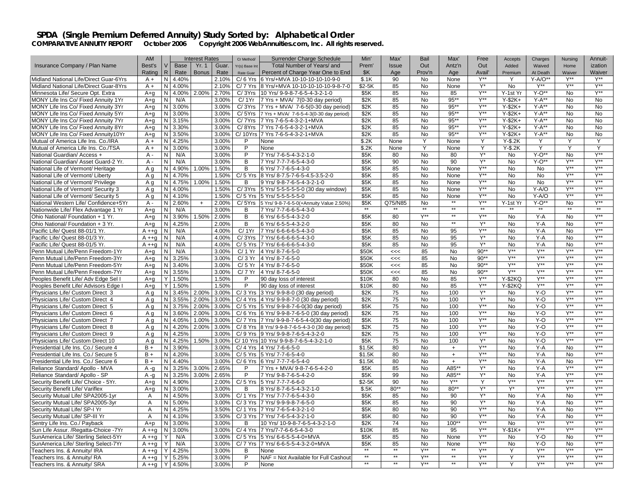|                                                                      | AM                 |                         | <b>Interest Rates</b> |       | Cr Method/     | Surrender Charge Schedule                        | Min'          | Max'         | Bail              | Max'       | Free                      | Accepts        | Charges          | Nursing          | Annuit-                |
|----------------------------------------------------------------------|--------------------|-------------------------|-----------------------|-------|----------------|--------------------------------------------------|---------------|--------------|-------------------|------------|---------------------------|----------------|------------------|------------------|------------------------|
| Insurance Company / Plan Name                                        | Best's             | <b>Base</b><br>V        | Yr. 1                 | Guar. | Yr(s) Base Int | Total Number of Years/ and                       | Prem'         | <b>Issue</b> | Out               | Antz'n     | Out                       | Added          | Waived           | Home             | ization                |
|                                                                      | Rating             | R<br>Rate               | <b>Bonus</b>          | Rate  | Rate Guar      | Percent of Charge Year One to End                | \$K           | Age          | Prov'n            | Age        | Avail'                    | Premium        | At Death         | Waiver           | Waiver                 |
| Midland National Life/Direct Guar-6Yrs                               | $A +$              | N<br>4.40%              |                       | 2.10% | $C/6$ Yrs      | 6 Yrs/+MVA 10-10-10-10-10-9-0                    | \$.1K         | 90           | <b>No</b>         | None       | $Y^{\star\star}$          | Y              | $Y-A/O**$        | $Y^{\star\star}$ | $Y^{\star\star}$       |
| Midland National Life/Direct Guar-8Yrs                               | $A +$              | 4.00%<br>N              |                       | 2.10% | $C/7$ Yrs      | 8 Yrs/+MVA 10-10-10-10-10-9-8-7-0                | \$2-5K        | 85           | No                | None       | Y*                        | No             | $Y^{**}$         | $Y^{**}$         | $Y^{**}$               |
| Minnesota Life/ Secure Opt. Extra                                    | $A + q$            | N<br>4.00%              | 2.00%                 | 2.70% | C/3Yrs         | 10 Yrs/ 9-9-8-7-6-5-4-3-2-1-0                    | \$5K          | 85           | No                | 85         | $Y^{\star\star}$          | Y-1st Yr       | $Y-O**$          | <b>No</b>        | Y**                    |
| MONY Life Ins Co/ Fixed Annuity 1Yr                                  | $A + a$            | N/A<br>N                |                       | 3.00% | C/1Yr          | 7 Yrs + MVA/ 7(0-30 day period)                  | \$2K          | 85           | No                | $95**$     | Y**                       | $Y-$2K+$       | $Y-A**$          | No               | <b>No</b>              |
| MONY Life Ins Co/ Fixed Annuity 3Yr                                  | A+q                | N 3.00%                 |                       | 3.00% | C/3Yrs         | 7 Yrs + MVA/ 7-6-5(0-30 day period)              | \$2K          | 85           | <b>No</b>         | $95***$    | $Y^{\ast\ast}$            | $Y-$2K+$       | $Y-A**$          | No               | <b>No</b>              |
| MONY Life Ins Co/ Fixed Annuity 5Yr                                  | $A + q$            | N<br>3.00%              |                       | 3.00% | C/5Yrs         | 7 Yrs + MVA/ 7-6-5-4-3(0-30 day period)          | \$2K          | 85           | No                | $95**$     | $Y^{\ast\ast}$            | $Y-$2K+$       | $Y-A**$          | No               | <b>No</b>              |
| MONY Life Ins Co/ Fixed Annuity 7Yr                                  | A+a                | N 3.15%                 |                       | 3.00% | C/7Yrs         | 7 Yrs 7-6-5-4-3-2-1+MVA                          | \$2K          | 85           | <b>No</b>         | $95*$      | $Y^{\star\star}$          | $Y-2K+$        | $Y-A**$          | <b>No</b>        | <b>No</b>              |
| MONY Life Ins Co/ Fixed Annuity 8Yr                                  | A+q                | N <sub>1</sub><br>3.30% |                       | 3.00% | C/8Yrs         | 7 Yrs 7-6-5-4-3-2-1+MVA                          | \$2K          | 85           | No                | $95***$    | $Y^{\ast\ast}$            | $Y-$2K+$       | $Y-A**$          | <b>No</b>        | <b>No</b>              |
| MONY Life Ins Co/ Fixed Annuity10Yr                                  | $A + q$            | N 3.50%                 |                       | 3.00% | C/10Yrs        | 7 Yrs 7-6-5-4-3-2-1+MVA                          | \$2K          | 85           | No                | $95***$    | $Y^{\ast\ast}$            | $Y-$2K+$       | $Y-A**$          | No               | No                     |
| Mutual of America Life Ins. Co./IRA                                  | $A +$              | 4.25%<br>N.             |                       | 3.00% | P              | None                                             | \$.2K         | None         | Y                 | None       | Y                         | $Y-S.2K$       | Y                | Y                | Y                      |
| Mutual of America Life Ins. Co./TSA                                  | $A +$              | N<br>3.00%              |                       | 3.00% | P              | None                                             | \$.2K         | None         | Ϋ                 | None       | Y                         | $Y-S.2K$       | Y                | Y                | Y                      |
| National Guardian/ Access +                                          | A -                | N<br>N/A                |                       | 3.00% | P              | 7 Yrs/ 7-6-5-4-3-2-1-0                           | \$5K          | 80           | No                | 80         | Y*                        | No             | $Y-O**$          | No               | $Y^{\star\star}$       |
|                                                                      | $A -$              | N/A                     |                       |       | $\overline{B}$ | 7 Yrs/ 7-7-7-6-5-4-3-0                           | \$5K          | 90           | $\overline{N}$    | 90         | Y*                        |                | $Y-O**$          | Y**              | <b>V**</b>             |
| National Guardian/ Asset Guard-2 Yr.                                 |                    | N                       | 1.00%                 | 3.00% | B              |                                                  | \$5K          |              |                   |            | Y**                       | <b>No</b>      | <b>No</b>        | Y**              | $Y^{\ast\ast}$         |
| National Life of Vermont/ Heritage                                   | Aq                 | N<br>4.90%              |                       | 1.50% |                | 6 Yrs/ 7-7-6-5-4-3-0                             |               | 85           | No                | None       | $Y^{\ast\ast}$            | No             |                  | $Y^{\star\star}$ | $Y^{\star\star}$       |
| National Life of Vermont/ Liberty                                    | Αq                 | N<br>4.70%              |                       | 1.50% | $C/5$ Yrs      | 8 Yrs/ 8-7.5-7-6-5-4.5-3.5-2-0                   | \$5K          | 85           | No                | None       |                           | No             | No               | Y**              |                        |
| National Life of Vermont/ Privilege                                  | A g                | 4.75%<br>N.             | 1.00%                 | 1.50% | B              | 9 Yrs/ 9-8-7-6-5-4-3-2-1-0                       | \$5K          | 85           | <b>No</b>         | None       | Y**                       | No.            | No               |                  | $Y^{\star\star}$       |
| National Life of Vermont/ Security 3                                 | Aq                 | N<br>4.00%              |                       | 1.50% | C/3Yrs         | 5 Yrs/ 5-5-5-5-5-0 (30 day window)               | \$5K          | 85           | <b>No</b>         | None       | Y**                       | <b>No</b>      | Y-A/O            | $Y^{\ast\ast}$   | $Y^{\star\star}$       |
| National Life of Vermont/ Security 5                                 | A g                | N<br>4.10%              |                       | 1.50% | $C/5$ Yrs      | 5 Yrs/ 5-5-5-5-5-0                               | \$5K          | 85           | No                | None<br>** | $Y^{**}$                  | No             | Y-A/O            | Y**              | $Y^{**}$               |
| National Western Life/ Confidence+5Yr                                | A -                | N<br>2.60%              | $+$                   | 2.00% | C/5Yrs         | 5 Yrs/ 9-8-7-6-5-0(+Annuity Value 2.50%)         | \$5K          | Q75/N85      | <b>No</b><br>$**$ | $*$        | $Y^{\ast\ast}$<br>$*$     | Y-1st Yr       | $Y-O**$<br>$**$  | <b>No</b>        | $Y^{\ast\ast}$<br>$**$ |
| Nationwide Life/ Flex Advantage 1 Yr                                 | A+q                | N<br>N/A                |                       | 3.00% | B              | 7 Yrs/ 7-7-6-6-5-4-3-0                           |               |              |                   | $**$       |                           |                |                  |                  |                        |
| Ohio National/ Foundation + 1 Yr.                                    | A+q                | N<br>3.90%              | 1.50%                 | 2.00% | В              | 6 Yrs/ 6-5-5-4-3-2-0                             | \$5K          | 80           | $Y^{\ast\ast}$    |            | $\overline{Y^{\ast\ast}}$ | No             | $Y - A$          | No               | $Y^{\star\star}$       |
| Ohio National/ Foundation + 3 Yr.                                    | $A + q$            | N<br>4.25%              |                       | 2.00% | В              | 6 Yrs/ 6-5-5-4-3-2-0                             | \$5K          | 80           | No                | $**$       | $\mathsf{Y}^\star$        | No             | Y-A              | No               | $Y^{\star\star}$       |
| Pacific Life/ Quest 88-01/1 Yr.                                      | $A + q$            | N<br>N/A                |                       | 4.00% | C/1Yr          | 7 Yrs/ 6-6-6-6-5-4-3-0                           | \$5K          | 85           | No                | 95         | $Y^{\ast\ast}$            | No             | $Y-A$            | <b>No</b>        | $Y^{\ast\ast}$         |
| Pacific Life/ Quest 88-01/3 Yr.                                      | $A + q$            | N<br>N/A                |                       | 4.00% | C/3Yrs         | 7 Yrs/ 6-6-6-6-5-4-3-0                           | \$5K          | 85           | No                | 95         | $Y^*$                     | No             | $Y - A$          | No               | $Y^{\star\star}$       |
| Pacific Life/ Quest 88-01/5 Yr.                                      | $A + q$            | N/A<br>N                |                       | 4.00% |                | C/ 5 Yrs 7 Yrs/ 6-6-6-6-5-4-3-0                  | \$5K          | 85           | No                | 95         | $Y^*$                     | No             | Y-A              | No               | $Y^{\star\star}$       |
| Penn Mutual Life/Penn Freedom-1Yr                                    | A+q                | N<br>N/A                |                       | 3.00% | C/1Yr          | 4 Yrs/ 8-7-6-5-0                                 | \$50K         | <<           | 85                | No         | $90**$                    | Y**            | Y**              | Y**              | $V^{\star\star}$       |
| Penn Mutual Life/Penn Freedom-3Yr                                    | $A + q$            | N<br>3.25%              |                       | 3.00% | C/3Yr          | 4 Yrs/ 8-7-6-5-0                                 | \$50K         | <<           | 85                | No         | $90**$                    | $Y^{\ast\ast}$ | $Y^{\ast\ast}$   | $Y^{\ast\ast}$   | $Y^{\ast\ast}$         |
| Penn Mutual Life/Penn Freedom-5Yr                                    | $A+q$              | N.<br>3.40%             |                       | 3.00% |                | C/ 5 Yr 4 Yrs/ 8-7-6-5-0                         | \$50K         | <<           | 85                | No         | $90**$                    | Y**            | $V^{\star\star}$ | $V^{\ast\ast}$   | $V^{**}$               |
| Penn Mutual Life/Penn Freedom-7Yr                                    | $A + a$            | N<br>3.55%              |                       | 3.00% | C/7Yr          | 4 Yrs/ 8-7-6-5-0                                 | \$50K         | <<           | 85                | <b>No</b>  | $90**$                    | <b>Y**</b>     | $V^{\ast\ast}$   | $Y^{\ast\ast}$   | $Y^{\ast\ast}$         |
| Peoples Benefit Life/ Adv Edge Sel I                                 | $A + q$            | Y<br>1.50%              |                       | 1.50% | P              | 90 day loss of interest                          | \$10K         | 80           | <b>No</b>         | 85         | Y**                       | Y-\$2KQ        | Y**              | Y**              | $Y^{\ast\ast}$         |
| Peoples Benefit Life/ Advisors Edge I                                | $A + q$            | Y<br>1.50%              |                       | 1.50% | P              | 90 day loss of interest                          | \$10K         | 80           | No                | 85         | $Y^{\star\star}$          | <b>Y-\$2KQ</b> | $Y^{\star\star}$ | $Y^{\ast\ast}$   | $Y^{\ast\ast}$         |
| Physicians Life/ Custom Direct 3                                     | A q                | N.<br>3.45%             | 2.00%                 | 3.00% |                | C/ 3 Yrs 3 Yrs/ 9-9-8-0 (30 day period)          | \$2K          | 75           | No                | 100        | $Y^*$                     | No.            | $Y-0$            | Y**              | Y**                    |
| Physicians Life/ Custom Direct 4                                     | Aq                 | N<br>3.55%              | 2.00%                 | 3.00% |                | C/ 4 Yrs 4 Yrs/ 9-9-8-7-0 (30 day period)        | \$2K          | 75           | <b>No</b>         | 100        | $Y^*$                     | <b>No</b>      | $Y-O$            | $Y^{\ast\ast}$   | $Y^{\ast\ast}$         |
| Physicians Life/ Custom Direct 5                                     | A q                | N 3.75%                 | 2.00%                 | 3.00% |                | $C/5$ Yrs 5 Yrs/ 9-9-8-7-6-0(30 day period)      | \$5K          | 75           | No                | 100        | Y**                       | No             | Y-O              | Y**              | Y**                    |
| Physicians Life/ Custom Direct 6                                     | A a                | N<br>3.60%              | 2.00%                 | 3.00% |                | C/6 Yrs 6 Yrs/ 9-9-8-7-6-5-0 (30 day period)     | \$2K          | 75           | No                | 100        | $Y^{\ast\ast}$            | <b>No</b>      | $Y-0$            | Y**              | $Y^{\star\star}$       |
| Physicians Life/ Custom Direct 7                                     | A q                | N<br>4.05%              | 1.00%                 | 3.00% |                | C/7 Yrs 7 Yrs/ 9-9-8-7-6-5-4-0(30 day period)    | \$5K          | 75           | <b>No</b>         | 100        | Y**                       | <b>No</b>      | Y-O              | Y**              | $V^{\star\star}$       |
| Physicians Life/ Custom Direct 8                                     | A a                | N<br>4.20%              | 2.00%                 | 3.00% |                | C/8 Yrs 8 Yrs/ 9-9-8-7-6-5-4-3-0 (30 day period) | \$2K          | 75           | No                | 100        | $Y^{\ast\ast}$            | No             | $Y-O$            | Y**              | $Y^{\ast\ast}$         |
| Physicians Life/ Custom Direct 9                                     | A q                | N<br>4.25%              |                       | 3.00% |                | C/9 Yrs 9 Yrs/ 9-9-8-7-6-5-4-3-2-0               | \$2K          | 75           | <b>No</b>         | 100        | <b>Y**</b>                | <b>No</b>      | $Y-O$            | Y**              | <b>Y**</b>             |
| Physicians Life/ Custom Direct 10                                    | Aq                 | N<br>4.25%              | 1.50%                 | 3.00% |                | C/ 10 Yrs 10 Yrs/ 9-9-8-7-6-5-4-3-2-1-0          | \$5K          | 75           | No                | 100        | $Y^*$                     | No             | Y-O              | Y**              | $Y^{\star\star}$       |
| Presidential Life Ins. Co./ Secure 4                                 | $B +$              | N<br>3.90%              |                       | 3.00% | $C/4$ Yrs      | 4 Yrs/ 7-6-6-5-0                                 | \$1.5K        | 80           | <b>No</b>         | $+$        | $Y^{\star\star}$          | <b>No</b>      | $Y - A$          | No               | $Y^{\star\star}$       |
| Presidential Life Ins. Co./ Secure 5                                 | $B +$              | 4.20%<br>N.             |                       | 3.00% | $C/5$ Yrs      | 5 Yrs/ 7-7-6-5-4-0                               | \$1.5K        | 80           | <b>No</b>         | $+$        | $Y^{\ast\ast}$            | No.            | $Y - A$          | <b>No</b>        | Y**                    |
| Presidential Life Ins. Co./ Secure 6                                 | $B +$              | N<br>4.40%              |                       | 3.00% |                | C/6 Yrs 6 Yrs/ 7-7-7-6-5-4-0                     | \$1.5K        | 80           | <b>No</b>         | $+$        | Y**                       | <b>No</b>      | $Y-A$            | <b>No</b>        | $V^{\star\star}$       |
| Reliance Standard/ Apollo - MVA                                      | $A - q$            | 3.25%<br>N              | 3.00%                 | 2.65% | P              | 7 Yrs + MVA/ 9-8-7-6-5-4-2-0                     | \$5K          | 85           | No                | A85**      | Y*                        | No             | $Y-A$            | $Y^{\ast\ast}$   | $Y^{**}$               |
| Reliance Standard/ Apollo - SP                                       | $A - q$            | N<br>3.25%              | 3.00%                 | 2.65% | P              | 7 Yrs/ 9-8-7-6-5-4-2-0                           | \$5K          | 99           | No                | A85**      | $Y^*$                     | No             | $Y - A$          | $Y^{\star\star}$ | $Y^{\star\star}$       |
| Security Benefit Life/ Choice - 5Yr.                                 | $A + a$            | N<br>4.90%              |                       | 2.00% |                | C/ 5 Yrs 5 Yrs/ 7-7-7-6-6-0                      | \$2-5K        | 90           | <b>No</b>         | Y**        | Y                         | Y**            | $Y^{\star\star}$ | Y**              | $Y^{\ast\ast}$         |
| Security Benefit Life/ Variflex                                      | A+q                | N<br>3.00%              |                       | 3.00% | B              | 8 Yrs/ 8-7-6-5-4-3-2-1-0                         | \$.5K         | 80**         | <b>No</b>         | $80**$     | Y*                        | Y*             | $Y^{\ast\ast}$   | $Y^{\ast\ast}$   | $Y^{\ast\ast}$         |
| Security Mutual Life/ SPA2005-1yr                                    | $\overline{A}$     | N 4.50%                 |                       | 3.00% |                | C/ 1 Yrs 7 Yrs/ 7-7-7-6-5-4-3-0                  | \$5K          | 85           | No                | 90         | $\mathsf{Y}^\star$        | No             | Y-A              | No               | $Y^{\star\star}$       |
| Security Mutual Life/ SPA2005-3yr                                    | A                  | N.<br>5.00%             |                       | 3.00% |                | C/3 Yrs 7 Yrs/ 9-9-9-8-7-6-5-0                   | \$5K          | 85           | N <sub>o</sub>    | 90         | $Y^*$                     | <b>No</b>      | $Y-A$            | No               | $Y^{\ast\ast}$         |
| Security Mutual Life/ SP-I Yr                                        | A                  | N<br>4.25%              |                       | 3.50% | $C/1$ Yrs      | 7 Yrs/ 7-6-5-4-3-2-1-0                           | \$5K          | 80           | No                | 90         | Y**                       | No             | Y-A              | <b>No</b>        | $Y^{\ast\ast}$         |
| Security Mutual Life/ SP-III Yr                                      | Α                  | N<br>4.10%              |                       | 3.50% |                | C/ 3 Yrs 7 Yrs/ 7-6-5-4-3-2-1-0                  | \$5K          | 80           | No                | 90         | $Y^{**}$                  | No             | Y-A              | No               | $Y^{\ast\ast}$         |
| Sentry Life Ins. Co./ Payback                                        | $A + p$            | N<br>3.00%              |                       | 3.00% | B              | 10 Yrs/ 10-9-8-7-6-5-4-3-2-1-0                   | \$2K          | 74           | <b>No</b>         | $100**$    | Y**                       | No.            | $Y^{\star\star}$ | Y**              | $Y^{\ast\ast}$         |
| Sun Life Assur. / Regatta-Choice - 7Yr                               | $A + q$            | N<br>3.00%              |                       | 3.00% | $C/4$ Yrs      | 7 Yrs/7-7-6-6-5-4-3-0                            | \$10K         | 85           | No                | 95         | $Y^{\ast\ast}$            | $Y-$1K+$       | $Y^{\star\star}$ | $Y^{\ast\ast}$   | $Y^{\ast\ast}$         |
| SunAmerica Life/ Sterling Select-5Yr                                 | $A + q$            | N/A                     |                       | 3.00% | $C/5$ Yrs      | 5 Yrs/ 6-6-5-5-4-0+MVA                           | \$5K          | 85           | No                | None       | Y**                       | No             | Y-O              | No               | $Y^{\star\star}$       |
|                                                                      |                    | N/A                     |                       | 3.00% | $C/7$ Yrs      | 7 Yrs/ 6-6-5-5-4-3-2-0+MVA                       | \$5K          | 85           | <b>No</b>         | None       | $Y^{\ast\ast}$            | N <sub>o</sub> | Y-O              | No               | $Y^{\ast\ast}$         |
| SunAmerica Life/ Sterling Select-7Yr<br>Teachers Ins. & Annuity/ IRA | $A + g$<br>$A + q$ | 4.25%                   |                       | 3.00% | В              | None                                             | $**$          | $**$         | Y**               | $**$       | Y**                       |                | Y**              | Y**              | $Y^{\star\star}$       |
|                                                                      |                    | Y                       |                       |       | P              |                                                  | $**$          | $**$         | Y**               | $**$       | $Y^{\ast\ast}$            | Y              | $Y^{\star\star}$ | $Y^{\ast\ast}$   | $Y^{\star\star}$       |
| Teachers Ins. & Annuity/RA                                           | $A + q$            | 5.25%                   |                       | 3.00% | P              | NAF = Not Available for Full Cashout             | $\frac{1}{2}$ | $**$         | Y**               | $**$       | $Y^{\star\star}$          |                | $Y^{\ast\ast}$   | Y**              | $Y^{\star\star}$       |
| Teachers Ins. & Annuity/ SRA                                         | $A + g$            | Y 4.50%                 |                       | 3.00% |                | None                                             |               |              |                   |            |                           |                |                  |                  |                        |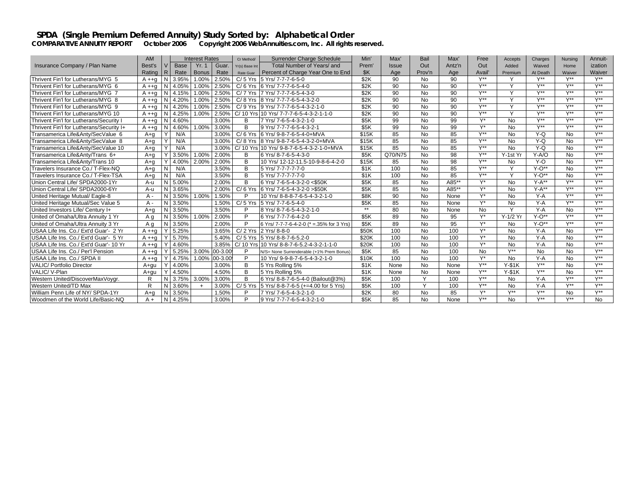|                                          | <b>AM</b>    |              |             | <b>Interest Rates</b> |              | Cr Method/     | Surrender Charge Schedule                 | Min'  | Max'    | Bail         | Max'   | Free             | Accepts          | Charges          | Nursing          | Annuit-          |
|------------------------------------------|--------------|--------------|-------------|-----------------------|--------------|----------------|-------------------------------------------|-------|---------|--------------|--------|------------------|------------------|------------------|------------------|------------------|
| Insurance Company / Plan Name            | Best's       |              | <b>Base</b> | <b>Yr. 1</b>          | Guar.        | Yr(s) Base Int | Total Number of Years/ and                | Prem  | Issue   | Out          | Antz'n | Out              | Added            | Waived           | Home             | ization          |
|                                          | Rating       | IR.          | Rate        | <b>Bonus</b>          | Rate         | Rate Guar      | Percent of Charge Year One to End         | \$K   | Age     | Prov'n       | Age    | Avail            | Premium          | At Death         | Waiver           | Waiver           |
| Thrivent Fin'l for Lutherans/MYG 5       | $A + a$      | N            | 3.95%       | 1.00%                 | 2.50%        | $C/5$ Yrs      | 5 Yrs/ 7-7-7-6-5-0                        | \$2K  | 90      | <b>No</b>    | 90     | $V^{\star\star}$ |                  | $V^{\star\star}$ | $V^{\star\star}$ | $Y^{\star\star}$ |
| Thrivent Fin'l for Lutherans/MYG 6       | A ++a        | N            | 4.05%       | 1.00%                 | 2.50%        |                | C/6 Yrs 6 Yrs/ 7-7-7-6-5-4-0              | \$2K  | 90      | <b>No</b>    | 90     | V**              | $\check{ }$      | $V^{\star\star}$ | $V^{\star\star}$ | V**              |
| Thrivent Fin'l for Lutherans/MYG 7       | $A + q$      | N            | 4.15%       | 1.00%                 | 2.50%        | $C/7$ Yrs      | 7 Yrs/ 7-7-7-6-5-4-3-0                    | \$2K  | 90      | <b>No</b>    | 90     | $V**$            | $\checkmark$     | $V^{\star\star}$ | $V^{\star\star}$ | $V^{\star\star}$ |
| Thrivent Fin'l for Lutherans/MYG 8       | A ++a        | N            | 4.20%       | 1.00%                 | 2.50%        |                | C/8 Yrs 8 Yrs/ 7-7-7-6-5-4-3-2-0          | \$2K  | 90      | <b>No</b>    | 90     | $V^{\star\star}$ | $\checkmark$     | $V**$            | $V^{\star\star}$ | $V^{\star\star}$ |
| Thrivent Fin'l for Lutherans/MYG 9       | $A + q$      | N            | 4.20%       | 1.00%                 | 2.50%        |                | C/9 Yrs 9 Yrs/ 7-7-7-6-5-4-3-2-1-0        | \$2K  | 90      | <b>No</b>    | 90     | $V^{\star\star}$ | $\checkmark$     | $V**$            | $V^{\star\star}$ | $V^{\star\star}$ |
| Thrivent Fin'l for Lutherans/MYG 10      | A ++a        | N            | 4.25%       | 1.00%                 | 2.50%        |                | C/ 10 Yrs 10 Yrs/ 7-7-7-6-5-4-3-2-1-1-0   | \$2K  | 90      | <b>No</b>    | 90     | $V^{\star\star}$ | $\checkmark$     | $V^{\star\star}$ | $V^{\star\star}$ | $V^{\star\star}$ |
| Thrivent Fin'l for Lutherans/Security I  | $A + q$      | N            | 4.60%       |                       | 3.00%        | B              | 7 Yrs/ 7-6-5-4-3-2-1-0                    | \$5K  | 99      | <b>No</b>    | 99     | V*               | <b>No</b>        | $V^{\star\star}$ | $V^{\ast\ast}$   | $Y^{\ast\ast}$   |
| Thrivent Fin'l for Lutherans/Security I+ | A ++a        | N            | 4.60%       | 1.00%                 | 3.00%        | <sub>R</sub>   | 9 Yrs/ 7-7-7-6-5-4-3-2-1                  | \$5K  | 99      | <b>No</b>    | 99     | V*               | <b>No</b>        | $V^{\star\star}$ | $V^{\star\star}$ | $V^{\star\star}$ |
| Transamerica Life&Anty/SecValue 6        | A+a          | Y            | N/A         |                       | 3.00%        | $C/6$ Yrs      | 6 Yrs/ 9-8-7-6-5-4-0+MVA                  | \$15K | 85      | <b>No</b>    | 85     | V**              | <b>No</b>        | $Y-Q$            | <b>No</b>        | $V^{\star\star}$ |
| Transamerica Life&Anty/SecValue 8        | $A + a$      | Y            | N/A         |                       | 3.00%        | $C/8$ Yrs      | 8 Yrs/ 9-8-7-6-5-4-3-2-0+MVA              | \$15K | 85      | <b>No</b>    | 85     | Y**              | <b>No</b>        | $Y-Q$            | No               | $V^{\star\star}$ |
| Transamerica Life&Anty/SecValue 10       | $A + a$      | Y            | N/A         |                       | 3.00%        |                | C/ 10 Yrs 10 Yrs/ 9-8-7-6-5-4-3-2-1-0+MVA | \$15K | 85      | <b>No</b>    | 85     | $V^{\ast\ast}$   | <b>No</b>        | $Y-Q$            | No               | $Y^{\ast\ast}$   |
| Transamerica Life&Anty/Trans 6+          | A+a          | $\checkmark$ | 3.50%       | 1.00%                 | 2.00%        | R              | 6 Yrs/ 8-7-6-5-4-3-0                      | \$5K  | Q70/N75 | <b>No</b>    | 98     | $V^{\star\star}$ | Y-1st Yr         | $Y-A/O$          | <b>No</b>        | $V^{\star\star}$ |
| Transamerica Life&Antv/Trans 10          | A+a          |              | 4.00%       | 2.00%                 | 2.00%        | B              | 10 Yrs/ 12-12-11.5-10-9-8-6-4-2-0         | \$15K | 85      | <b>No</b>    | 98     | $V^{\star\star}$ | <b>No</b>        | $Y-O$            | No               | $V^{\star\star}$ |
| Travelers Insurance Co./ T-Flex-NQ       | A+a          | N            | N/A         |                       | 3.50%        | B              | 5 Yrs/ 7-7-7-7-7-0                        | \$1K  | 100     | <b>No</b>    | 85     | $V^{\star\star}$ |                  | $Y-O**$          | No               | $V^{\star\star}$ |
| Travelers Insurance Co./ T-Flex-TSA      | A+a          | N            | N/A         |                       | 3.50%        | B              | 5 Yrs/ 7-7-7-7-7-0                        | \$1K  | 100     | <b>No</b>    | 85     | $V^{\star\star}$ | $\checkmark$     | $Y - O^{**}$     | No               | $V**$            |
| Union Central Life/ SPDA2000-1Yr         | A-u          | N            | 5.00%       |                       | 2.00%        | B              | 6 Yrs/ 7-6-5-4-3-2-0 <\$50K               | \$5K  | 85      | <b>No</b>    | A85**  | $V^*$            | <b>No</b>        | $Y-A**$          | $V^{\star\star}$ | $V^{\star\star}$ |
| Union Central Life/ SPDA2000-6Yr         | A-u          | N            | 3.65%       |                       | 2.00%        | $C/6$ Yrs      | 6 Yrs/ 7-6-5-4-3-2-0 > \$50K              | \$5K  | 85      | <b>No</b>    | A85**  | $V^*$            | <b>No</b>        | $Y-A**$          | $V^{\star\star}$ | $V^{\star\star}$ |
| United Heritage Mutual/ Eagle-8          | A -          | N            | 3.50%       | 1.00%                 | 1.50%        |                | 10 Yrs/ 8-8-8-7-6-5-4-3-2-1-0             | \$8K  | 90      | <b>No</b>    | None   | $V^*$            | <b>No</b>        | $Y - A$          | $V^{\star\star}$ | $V^{\star\star}$ |
| United Heritage Mutual/Sec Value 5       | $A -$        | N            | 3.50%       |                       | 1.50%        | $C/5$ Yrs      | 5 Yrs/ 7-7-6-5-4-0                        | \$5K  | 85      | <b>No</b>    | None   | V*               | <b>No</b>        | $Y - A$          | $V^{\star\star}$ | $V^{\star\star}$ |
| United Investors Life/ Century I+        | $A + a$      | N            | 3.50%       |                       | 3.50%        | D              | 8 Yrs/ 8-7-6-5-4-3-2-1-0                  | $**$  | 80      | <b>No</b>    | None   | <b>No</b>        | $\checkmark$     | $Y - A$          | No               | $V^{\star\star}$ |
| United of Omaha/Ultra Annuity 1 Yr       | $A \alpha$   | N            | 3.50%       | 1.00%                 | 2.00%        | P              | 6 Yrs/ 7-7-7-6-4-2-0                      | \$5K  | 89      | <b>No</b>    | 95     | $V^*$            | Y-1/2 Yr         | $Y - O^{**}$     | $V^{\star\star}$ | $V^{\star\star}$ |
| United of Omaha/Ultra Annuity 3 Yr       | A a          | N            | 3.50%       |                       | 2.00%        | P              | 6 Yrs/ 7-7-7-6-4-2-0 (* = 35% for 3 Yrs)  | \$5K  | 89      | <b>No</b>    | 95     | $V^*$            | <b>No</b>        | $Y-O**$          | $V^{\star\star}$ | $V^{\star\star}$ |
| USAA Life Ins. Co./ Ext'd Guar'- 2 Yr    | $A + a$      |              | 5.25%       |                       | 3.65%        |                | C/ 2 Yrs 2 Yrs/ 8-8-0                     | \$50K | 100     | <b>No</b>    | 100    | V*               | <b>No</b>        | $Y - A$          | No               | V**              |
| USAA Life Ins. Co./ Ext'd Guar'- 5 Yr    | A ++a        |              | 5.70%       |                       | 5.40%        |                | C/ 5 Yrs 5 Yrs/ 8-8-7-6-5.2-0             | \$20K | 100     | <b>No</b>    | 100    | V*               | <b>No</b>        | $Y-A$            | No               | $V^{\star\star}$ |
| USAA Life Ins. Co./ Ext'd Guar'- 10 Yr   | $A + a$      |              | 4.60%       |                       | 3.85%        |                | C/10 Yrs 10 Yrs/8-8-7-6-5.2-4-3-2-1-1-0   | \$20K | 100     | <b>No</b>    | 100    | V*               | <b>No</b>        | $Y-A$            | No               | $V^{\star\star}$ |
| USAA Life Ins. Co./ Per'l Pension        | $A + a$      |              | 5.25%       | 3.00%                 | $.00 - 3.00$ | P              | N/S= None Surrenderable (+1% Prem Bonus   | \$5K  | 85      | <b>No</b>    | 100    | <b>No</b>        | $V^{\ast\ast}$   | No               | <b>No</b>        | $V^{\star\star}$ |
| USAA Life Ins. Co./ SPDA I               | $A + q$      |              | 4.75%       | 1.00%                 | $00-3.00$    | P              | 10 Yrs/ 9-9-8-7-6-5-4-3-2-1-0             | \$10K | 100     | No           | 100    | $V^*$            | <b>No</b>        | $Y-A$            | <b>No</b>        | $V^{\ast\ast}$   |
| VALIC/ Portfolio Director                | A+qu         |              | 4.00%       |                       | 3.00%        | В              | 5 Yrs Rolling 5%                          | \$1K  | None    | <b>No</b>    | None   | V**              | $Y-S1K$          | $V^{\star\star}$ | No               | $V^{**}$         |
| VALIC/ V-Plan                            | A+au         | Υ            | 4.50%       |                       | 4.50%        | B              | 5 Yrs Rolling 5%                          | \$1K  | None    | <b>No</b>    | None   | $V^{\star\star}$ | $Y-S1K$          | $V^{\star\star}$ | No               | $V^{\star\star}$ |
| Western United/DiscoverMaxVoygr.         | R            | N            | 3.75%       | 3.00%                 | 3.00%        | B              | 6 Yrs/ 8-8-7-6-5-4-0 (Bailout@3%)         | \$5K  | 100     | $\checkmark$ | 100    | V**              | <b>No</b>        | $Y - A$          | $V^{\star\star}$ | $V^{\star\star}$ |
| Western United/TD Max                    | $\mathsf{R}$ | N            | 3.60%       | $+$                   | 3.00%        | $C/5$ Yrs      | 5 Yrs/ 8-8-7-6-5 (+=4.00 for 5 Yrs)       | \$5K  | 100     | $\vee$       | 100    | $V^{\star\star}$ | <b>No</b>        | $Y - A$          | V**              | $V^{\star\star}$ |
| William Penn Life of NY/ SPDA-1Yr        | A+a          | N            | 3.50%       |                       | 1.50%        |                | 7 Yrs/ 7-6-5-4-3-2-1-0                    | \$2K  | 80      | <b>No</b>    | 85     | $V^*$            | $V^{\star\star}$ | $V^{\star\star}$ | No               | V**              |
| Woodmen of the World Life/Basic-NQ       | $A +$        | N            | 4.25%       |                       | 3.00%        | D              | 9 Yrs/ 7-7-7-6-5-4-3-2-1-0                | \$5K  | 85      | <b>No</b>    | None   | $V^{\star\star}$ | <b>No</b>        | $V^{\star\star}$ | $V^{\star\star}$ | <b>No</b>        |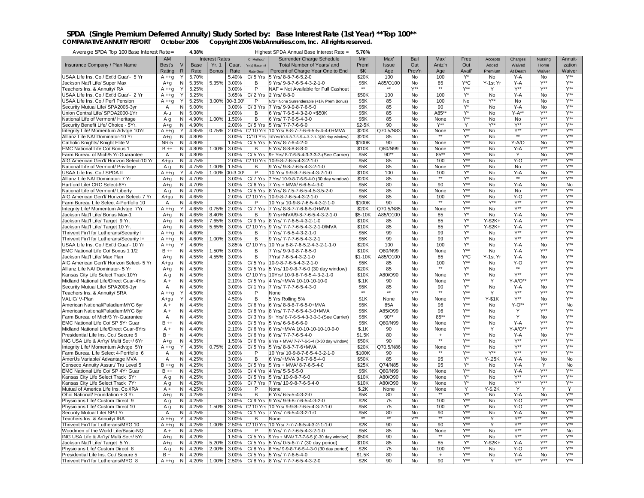### SPDA (Single Premium Deferred Annuity) Study Sorted by: Base Interest Rate (1st Year) \*\* Top 100\*\*<br>COMPARATIVE ANNUITY REPORT October 2006 Copyright 2006 WebAnnuities.com, Inc. All rights reserved.

| Average SPDA Top 100 Base Interest Rate=                              |               |                | 4.38%          |                       |                |                         | Highest SPDA Annual Base Interest Rate =                    | 5.70%             |                     |                  |                  |                  |                  |                  |                             |                         |
|-----------------------------------------------------------------------|---------------|----------------|----------------|-----------------------|----------------|-------------------------|-------------------------------------------------------------|-------------------|---------------------|------------------|------------------|------------------|------------------|------------------|-----------------------------|-------------------------|
|                                                                       | <b>AM</b>     |                |                | <b>Interest Rates</b> |                | Cr Method/              | Surrender Charge Schedule                                   | Min'              | Max'                | Bail             | Max'             | Free             | Accepts          | Charges          | Nursing                     | Annuit-                 |
| Insurance Company / Plan Name                                         | Best's        |                | Base           | Yr. 1                 | Guar.          | Yr(s) Base Int          | Total Number of Years/ and                                  | Prem'             | Issue               | Out              | Antz'n           | Out              | Added            | Waived           | Home                        | ization                 |
|                                                                       | Rating        | R              | Rate           | <b>Bonus</b>          | Rate           | Rate Guar               | Percent of Charge Year One to End                           | \$K               | Age                 | Prov'n           | Age              | Avail'           | Premium          | At Death         | Waiver                      | Waiver                  |
| USAA Life Ins. Co./ Ext'd Guar'- 5 Yr                                 | $A + q$       | Y              | 5.70%          |                       | 5.40%          | $C/5$ Yrs               | 5 Yrs/ 8-8-7-6-5.2-0                                        | \$20K             | 100                 | No               | 100              | $Y^*$            | No               | Y-A              | No                          | $Y^{\star\star}$        |
| Jackson Nat'l Life/ Super Max                                         | $A+q$         | N              | 5.35%          | 5.35%                 | 3.00%          | В                       | 9 Yrs/ 9-8-7-6-5-4-3-2-1-0                                  | \$5K              | A85/O100            | No               | 85               | Y*C              | Y-1st Yr         | Y-A              | Y**                         | $V^{\star\star}$        |
| Teachers Ins. & Annuity/ RA                                           | $A + g$       | Y              | 5.25%          |                       | 3.00%          | $\overline{P}$          | NAF = Not Available for Full Cashout                        |                   |                     | Y**              |                  | Y**              | Y                | $Y^{\star\star}$ | Y**                         | $Y^{\ast\ast}$          |
| USAA Life Ins. Co./ Ext'd Guar'- 2 Yr                                 | $A + q$       |                | 5.25%          |                       | 3.65%          | $C/2$ Yrs               | 2 Yrs/ 8-8-0                                                | \$50K             | 100                 | No               | 100              | $Y^*$            | No               | $Y - A$          | No                          | $Y^{\star\star}$        |
| USAA Life Ins. Co./ Per'l Pension                                     | $A + g$       |                | 5.25%          | 3.00%                 | $00 - 3.00$    | P                       | N/S= None Surrenderable (+1% Prem Bonus)                    | \$5K              | 85                  | No               | 100              | No               | $Y^{\star\star}$ | No               | No                          | $Y^{\star\star}$        |
| Security Mutual Life/ SPA2005-3yr                                     | A             | N              | 5.00%          |                       | 3.00%          | $C/3$ Yrs               | 7 Yrs/ 9-9-9-8-7-6-5-0                                      | \$5K              | 85                  | No               | 90               | Y*               | No               | Y-A              | No                          | Y**                     |
| Union Central Life/ SPDA2000-1Yr                                      | A-u           | N              | 5.00%          |                       | 2.00%          | B                       | 6 Yrs/ 7-6-5-4-3-2-0 <\$50K                                 | \$5K              | 85                  | No               | A85*             | Y*               | No               | $Y-A**$          | $Y^{\ast\ast}$              | $Y^{\star\star}$        |
| National Life of Vermont/ Heritage                                    | A g           | N <sub>1</sub> | 4.90%          | 1.00%                 | 1.50%          | B                       | 6 Yrs/ 7-7-6-5-4-3-0                                        | \$5K              | 85                  | No               | None             | Y**              | No               | No               | Y**                         | $Y^{\star\star}$        |
| Security Benefit Life/ Choice - 5Yr.                                  | $A+q$         | N              | 4.90%          |                       | 2.00%          | $C/5$ Yrs               | 5 Yrs/ 7-7-7-6-6-0                                          | $$2-5K$           | 90                  | No               | $Y^{\star\star}$ | Ϋ                | $Y^{\ast\ast}$   | Y**              | Y**                         | Y**                     |
| Integrity Life/ Momentum Advtge 10Yr                                  | $A + q$       | Y              | 4.85%          | 0.75%                 | 2.00%          | $C/10$ Yrs              | 10 Yrs/ 8-8-7-7-6-6-5-5-4-4-0+MVA                           | \$20K             | Q70.5/N8            | No               | None             | Y**              | No               | $Y^{\star\star}$ | $\overline{Y^{\star\star}}$ | $V^{\star\star}$        |
| Allianz Life NA/ Dominator-10 Yr                                      | $A+q$         | N              | 4.80%          |                       | 3.00%          | C/10 Yrs                | 10Yrs/10-9-8-7-6-5-4-3-2-1-0(30 day window)                 | \$20K             | 85                  | No               | $**$             | $Y^*$            | <b>No</b>        | $\star\star$     | $Y^{\star\star}$            | $Y^{\star\star}$        |
| Catholic Knights/ Knight Elite V                                      | <b>NR-5</b>   | N              | 4.80%          |                       | 1.50%          | $C/5$ Yrs               | 5 Yrs/ 8-7-6-4-2-0                                          | \$100K            | 90                  | No               | None             | Y**              | No               | Y-A/O            | No                          | Y**                     |
| EMC National Life Co/ Bonus 1                                         | $B + +$       | N <sub>1</sub> | 4.80%          | 1.00%                 | 3.00%          | B                       | 5 Yrs/ 8-8-8-8-8-0                                          | \$10K             | Q80/N99             | No               | None             | $Y^{\star\star}$ | No               | $Y - A$          | $V^{\star\star}$            | $Y^{**}$                |
| Farm Bureau of Mich/5 Yr-Guarantee                                    | Α             | N              | 4.80%          |                       | 3.00%          | $C/5$ Yrs               | 9+ Yrs/ 8-7-6-5-4-3-3-3-3-(See Carrier)                     | \$5K              | $90**$              | No               | 85**             | <b>Y**</b>       | <b>No</b>        |                  | No                          | $Y^{\star\star}$        |
| AIG American Gen'l/ Horizon Select-10 Yr                              | A+qu          | N.             | 4.75%          |                       | 2.00%          | C/ 10 Yrs               | 10-9-8-7-6-5-4-3-2-1-0                                      | \$5K              | 85                  | No               | 100              | Y**              | No               | $Y-O$            | Y**                         | $Y^{\star\star}$        |
| National Life of Vermont/ Privilege                                   | Aq            | N <sub>1</sub> | 4.75%          | 1.00%                 | 1.50%          | B                       | 9 Yrs/ 9-8-7-6-5-4-3-2-1-0                                  | \$5K              | 85                  | No               | None             | Y**              | No               | No               | $Y^{**}$                    | $Y^{\star\star}$        |
| USAA Life Ins. Co./ SPDA II                                           | A ++q         | Y              | 4.75%          | 1.00%                 | $00 - 3.00$    | P                       | 10 Yrs/ 9-9-8-7-6-5-4-3-2-1-0                               | \$10K             | 100                 | No               | 100              | Y*               | No               | $Y - A$          | No                          | $Y^{\star\star}$        |
| Allianz Life NA/ Dominator- 7 Yr                                      | $A+q$         | N              | 4.70%          |                       | 3.00%          | C/7 Yrs                 | 7 Yrs/ 10-9-8-7-6-5-4-0 (30 day window)                     | \$20K             | 85                  | No               | $***$            | Y*               | No               | $**$             | $Y^{\star\star}$            | $V^{\star\star}$        |
| Hartford Life/ CRC Select-6Yr                                         | $A + q$       | N <sub>1</sub> | 4.70%          |                       | 3.00%          |                         | C/6 Yrs 7 Yrs + MVA/ 6-6-5-4-3-0                            | \$5K              | 80                  | No               | 90               | Y**              | No               | $Y-A$            | No                          | No                      |
| National Life of Vermont/ Liberty                                     | Αq            | N <sub>1</sub> | 4.70%          |                       | 1.50%          |                         | C/5 Yrs 8 Yrs/8-7.5-7-6-5-4.5-3.5-2-0                       | \$5K              | 85                  | <b>No</b>        | None             | <b>Y**</b>       | <b>No</b>        | No               | Y**                         | $Y^{\star\star}$        |
| AIG American Gen'l/ Horizon Select- 7 Yr                              | A+gu          | N.             | 4.65%          |                       | 2.00%          | C/ 10 Yrs               | 10-9-8-7-6-5-4-3-2-1-0                                      | \$5K              | 85                  | No               | 100              | <b>Y**</b>       | No               | Y-O              | Y**                         | $Y^{\star\star}$        |
| Farm Bureau Life Select 4-Portfolio 10                                | Α             | I N            | 4.65%          |                       | 3.00%          | P                       | 10 Yrs/ 10-9-8-7-6-5-4-3-2-1-0                              | \$100K            | 90                  | No               |                  | Y**              | $Y^{\star\star}$ | $Y^{\star\star}$ | $Y^{**}$                    | $Y^{**}$                |
| Integrity Life/ Momentum Advtge 7Yr                                   | $A + q$       | Y              | 4.65%          | 0.75%                 | 2.00%          | $C/7$ Yrs               | 7 Yrs/ 8-8-7-7-6-6-5-0+MVA                                  | \$20K             | Q70.5/N8            | <b>No</b>        | None             | $Y^{\ast\ast}$   | No               | $Y^{\star\star}$ | $Y^{\star\star}$            | $Y^{\star\star}$        |
| Jackson Nat'l Life/ Bonus Max-1                                       | $A+g$         | N              | 4.65%          | 8.40%                 | 3.00%          | B                       | 9 Yrs+MVA/9-8-7-6-5-4-3-2-1-0                               | \$5-10K           | A85/O100            | No               | 85               | Y*               | No               | Y-A              | No                          | $Y^{\star\star}$        |
| Jackson Nat'l Life/ Target 9 Yr.                                      | A+q           | N              | 4.65%          | 7.65%                 | 3.00%          | C/9 Yrs                 | 8 Yrs/ 7-7-6-5-4-3-2-1-0                                    | \$10K             | 85                  | No               | 85               | Y*               | $Y-$2K+$         | $Y - A$          | Y*'                         | Y**                     |
| Jackson Nat'l Life/ Target 10 Yr.                                     | $A+g$         | N              | 4.65%          | 5.65%                 | 3.00%          |                         | C/ 10 Yrs 9 Yrs/ 7-7-7-6-5-4-3-2-1-0/MVA                    | \$10K             | 85                  | <b>No</b>        | 85               | Y*               | $Y-2K+$          | $Y - A$          | Y**                         | $V^{\star\star}$        |
| Thrivent Fin'l for Lutherans/Security I                               | $A + q$       | N              | 4.60%          |                       | 3.00%          | В                       | 7 Yrs/ 7-6-5-4-3-2-1-0                                      | \$5K              | 99                  | No               | 99               | Y*               | No               | Y**              | Y**                         | $V^{\star\star}$        |
| Thrivent Fin'l for Lutherans/Security I+                              | $A + g$       | <b>N</b>       | 4.60%          | 1.00%                 | 3.00%          | В                       | 9 Yrs/ 7-7-7-6-5-4-3-2-1                                    | \$5K              | 99                  | No               | 99               | Y*               | No               | $Y^{\star\star}$ | Y**                         | $Y^{**}$                |
| USAA Life Ins. Co./ Ext'd Guar'- 10 Yr                                | $A + g$       | Y              | 4.60%          |                       | 3.85%          | C/ 10 Yrs               | 10 Yrs/ 8-8-7-6-5.2-4-3-2-1-1-0                             | \$20K             | 100                 | No               | 100              | $Y^*$<br>Y**     | No               | Y-A              | No<br>Y**                   | $Y^{\star\star}$<br>Y** |
| EMC National Life Co/ Bonus 1 1/2<br>Jackson Nat'l Life/ Max Plan     | $B + +$       | N<br>N         | 4.55%<br>4.55% | 1.50%<br>4.55%        | 3.00%<br>3.00% | В<br>В                  | 7 Yrs/ 9-9-9-8-7-6-5-0<br>7Yrs/7-6-5-4-3-2-1-0              | \$10K<br>$$1-10K$ | Q80/N99<br>A85/O100 | No<br>No         | None<br>85       | Y*C              | No<br>Y-1st Yr   | $Y - A$<br>Y-A   | No                          | Y**                     |
| AIG American Gen'l/ Horizon Select- 5 Yr                              | $A+q$<br>A+gu | N              | 4.50%          |                       | 2.00%          | $C/5$ Yrs               | 10-9-8-7-6-5-4-3-2-1-0                                      | \$5K              | 85                  | No               | 100              | Y**              | No               | $Y-O$            | $Y^{**}$                    | $V^{\star\star}$        |
| Allianz Life NA/ Dominator- 5 Yr                                      | $A + q$       | N              | 4.50%          |                       | 3.00%          | $C/5$ Yrs               | 5 Yrs/ 10-9-8-7-6-0 (30 day window)                         | \$20K             | 85                  | No               | $\star\star$     | Y*               | No               |                  | Y**                         | $Y^{\star\star}$        |
| Kansas City Life Select Track 10Yr                                    | Αq            | <b>N</b>       | 4.50%          |                       | 3.00%          |                         | C/ 10 Yrs 10Yrs/ 10-9-8-7-6-5-4-3-2-1-0                     | \$10K             | A80/O90             | <b>No</b>        | None             | Y*               | No               | $Y^{\ast\ast}$   | Y**                         | $Y^{\star\star}$        |
| Midland National Life/Direct Guar-4Yrs                                | $A +$         | N              | 4.50%          |                       | 2.10%          |                         | C/5 Yrs 4 Yrs/+MVA 10-10-10-10-0                            | \$.1K             | 90                  | No               | None             | $Y^{\ast\ast}$   | Y                | $Y-A/O^*$        | $Y^{\star\star}$            | $V^{\star\star}$        |
| Security Mutual Life/ SPA2005-1yr                                     | Α             | N              | 4.50%          |                       | 3.00%          |                         | C/ 1 Yrs 7 Yrs/ 7-7-7-6-5-4-3-0                             | \$5K              | 85                  | No               | 90               | Y*               | No               | Y-A              | No                          | $Y^{\star\star}$        |
| Teachers Ins. & Annuitv/ SRA                                          | $A + g$       | Y              | 4.50%          |                       | 3.00%          | P                       | None                                                        |                   |                     | Y**              |                  | Y**              | Y                | $Y^{\star\star}$ | Y**                         | Y**                     |
| VALIC/V-Plan                                                          | A+gu          | Y              | 4.50%          |                       | 4.50%          | B                       | 5 Yrs Rolling 5%                                            | \$1K              | None                | <b>No</b>        | None             | Y**              | $Y-S1K$          | Y**              | <b>No</b>                   | $Y^{\star\star}$        |
| American National/PaladiumMYG 6yr                                     | $A +$         | N              | 4.45%          |                       | 2.00%          | $C/6$ Yrs               | 6 Yrs/ 8-8-8-7-6-5-0+MVA                                    | \$5K              | 85A                 | No               | 96               | Y**              | No               | $Y-0**$          | Y**                         | No                      |
| American National/PaladiumMYG 8yr                                     | $A +$         | N.             | 4.45%          |                       | 2.00%          | $C/8$ Yrs               | 8 Yrs/ 7-7-7-6-5-4-3-0+MVA                                  | \$5K              | A85/O99             | No               | 96               | Y**              | No               | Υ                | Y**                         | $Y^{\star\star}$        |
| Farm Bureau of Mich/3 Yr-Guarantee                                    | Α             | N              | 4.45%          |                       | 3.00%          |                         | C/ 3 Yrs 9+ Yrs/ 8-7-6-5-4-3-3-3-3-(See Carrier)            | \$5K              | $90**$              | No               | 85**             | Y**              | No               | Y                | <b>No</b>                   | $Y^{\star\star}$        |
| EMC National Life Co/ SP 5Yr Guar                                     | $B + +$       | N              | 4.40%          |                       | 3.00%          |                         | C/5 Yrs 5 Yrs/ 6-6-6-6-6-0                                  | \$5K              | Q80/N99             | No               | None             | Y**              | No               | Y-A              | Y**                         | $Y^{\star\star}$        |
| Midland National Life/Direct Guar-6Yrs                                | $A +$         | N.             | 4.40%          |                       | 2.10%          |                         | C/6 Yrs 6 Yrs/+MVA 10-10-10-10-10-9-0                       | \$.1K             | 90                  | No               | None             | Y**              | Y                | $Y-A/O^*$        | Y**                         | Y**                     |
| Presidential Life Ins. Co./ Secure 6                                  | $B +$         | N <sub>1</sub> | 4.40%          |                       | 3.00%          |                         | C/6 Yrs 6 Yrs/ 7-7-7-6-5-4-0                                | \$1.5K            | 80                  | <b>No</b>        | $^{+}$           | Y**              | <b>No</b>        | $Y - A$          | <b>No</b>                   | $Y^{**}$                |
| ING USA Life & An'ty/ Multi Set+/ 6Yr                                 | $A+q$         | N              | 4.35%          |                       | 1.50%          |                         | C/ 6 Yrs 6 Yrs + MVA/ 7-7-7-6-5-4 (0-30 day window)         | \$50K             | 90                  | No               | $\star\star$     | Y**              | <b>No</b>        | $Y^{\star\star}$ | Y**                         | Y**                     |
| Integrity Life/ Momentum Advtge 5Yr                                   | $A + q$       | Y              | 4.35%          | 0.75%                 | 2.00%          | $C/5$ Yrs               | 5 Yrs/ 8-8-7-7-6+MVA                                        | \$20K             | Q70.5/N86           | No               | None             | Y**              | No               | $Y^{\star\star}$ | Y**                         | $Y^{\star\star}$        |
| Farm Bureau Life Select 4-Portfolio 6                                 | Α             | N              | 4.30%          |                       | 3.00%          | P                       | 10 Yrs/ 10-9-8-7-6-5-4-3-2-1-0                              | \$100K            | 90                  | No               | **               | $Y^{\ast\ast}$   | $Y^{\star\star}$ | $Y^{\star\star}$ | $Y^{\ast\ast}$              | $Y^{\star\star}$        |
| AmerUs Variable/ Advantage MVA                                        | Α             | N <sub>1</sub> | 4.25%          |                       | 3.00%          | В                       | 6 Yrs/+MVA 9-8-7-6-5-4-0                                    | \$50K             | 85                  | No               | 95               | Y*               | $Y - 25K$        | $Y-A$            | No                          | No                      |
| Conseco Annuity Assur./ Tru Level 5                                   | $B + q$       | N <sub>1</sub> | 4.25%          |                       | 3.00%          | $C/5$ Yrs               | 5 Yrs + MVA/ 8-7-6-5-4-0                                    | \$25K             | Q74/N85             | No               | 95               | Y*               | No               | $Y - A$          | Y                           | No                      |
| EMC National Life Co/ SP 4Yr Guar                                     | B ++          | N              | 4.25%          |                       | 3.00%          |                         | C/ 4 Yrs 14 Yrs/ 5-5-5-5-0                                  | \$5K              | Q80/N99             | No               | None             | $V^{\star}$      | No               | Y-A              | Y*                          | Y**                     |
| Kansas City Life Select Track 5Yr                                     | A g           | N              | 4.25%          |                       | 3.00%          | $C/5$ Yrs               | 5 Yrs/ 10-9-8-7-6-0                                         | \$10K             | A80/O90             | No               | None             | Y*               | No               | V**              | Y**                         | Y**                     |
| Kansas City Life Select Track 7Yr                                     | Aq            | N              | 4.25%          |                       | 3.00%          | C/ 7 Yrs                | 7 Yrs/ 10-9-8-7-6-5-4-0                                     | \$10K             | A80/O90             | No               | None             | Y*               | No               | $Y^{\star\star}$ | $Y^{\star\star}$            | Y**                     |
| Mutual of America Life Ins. Co./IRA                                   | $A +$         | <b>N</b>       | 4.25%          |                       | 3.00%          | P                       | None                                                        | \$.2K             | None                | Y                | None<br>$***$    | Υ                | Y-\$.2K          | Y                | Y                           | Υ<br>$V^{\star\star}$   |
| Ohio National/ Foundation + 3 Yr.                                     | $A+q$         | N              | 4.25%          |                       | 2.00%          | в                       | 6 Yrs/ 6-5-5-4-3-2-0                                        | \$5K              | 80                  | No               |                  | Y*<br>Y**        | No               | $Y-A$            | No<br>Y**                   | $Y^{\star\star}$        |
| Physicians Life/ Custom Direct 9<br>Physicians Life/ Custom Direct 10 | Αq<br>Αq      | N<br>N         | 4.25%<br>4.25% | 1.50%                 | 3.00%<br>3.00% | $C/9$ Yrs<br>$C/10$ Yrs | 9 Yrs/ 9-9-8-7-6-5-4-3-2-0<br>10 Yrs/ 9-9-8-7-6-5-4-3-2-1-0 | \$2K<br>\$5K      | 75<br>75            | No<br><b>No</b>  | 100<br>100       | $Y^*$            | No<br>No         | Y-O<br>Y-O       | $Y^{\ast\ast}$              | $Y^{**}$                |
| Security Mutual Life/ SP-I Yr                                         | Α             | N              | 4.25%          |                       | 3.50%          | $C/1$ Yrs               | 7 Yrs/ 7-6-5-4-3-2-1-0                                      | \$5K              | 80                  | No               | 90               | Y**              | No               | $Y-A$            | No                          | Y**                     |
| Teachers Ins. & Annuity/ IRA                                          | $A + q$       | Y              | 4.25%          |                       | 3.00%          | B                       | None                                                        |                   | $\star\star$        | $Y^{\star\star}$ | $\star\star$     | Y**              | Y                | $Y^{\star\star}$ | Y**                         | Y**                     |
| Thrivent Fin'l for Lutherans/MYG 10                                   | $A + g$       | N.             | 4.25%          | 1.00%                 | 2.50%          | C/ 10 Yrs               | 10 Yrs/ 7-7-7-6-5-4-3-2-1-1-0                               | \$2K              | 90                  | <b>No</b>        | 90               | $Y^{\star\star}$ | Y                | $Y^{\star\star}$ | $Y^{\star\star}$            | $Y^{\star\star}$        |
| Woodmen of the World Life/Basic-NQ                                    | $A +$         | N              | 4.25%          |                       | 3.00%          | P                       | 9 Yrs/ 7-7-7-6-5-4-3-2-1-0                                  | \$5K              | 85                  | No               | None             | Y**              | No               | $Y^{\star\star}$ | Y**                         | No                      |
| ING USA Life & An'ty/ Multi Set+/ 5Yr                                 | A+q           | <b>N</b>       | 4.20%          |                       | 1.50%          | $C/5$ Yrs               | 5 Yrs + MVA/ 7-7-7-6-5 (0-30 day window)                    | \$50K             | 90                  | No               | $\star\star$     | Y**              | <b>No</b>        | $V^{\star\star}$ | Y**                         | <b>Y**</b>              |
| Jackson Nat'l Life/ Target 5 Yr.                                      | A+g           | N              | 4.20%          | 5.20%                 | 3.00%          |                         | C/ 5 Yrs 5 Yrs/ 0-5-6-7-7 (30 day period)                   | \$10K             | 85                  | No               | 85               | Y*               | $Y - $2K +$      | Y-A              | $Y^{\ast\ast}$              | $Y^{\star\star}$        |
| Physicians Life/ Custom Direct 8                                      | Aq            | Z              | 4.20%          | 2.00%                 | 3.00%          |                         | C/ 8 Yrs 8 Yrs/ 9-9-8-7-6-5-4-3-0 (30 day period)           | \$2K              | 75                  | No               | 100              | Y**              | <b>No</b>        | $Y-0$            | Y**                         | V**                     |
| Presidential Life Ins. Co./ Secure 5                                  | $B +$         | <b>N</b>       | 4.20%          |                       | 3.00%          |                         | C/5 Yrs 5 Yrs/ 7-7-6-5-4-0                                  | \$1.5K            | 80                  | No               | $+$              | $Y^{\star\star}$ | No               | $Y - A$          | No                          | $Y^{\star\star}$        |
| Thrivent Fin'l for Lutherans/MYG 8                                    | $A + q$       | IN.            | 4.20%          | 1.00%                 | 2.50%          |                         | C/8 Yrs 8 Yrs/ 7-7-7-6-5-4-3-2-0                            | \$2K              | 90                  | No               | 90               | $Y^{\star\star}$ | Υ                | $Y^{\star\star}$ | $Y^{\star\star}$            | Y**                     |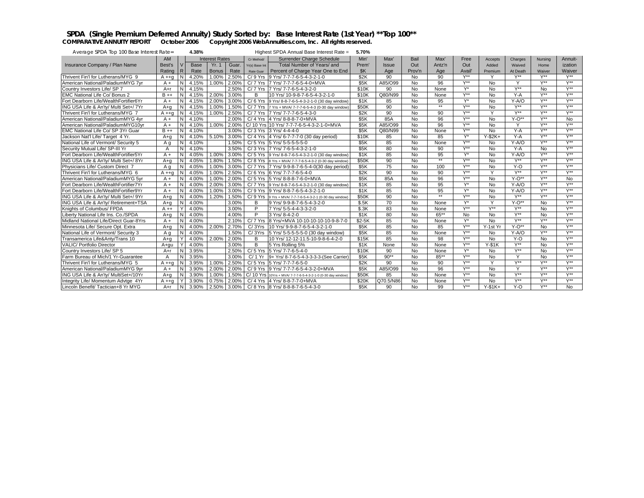### SPDA (Single Premium Deferred Annuity) Study Sorted by: Base Interest Rate (1st Year) \*\* Top 100\*\*<br>COMPARATIVE ANNUITY REPORT October 2006 Copyright 2006 WebAnnuities.com, Inc. All rights reserved.

| Average SPDA Top 100 Base Interest Rate= |         |     | 4.38% |                       |       |                | Highest SPDA Annual Base Interest Rate =                     | 5.70%   |           |                |         |                  |                  |                  |                  |                  |
|------------------------------------------|---------|-----|-------|-----------------------|-------|----------------|--------------------------------------------------------------|---------|-----------|----------------|---------|------------------|------------------|------------------|------------------|------------------|
|                                          | AM      |     |       | <b>Interest Rates</b> |       | Cr Method/     | Surrender Charge Schedule                                    | Min'    | Max'      | Bail           | Max'    | Free             | Accepts          | Charges          | Nursina          | Annuit-          |
| Insurance Company / Plan Name            | Best's  |     | Base  | Yr. 1                 | Guar. | Yr(s) Base Int | Total Number of Years/ and                                   | Prem'   | Issue     | Out            | Antz'n  | Out              | Added            | Waived           | Home             | ization          |
|                                          | Rating  | R   | Rate  | <b>Bonus</b>          | Rate  | Rate Guar      | Percent of Charge Year One to End                            | SK      | Age       | Prov'n         | Age     | Avail'           | Premium          | At Death         | Waiver           | Waiver           |
| Thrivent Fin'l for Lutherans/MYG 9       | $A + q$ |     | 4.20% | 1.00%                 | 2.50% | $C/9$ Yrs      | 9 Yrs/ 7-7-7-6-5-4-3-2-1-0                                   | \$2K    | 90        | No             | 90      | Y**              | Y                | $V^{\star\star}$ | $V^{**}$         | $V^{**}$         |
| American National/PaladiumMYG 7vr        | $A +$   | N   | 4.15% | 1.00%                 | 2.00% | $C/7$ Yrs      | 7 Yrs/ 7-7-7-6-5-4-0+MVA                                     | \$5K    | A85/O99   | No             | 96      | $Y^{\star\star}$ | <b>No</b>        | Y                | $Y^{\star\star}$ | $Y^{\star\star}$ |
| Country Investors Life/ SP 7             | $A+r$   | N   | 4.15% |                       | 2.50% | $C/7$ Yrs      | 7 Yrs/ 7-7-6-5-4-3-2-0                                       | \$10K   | 90        | No             | None    | Y*               | <b>No</b>        | Y**              | No               | $V^{**}$         |
| EMC National Life Co/ Bonus 2            | $B + +$ |     | 4.15% | 2.00%                 | 3.00% | B              | 10 Yrs/ 10-9-8-7-6-5-4-3-2-1-0                               | \$10K   | Q80/N99   | <b>No</b>      | None    | $V^{\star\star}$ | <b>No</b>        | $Y-A$            | $V^{**}$         | $V^{\star\star}$ |
| Fort Dearborn Life/WealthFortifier6Yr    | $A +$   |     | 4.15% | 2.00%                 | 3.00% | $C/6$ Yrs      | 9 Yrs/ 8-8-7-6-5-4-3-2-1-0 (30 day window)                   | \$1K    | 85        | N <sub>o</sub> | 95      | $V^*$            | <b>No</b>        | $Y-A/O$          | $V^{\star\star}$ | $V^{\star\star}$ |
| ING USA Life & An'ty/ Multi Set+/7Yr     | $A + a$ |     | 4.15% | 1.00%                 | 1.50% | $C/7$ Yrs      | 7 Yrs + MVA/ 7-7-7-6-5-4-3 (0-30 day window)                 | \$50K   | 90        | No             | $**$    | V**              | <b>No</b>        | Y**              | $Y^{\star\star}$ | $V^{\star\star}$ |
| Thrivent Fin'l for Lutherans/MYG 7       | A ++a   | N   | 4.15% | 1.00%                 | 2.50% |                | C/ 7 Yrs 7 Yrs/ 7-7-7-6-5-4-3-0                              | \$2K    | 90        | No             | 90      | V**              |                  | V**              | $V^{\star\star}$ | $V^{\star\star}$ |
| American National/PaladiumMYG 4vr        | $A +$   | N   | 4.10% |                       | 2.00% |                | C/ 4 Yrs 4 Yrs/ 8-8-8-7-0+MVA                                | \$5K    | 85A       | <b>No</b>      | 96      | V**              | <b>No</b>        | $Y-O**$          | $Y^{\star\star}$ | <b>No</b>        |
| American National/PaladiumMYG10yr        | $A +$   | N   | 4.10% | 1.00%                 | 2.00% |                | C/ 10 Yrs 10 Yrs/ 7-7-7-6-5-4-3-2-1-0+MVA                    | \$5K    | A85/O99   | No             | 96      | Y**              | <b>No</b>        | Y                | Y**              | $V^{\star\star}$ |
| EMC National Life Co/ SP 3Yr Guar        | $B + +$ | N   | 4.10% |                       | 3.00% |                | C/3 Yrs 3 Yrs/ 4-4-4-0                                       | \$5K    | Q80/N99   | No             | None    | V**              | <b>No</b>        | $Y - A$          | $Y^{\star\star}$ | $V^{\star\star}$ |
| Jackson Nat'l Life/ Target 4 Yr.         | $A + a$ | N   | 4.10% | 5.10%                 | 3.00% |                | C/ 4 Yrs 4 Yrs/ 6-7-7-7-0 (30 day period)                    | \$10K   | 85        | <b>No</b>      | 85      | $Y^*$            | $Y-$2K+$         | $Y - A$          | $Y^{\star\star}$ | $V^{\star\star}$ |
| National Life of Vermont/ Security 5     | Αa      | N   | 4.10% |                       | 1.50% |                | C/ 5 Yrs 5 Yrs/ 5-5-5-5-5-0                                  | \$5K    | 85        | <b>No</b>      | None    | Y**              | <b>No</b>        | $Y-A/O$          | Y**              | $V^{**}$         |
| Security Mutual Life/ SP-III Yı          | A       | N   | 4.10% |                       | 3.50% |                | C/3 Yrs 7 Yrs/ 7-6-5-4-3-2-1-0                               | \$5K    | 80        | No             | 90      | Y**              | No               | $Y-A$            | No               | $Y^{\star\star}$ |
| Fort Dearborn Life/WealthFortifier5Yr    | $A +$   | N   | 4.05% | 1.00%                 | 3.00% | $C/5$ Yrs      | 9 Yrs/ 8-8-7-6-5-4-3-2-1-0 (30 day window)                   | \$1K    | 85        | No             | 95      | $V^*$            | <b>No</b>        | $Y-A/O$          | $V^{\star\star}$ | $V^{\star\star}$ |
| ING USA Life & An'ty/ Multi Set+/ 8Yr    | $A + a$ | N   | 4.05% | 1.80%                 | 1.50% |                | C/ 8 Yrs 8 Yrs + MVA/ 7-7-7-6-5-4-3-2 (0-30 day window)      | \$50K   | 90        | No             | $**$    | $V^{\star\star}$ | <b>No</b>        | $Y^{\star\star}$ | <b>Y**</b>       | $V^{\star\star}$ |
| Physicians Life/ Custom Direct 7         | Αa      | N   | 4.05% | 1.00%                 | 3.00% |                | C/7 Yrs 7 Yrs/ 9-9-8-7-6-5-4-0(30 day period)                | \$5K    | 75        | No             | 100     | V**              | <b>No</b>        | $Y-0$            | $Y^{\star\star}$ | $V^{\star\star}$ |
| Thrivent Fin'l for Lutherans/MYG 6       | $A + a$ |     | 4.05% | 1.00%                 | 2.50% | $C/6$ Yrs      | 6 Yrs/ 7-7-7-6-5-4-0                                         | \$2K    | 90        | <b>No</b>      | 90      | V**              | $\checkmark$     | $V^{\star\star}$ | $Y^{\star\star}$ | $V^{\star\star}$ |
| American National/PaladiumMYG 5vr        | $A +$   |     | 4.00% | 1.00%                 | 2.00% | $C/5$ Yrs      | 5 Yrs/ 8-8-8-7-6-0+MVA                                       | \$5K    | 85A       | No             | 96      | $V^{\star\star}$ | <b>No</b>        | $Y - O^{**}$     | $Y^{\star\star}$ | <b>No</b>        |
| Fort Dearborn Life/WealthFortifier7Yr    | $A +$   |     | 4.00% | 2.00%                 | 3.00% | $C/7$ Yrs      | 9 Yrs/ 8-8-7-6-5-4-3-2-1-0 (30 day window)                   | \$1K    | 85        | No             | 95      | Y*               | <b>No</b>        | $Y-A/O$          | $Y^{\star\star}$ | $V^{\star\star}$ |
| Fort Dearborn Life/WealthFortifier9Yr    | $A +$   | N   | 4.00% | 1.00%                 | 3.00% | $C/9$ Yrs      | 9 Yrs/ 8-8-7-6-5-4-3-2-1-0                                   | \$1K    | 85        | <b>No</b>      | 95      | $Y^*$            | <b>No</b>        | $Y-A/O$          | $Y^{\star\star}$ | $V^{\star\star}$ |
| ING USA Life & An'ty/ Multi Set+/ 9Yr    | $A + a$ | N   | 4.00% | 1.20%                 | 1.50% | $C/9$ Yrs      | 9 Yrs + MVA/ 7-7-7-6-5-4-3-2-1 (0-30 day window)             | \$50K   | 90        | <b>No</b>      | $**$    | V**              | <b>No</b>        | $V^{\star\star}$ | $Y^{\star\star}$ | $V^{\star\star}$ |
| ING USA Life & An'ty/ Retirement+TSA     | A+a     | N   | 4.00% |                       | 3.00% | в              | 9 Yrs/ 9-9-8-7-6-5-4-3-2-0                                   | \$.5K   | 70        | No             | None    | $Y^*$            |                  | $Y - O^{**}$     | No               | $V^{**}$         |
| Knights of Columbus/ FPDA                | $A + +$ |     | 4.00% |                       | 3.00% | P              | 7 Yrs/ 5-5-4-4-3-3-2-0                                       | \$.3K   | 83        | No             | None    | Y**              | $Y^{\star\star}$ | $V^{**}$         | No               | $Y^{\star\star}$ |
| Liberty National Life Ins. Co./SPDA      | $A + a$ |     | 4.00% |                       | 4.00% | P              | 3 Yrs/ 8-4-2-0                                               | \$1K    | 80        | <b>No</b>      | $65**$  | <b>No</b>        | No.              | $V^{\star\star}$ | No               | $V^{\star\star}$ |
| Midland National Life/Direct Guar-8Yrs   | $A +$   | N   | 4.00% |                       | 2.10% | $C/7$ Yrs      | 8 Yrs/+MVA 10-10-10-10-10-9-8-7-0                            | $$2-5K$ | 85        | <b>No</b>      | None    | Y*               | <b>No</b>        | $V^{\star\star}$ | Y**              | $V^{\star\star}$ |
| Minnesota Life/ Secure Opt. Extra        | $A + a$ | N   | 4.00% | 2.00%                 | 2.70% | C/3Yrs         | 10 Yrs/ 9-9-8-7-6-5-4-3-2-1-0                                | \$5K    | 85        | <b>No</b>      | 85      | $Y^{\star\star}$ | Y-1st Yr         | $Y - O^{**}$     | No               | $Y^{\star\star}$ |
| National Life of Vermont/ Security 3     | Αa      | N   | 4.00% |                       | 1.50% | C/3Yrs         | 5 Yrs/ 5-5-5-5-5-0 (30 day window)                           | \$5K    | 85        | No             | None    | $Y^{\star\star}$ | No               | $Y-A/O$          | $Y^{\star\star}$ | $Y^{\star\star}$ |
| Transamerica Life&Anty/Trans 10          | $A + a$ |     | 4.00% | 2.00%                 | 2.00% | в              | 10 Yrs/ 12-12-11.5-10-9-8-6-4-2-0                            | \$15K   | 85        | No             | 98      | $V^{\star\star}$ | <b>No</b>        | $Y-O$            | <b>No</b>        | $V^{**}$         |
| <b>VALIC/ Portfolio Director</b>         | A+au    |     | 4.00% |                       | 3.00% | в              | 5 Yrs Rolling 5%                                             | \$1K    | None      | <b>No</b>      | None    | Y**              | $Y-S1K$          | $Y^{\star\star}$ | No               | $V^{\star\star}$ |
| Country Investors Life/ SP 5             | $A+r$   |     | 3.95% |                       | 2.50% | $C/5$ Yrs      | 5 Yrs/ 7-7-6-5-4-0                                           | \$10K   | 90        | <b>No</b>      | None    | $V^*$            | No               | $Y^{\star\star}$ | <b>No</b>        | $V^{\star\star}$ |
| Farm Bureau of Mich/1 Yr-Guarantee       | A       |     | 3.95% |                       | 3.00% | $C/1$ Yr       | 9+ Yrs/ 8-7-6-5-4-3-3-3-3-(See Carrier)                      | \$5K    | $90**$    | No             | $85***$ | $V^{\star\star}$ | No               | $\checkmark$     | No               | $V^{\star\star}$ |
| Thrivent Fin'l for Lutherans/MYG 5       | $A + a$ |     | 3.95% | 1.00%                 | 2.50% |                | C/5 Yrs 5 Yrs/7-7-7-6-5-0                                    | \$2K    | 90        | <b>No</b>      | 90      | Y**              |                  | Y**              | $Y^{\star\star}$ | $V^{**}$         |
| American National/PaladiumMYG 9vr        | $A +$   |     | 3.90% | 2.00%                 | 2.00% | $C/9$ Yrs      | 9 Yrs/ 7-7-7-6-5-4-3-2-0+MVA                                 | \$5K    | A85/O99   | <b>No</b>      | 96      | $V^{\star\star}$ | <b>No</b>        | Y                | $Y^{\star\star}$ | $V^{\star\star}$ |
| ING USA Life & An'ty/ MultiSet+/10Yr     | $A + q$ |     | 3.90% | 1.00%                 | 1.50% |                | C/ 10 Yrs 10Yrs + MVA/ 7-7-7-6-5-4-3-2-1-0 (0-30 day window) | \$50K   | 85        | <b>No</b>      | None    | V**              | No               | $V^{**}$         | $Y^{\star\star}$ | $V^{\star\star}$ |
| Integrity Life/ Momentum Advtge 4Yr      | A ++a   |     | 3.90% | 0.75%                 | 2.00% | $C/4$ Yrs      | 4 Yrs/ 8-8-7-7-0+MVA                                         | \$20K   | Q70.5/N86 | No             | None    | $V^{\star\star}$ | <b>No</b>        | $V^{**}$         | $V^{\star\star}$ | $V^{\star\star}$ |
| Lincoln Benefit/ Tactician+8 Yr MYG      | $A+r$   | N I | 3.90% | 2.50%                 | 3.00% |                | C/8 Yrs 8 Yrs/8-8-8-7-6-5-4-3-0                              | \$5K    | 90        | No             | 99      | $Y^{\star\star}$ | $Y-S1K+$         | $Y-O$            | $Y^{\star\star}$ | <b>No</b>        |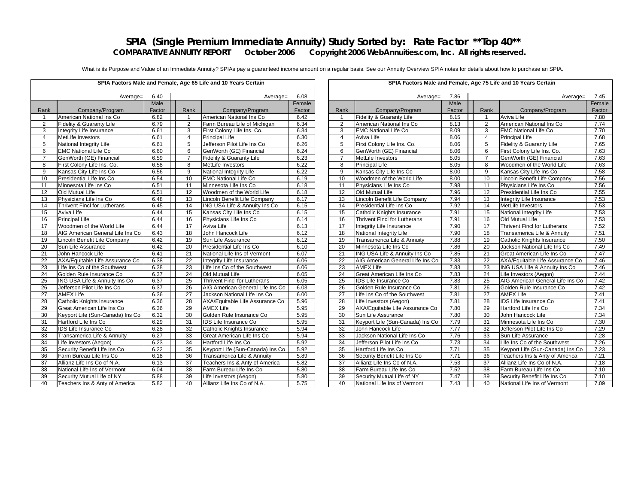#### **SPIA (Single Premium Immediate Annuity) Study Sorted by: Rate Factor \*\*Top 40\*\***<br>COMPARATIVE ANNUITY REPORT October 2006 Copyright 2006 WebAnnuities.com, Inc. All rights reserved Copyright 2006 WebAnnuities.com, Inc. All rights reserved.

What is its Purpose and Value of an Immediate Annuity? SPIAs pay a guaranteed income amount on a regular basis. See our Annuity Overview SPIA notes for details about how to purchase an SPIA.

|                 |                                     |        |                 | SPIA Factors Male and Female, Age 65 Life and 10 Years Certain |        |                 |                                     |        |                 | SPIA Factors Male and Female, Age 75 Life and 10 Years Certain |
|-----------------|-------------------------------------|--------|-----------------|----------------------------------------------------------------|--------|-----------------|-------------------------------------|--------|-----------------|----------------------------------------------------------------|
|                 | Average=                            | 6.40   |                 | Average=                                                       | 6.08   |                 | Average=                            | 7.86   |                 |                                                                |
|                 |                                     | Male   |                 |                                                                | Female |                 |                                     | Male   |                 |                                                                |
| Rank            | Company/Program                     | Factor | Rank            | Company/Program                                                | Factor | Rank            | Company/Program                     | Factor | Rank            | Company/Program                                                |
| $\mathbf{1}$    | American National Ins Co            | 6.82   | $\overline{1}$  | American National Ins Co                                       | 6.42   | $\overline{1}$  | Fidelity & Guaranty Life            | 8.15   |                 | Aviva Life                                                     |
| $\overline{2}$  | Fidelity & Guaranty Life            | 6.79   | 2               | Farm Bureau Life of Michigan                                   | 6.34   | $\overline{2}$  | American National Ins Co            | 8.13   | 2               | American National Ins Co                                       |
| 3               | Integrity Life Insurance            | 6.61   | 3               | First Colony Life Ins. Co.                                     | 6.34   | 3               | <b>EMC National Life Co</b>         | 8.09   | 3               | <b>EMC</b> National Life Co                                    |
| $\overline{4}$  | MetLife Investors                   | 6.61   | $\overline{4}$  | <b>Principal Life</b>                                          | 6.30   | $\overline{4}$  | Aviva Life                          | 8.06   | $\overline{4}$  | <b>Principal Life</b>                                          |
| 5               | National Integrity Life             | 6.61   | 5               | Jefferson Pilot Life Ins Co                                    | 6.26   | 5               | First Colony Life Ins. Co.          | 8.06   | 5               | Fidelity & Guaranty Life                                       |
| 6               | <b>EMC National Life Co</b>         | 6.60   | 6               | GenWorth (GE) Financial                                        | 6.24   | 6               | GenWorth (GE) Financial             | 8.06   | 6               | First Colony Life Ins. Co.                                     |
| $\overline{7}$  | GenWorth (GE) Financial             | 6.59   | $\overline{7}$  | Fidelity & Guaranty Life                                       | 6.23   | $\overline{7}$  | MetLife Investors                   | 8.05   | $\overline{7}$  | GenWorth (GE) Financial                                        |
| 8               | First Colony Life Ins. Co.          | 6.58   | 8               | MetLife Investors                                              | 6.22   | 8               | <b>Principal Life</b>               | 8.05   | 8               | Woodmen of the World Life                                      |
| 9               | Kansas City Life Ins Co             | 6.56   | 9               | National Integrity Life                                        | 6.22   | 9               | Kansas City Life Ins Co             | 8.00   | 9               | Kansas City Life Ins Co                                        |
| 10              | Presidential Life Ins Co            | 6.54   | 10              | <b>EMC National Life Co</b>                                    | 6.19   | 10              | Woodmen of the World Life           | 8.00   | 10              | Lincoln Benefit Life Compa                                     |
| 11              | Minnesota Life Ins Co               | 6.51   | 11              | Minnesota Life Ins Co                                          | 6.18   | 11              | Physicians Life Ins Co              | 7.98   | 11              | Physicians Life Ins Co                                         |
| 12              | Old Mutual Life                     | 6.51   | $\overline{12}$ | Woodmen of the World Life                                      | 6.18   | 12              | Old Mutual Life                     | 7.96   | 12              | Presidential Life Ins Co                                       |
| 13              | Physicians Life Ins Co              | 6.48   | 13              | Lincoln Benefit Life Company                                   | 6.17   | 13              | Lincoln Benefit Life Company        | 7.94   | 13              | Integrity Life Insurance                                       |
| 14              | <b>Thrivent Fincl for Lutherans</b> | 6.45   | 14              | ING USA Life & Annuity Ins Co                                  | 6.15   | 14              | Presidential Life Ins Co            | 7.92   | 14              | MetLife Investors                                              |
| 15              | Aviva Life                          | 6.44   | 15              | Kansas City Life Ins Co                                        | 6.15   | 15              | Catholic Knights Insurance          | 7.91   | 15              | National Integrity Life                                        |
| 16              | <b>Principal Life</b>               | 6.44   | 16              | Physicians Life Ins Co                                         | 6.14   | 16              | <b>Thrivent Fincl for Lutherans</b> | 7.91   | 16              | Old Mutual Life                                                |
| 17              | Woodmen of the World Life           | 6.44   | $\overline{17}$ | Aviva Life                                                     | 6.13   | $\overline{17}$ | Integrity Life Insurance            | 7.90   | $\overline{17}$ | Thrivent Fincl for Lutheran                                    |
| 18              | AIG American General Life Ins Co    | 6.43   | 18              | John Hancock Life                                              | 6.12   | 18              | National Integrity Life             | 7.90   | 18              | Transamerica Life & Annui                                      |
| 19              | Lincoln Benefit Life Company        | 6.42   | 19              | Sun Life Assurance                                             | 6.12   | 19              | Transamerica Life & Annuity         | 7.88   | 19              | Catholic Knights Insurance                                     |
| 20              | Sun Life Assurance                  | 6.42   | 20              | Presidential Life Ins Co                                       | 6.10   | 20              | Minnesota Life Ins Co               | 7.86   | 20              | Jackson National Life Ins (                                    |
| 21              | John Hancock Life                   | 6.41   | 21              | National Life Ins of Vermont                                   | 6.07   | 21              | ING USA Life & Annuity Ins Co.      | 7.85   | 21              | Great American Life Ins Co                                     |
| 22              | AXA/Equitable Life Assurance Co     | 6.38   | 22              | Integrity Life Insurance                                       | 6.06   | 22              | AIG American General Life Ins Co    | 7.83   | 22              | AXA/Equitable Life Assura                                      |
| 23              | Life Ins Co of the Southwest        | 6.38   | 23              | Life Ins Co of the Southwest                                   | 6.06   | 23              | <b>AMEX Life</b>                    | 7.83   | 23              | <b>ING USA Life &amp; Annuity In</b>                           |
| $\overline{24}$ | Golden Rule Insurance Co            | 6.37   | 24              | Old Mutual Life                                                | 6.05   | $\overline{24}$ | Great American Life Ins Co          | 7.83   | $\overline{24}$ | Life Investors (Aegon)                                         |
| 25              | ING USA Life & Annuity Ins Co       | 6.37   | 25              | <b>Thrivent Fincl for Lutherans</b>                            | 6.05   | 25              | <b>IDS Life Insurance Co</b>        | 7.83   | 25              | AIG American General Life                                      |
| $\overline{26}$ | Jefferson Pilot Life Ins Co         | 6.37   | 26              | AIG American General Life Ins Co                               | 6.03   | 26              | Golden Rule Insurance Co            | 7.81   | 26              | Golden Rule Insurance Co                                       |
| $\overline{27}$ | <b>AMEX Life</b>                    | 6.36   | 27              | Jackson National Life Ins Co                                   | 6.00   | 27              | Life Ins Co of the Southwest        | 7.81   | $\overline{27}$ | <b>AMEX Life</b>                                               |
| 28              | Catholic Knights Insurance          | 6.36   | 28              | AXA/Equitable Life Assurance Co                                | 5.96   | 28              | Life Investors (Aegon)              | 7.81   | 28              | <b>IDS Life Insurance Co</b>                                   |
| 29              | Great American Life Ins Co          | 6.36   | 29              | <b>AMEX Life</b>                                               | 5.95   | 29              | AXA/Equitable Life Assurance Co     | 7.80   | 29              | Hartford Life Ins Co                                           |
| 30              | Keyport Life (Sun-Canada) Ins Co    | 6.32   | 30              | Golden Rule Insurance Co                                       | 5.95   | 30              | Sun Life Assurance                  | 7.80   | 30              | John Hancock Life                                              |
| 31              | Hartford Life Ins Co                | 6.29   | 31              | <b>IDS Life Insurance Co</b>                                   | 5.95   | 31              | Keyport Life (Sun-Canada) Ins Co    | 7.79   | 31              | Minnesota Life Ins Co                                          |
| 32              | <b>IDS</b> Life Insurance Co        | 6.28   | 32              | Catholic Knights Insurance                                     | 5.94   | 32              | John Hancock Life                   | 7.77   | 32              | Jefferson Pilot Life Ins Co                                    |
| 33              | Transamerica Life & Annuity         | 6.27   | 33              | Great American Life Ins Co                                     | 5.94   | 33              | Jackson National Life Ins Co        | 7.76   | 33              | Sun Life Assurance                                             |
| 34              | Life Investors (Aegon)              | 6.23   | 34              | Hartford Life Ins Co                                           | 5.92   | 34              | Jefferson Pilot Life Ins Co         | 7.73   | 34              | Life Ins Co of the Southwe                                     |
| 35              | Security Benefit Life Ins Co        | 6.22   | 35              | Keyport Life (Sun-Canada) Ins Co                               | 5.92   | 35              | Hartford Life Ins Co                | 7.71   | 35              | Keyport Life (Sun-Canada)                                      |
| 36              | Farm Bureau Life Ins Co             | 6.18   | 36              | Transamerica Life & Annuity                                    | 5.89   | 36              | Security Benefit Life Ins Co        | 7.71   | 36              | Teachers Ins & Anty of Am                                      |
| $\overline{37}$ | Allianz Life Ins Co of N.A.         | 6.13   | $\overline{37}$ | Teachers Ins & Anty of America                                 | 5.82   | $\overline{37}$ | Allianz Life Ins Co of N.A.         | 7.53   | 37              | Allianz Life Ins Co of N.A.                                    |
| 38              | National Life Ins of Vermont        | 6.04   | 38              | Farm Bureau Life Ins Co                                        | 5.80   | 38              | Farm Bureau Life Ins Co             | 7.52   | 38              | Farm Bureau Life Ins Co                                        |
| 39              | Security Mutual Life of NY          | 5.88   | 39              | Life Investors (Aegon)                                         | 5.80   | 39              | Security Mutual Life of NY          | 7.47   | 39              | Security Benefit Life Ins Co                                   |
| 40              | Teachers Ins & Anty of America      | 5.82   | 40              | Allianz Life Ins Co of N.A.                                    | 5.75   | 40              | National Life Ins of Vermont        | 7.43   | 40              | National Life Ins of Vermor                                    |
|                 |                                     |        |                 |                                                                |        |                 |                                     |        |                 |                                                                |

| SPIA Factors Male and Female, Age 65 Life and 10 Years Certain |                                  |        |                     |                                  |        |                 | SPIA Factors Male and Female, Age 75 Life and 10 Years Certain |        |                 |                                     |        |  |
|----------------------------------------------------------------|----------------------------------|--------|---------------------|----------------------------------|--------|-----------------|----------------------------------------------------------------|--------|-----------------|-------------------------------------|--------|--|
|                                                                | 6.40<br>Average=                 |        | 6.08<br>$Average =$ |                                  |        |                 | 7.86<br>Average=                                               |        |                 | 7.45<br>Average=                    |        |  |
|                                                                |                                  | Male   |                     |                                  | Female |                 |                                                                | Male   |                 |                                     | Female |  |
| ank.                                                           | Company/Program                  | Factor | Rank                | Company/Program                  | Factor | Rank            | Company/Program                                                | Factor | Rank            | Company/Program                     | Factor |  |
| $\mathbf{1}$                                                   | American National Ins Co         | 6.82   | $\mathbf{1}$        | American National Ins Co         | 6.42   | $\mathbf{1}$    | Fidelity & Guaranty Life                                       | 8.15   |                 | Aviva Life                          | 7.80   |  |
| $\overline{2}$                                                 | Fidelity & Guaranty Life         | 6.79   | $\overline{2}$      | Farm Bureau Life of Michigan     | 6.34   | $\overline{2}$  | American National Ins Co                                       | 8.13   | 2               | American National Ins Co            | 7.74   |  |
| 3                                                              | Integrity Life Insurance         | 6.61   | 3                   | First Colony Life Ins. Co.       | 6.34   | 3               | <b>EMC National Life Co</b>                                    | 8.09   | 3               | <b>EMC National Life Co</b>         | 7.70   |  |
| $\overline{4}$                                                 | MetLife Investors                | 6.61   | $\overline{4}$      | <b>Principal Life</b>            | 6.30   | $\overline{4}$  | Aviva Life                                                     | 8.06   | $\overline{4}$  | <b>Principal Life</b>               | 7.68   |  |
| 5                                                              | National Integrity Life          | 6.61   | 5                   | Jefferson Pilot Life Ins Co      | 6.26   | 5               | First Colony Life Ins. Co.                                     | 8.06   | 5               | Fidelity & Guaranty Life            | 7.65   |  |
| 6                                                              | <b>EMC National Life Co</b>      | 6.60   | 6                   | GenWorth (GE) Financial          | 6.24   | 6               | GenWorth (GE) Financial                                        | 8.06   | 6               | First Colony Life Ins. Co.          | 7.63   |  |
| $\overline{7}$                                                 | GenWorth (GE) Financial          | 6.59   | $\overline{7}$      | Fidelity & Guaranty Life         | 6.23   | $\overline{7}$  | MetLife Investors                                              | 8.05   | $\overline{7}$  | GenWorth (GE) Financial             | 7.63   |  |
| 8                                                              | First Colony Life Ins. Co.       | 6.58   | 8                   | MetLife Investors                | 6.22   | 8               | <b>Principal Life</b>                                          | 8.05   | 8               | Woodmen of the World Life           | 7.63   |  |
| 9                                                              | Kansas City Life Ins Co          | 6.56   | 9                   | National Integrity Life          | 6.22   | 9               | Kansas City Life Ins Co                                        | 8.00   | 9               | Kansas City Life Ins Co             | 7.58   |  |
| 10                                                             | Presidential Life Ins Co         | 6.54   | 10                  | <b>EMC National Life Co</b>      | 6.19   | 10              | Woodmen of the World Life                                      | 8.00   | 10 <sup>1</sup> | Lincoln Benefit Life Company        | 7.56   |  |
| 11                                                             | Minnesota Life Ins Co            | 6.51   | 11                  | Minnesota Life Ins Co            | 6.18   | 11              | Physicians Life Ins Co                                         | 7.98   | 11              | Physicians Life Ins Co              | 7.56   |  |
| 12                                                             | Old Mutual Life                  | 6.51   | $\overline{12}$     | Woodmen of the World Life        | 6.18   | $\overline{12}$ | Old Mutual Life                                                | 7.96   | $\overline{12}$ | Presidential Life Ins Co            | 7.55   |  |
| 13                                                             | Physicians Life Ins Co.          | 6.48   | 13                  | Lincoln Benefit Life Company     | 6.17   | 13              | Lincoln Benefit Life Company                                   | 7.94   | 13              | Integrity Life Insurance            | 7.53   |  |
| 14                                                             | Thrivent Fincl for Lutherans     | 6.45   | 14                  | ING USA Life & Annuity Ins Co    | 6.15   | 14              | Presidential Life Ins Co                                       | 7.92   | 14              | MetLife Investors                   | 7.53   |  |
| 15                                                             | Aviva Life                       | 6.44   | 15                  | Kansas City Life Ins Co          | 6.15   | 15              | Catholic Knights Insurance                                     | 7.91   | 15              | National Integrity Life             | 7.53   |  |
| 16                                                             | <b>Principal Life</b>            | 6.44   | 16                  | Physicians Life Ins Co           | 6.14   | 16              | Thrivent Fincl for Lutherans                                   | 7.91   | 16              | Old Mutual Life                     | 7.53   |  |
| 17                                                             | Woodmen of the World Life        | 6.44   | $\overline{17}$     | Aviva Life                       | 6.13   | $\overline{17}$ | Integrity Life Insurance                                       | 7.90   | $\overline{17}$ | <b>Thrivent Fincl for Lutherans</b> | 7.52   |  |
| 18                                                             | AIG American General Life Ins Co | 6.43   | 18                  | John Hancock Life                | 6.12   | 18              | National Integrity Life                                        | 7.90   | 18              | Transamerica Life & Annuity         | 7.51   |  |
| 19                                                             | Lincoln Benefit Life Company     | 6.42   | 19                  | Sun Life Assurance               | 6.12   | 19              | Transamerica Life & Annuity                                    | 7.88   | 19              | Catholic Knights Insurance          | 7.50   |  |
| 20                                                             | <b>Sun Life Assurance</b>        | 6.42   | $\overline{20}$     | Presidential Life Ins Co         | 6.10   | $\overline{20}$ | Minnesota Life Ins Co                                          | 7.86   | $\overline{20}$ | Jackson National Life Ins Co        | 7.49   |  |
| 21                                                             | John Hancock Life                | 6.41   | 21                  | National Life Ins of Vermont     | 6.07   | 21              | ING USA Life & Annuity Ins Co.                                 | 7.85   | 21              | Great American Life Ins Co          | 7.47   |  |
| 22                                                             | AXA/Equitable Life Assurance Co  | 6.38   | 22                  | Integrity Life Insurance         | 6.06   | 22              | AIG American General Life Ins Co                               | 7.83   | 22              | AXA/Equitable Life Assurance Co     | 7.46   |  |
| 23                                                             | Life Ins Co of the Southwest     | 6.38   | 23                  | Life Ins Co of the Southwest     | 6.06   | 23              | <b>AMEX Life</b>                                               | 7.83   | 23              | ING USA Life & Annuity Ins Co       | 7.46   |  |
| 24                                                             | Golden Rule Insurance Co         | 6.37   | 24                  | Old Mutual Life                  | 6.05   | 24              | Great American Life Ins Co                                     | 7.83   | 24              | Life Investors (Aegon)              | 7.44   |  |
| 25                                                             | ING USA Life & Annuity Ins Co    | 6.37   | 25                  | Thrivent Fincl for Lutherans     | 6.05   | 25              | <b>IDS Life Insurance Co</b>                                   | 7.83   | 25              | AIG American General Life Ins Co    | 7.42   |  |
| 26                                                             | Jefferson Pilot Life Ins Co      | 6.37   | 26                  | AIG American General Life Ins Co | 6.03   | 26              | Golden Rule Insurance Co                                       | 7.81   | 26              | Golden Rule Insurance Co            | 7.42   |  |
| 27                                                             | <b>AMEX Life</b>                 | 6.36   | 27                  | Jackson National Life Ins Co     | 6.00   | $\overline{27}$ | Life Ins Co of the Southwest                                   | 7.81   | 27              | <b>AMEX Life</b>                    | 7.41   |  |
| 28                                                             | Catholic Knights Insurance       | 6.36   | $\overline{28}$     | AXA/Equitable Life Assurance Co  | 5.96   | 28              | Life Investors (Aegon)                                         | 7.81   | 28              | <b>IDS Life Insurance Co</b>        | 7.41   |  |
| 29                                                             | Great American Life Ins Co       | 6.36   | 29                  | <b>AMEX Life</b>                 | 5.95   | 29              | AXA/Equitable Life Assurance Co                                | 7.80   | 29              | Hartford Life Ins Co                | 7.34   |  |
| 30                                                             | Keyport Life (Sun-Canada) Ins Co | 6.32   | 30                  | Golden Rule Insurance Co         | 5.95   | 30              | Sun Life Assurance                                             | 7.80   | 30              | John Hancock Life                   | 7.34   |  |
| 31                                                             | Hartford Life Ins Co             | 6.29   | 31                  | <b>IDS Life Insurance Co</b>     | 5.95   | 31              | Keyport Life (Sun-Canada) Ins Co                               | 7.79   | 31              | Minnesota Life Ins Co               | 7.30   |  |
| 32                                                             | IDS Life Insurance Co            | 6.28   | 32                  | Catholic Knights Insurance       | 5.94   | 32              | John Hancock Life                                              | 7.77   | 32              | Jefferson Pilot Life Ins Co         | 7.29   |  |
| 33                                                             | Transamerica Life & Annuity      | 6.27   | 33                  | Great American Life Ins Co       | 5.94   | 33              | Jackson National Life Ins Co                                   | 7.76   | 33              | Sun Life Assurance                  | 7.28   |  |
| 34                                                             | Life Investors (Aegon)           | 6.23   | 34                  | Hartford Life Ins Co             | 5.92   | 34              | Jefferson Pilot Life Ins Co                                    | 7.73   | 34              | Life Ins Co of the Southwest        | 7.26   |  |
| 35                                                             | Security Benefit Life Ins Co     | 6.22   | 35                  | Keyport Life (Sun-Canada) Ins Co | 5.92   | 35              | Hartford Life Ins Co                                           | 7.71   | 35              | Keyport Life (Sun-Canada) Ins Co    | 7.23   |  |
| 36                                                             | Farm Bureau Life Ins Co          | 6.18   | 36                  | Transamerica Life & Annuity      | 5.89   | 36              | Security Benefit Life Ins Co                                   | 7.71   | 36              | Teachers Ins & Anty of America      | 7.21   |  |
| 37                                                             | Allianz Life Ins Co of N.A.      | 6.13   | 37                  | Teachers Ins & Anty of America   | 5.82   | 37              | Allianz Life Ins Co of N.A.                                    | 7.53   | 37              | Allianz Life Ins Co of N.A.         | 7.18   |  |
| 38                                                             | National Life Ins of Vermont     | 6.04   | 38                  | Farm Bureau Life Ins Co          | 5.80   | 38              | Farm Bureau Life Ins Co                                        | 7.52   | 38              | Farm Bureau Life Ins Co             | 7.10   |  |
| 39                                                             | Security Mutual Life of NY       | 5.88   | 39                  | Life Investors (Aegon)           | 5.80   | 39              | Security Mutual Life of NY                                     | 7.47   | 39              | Security Benefit Life Ins Co        | 7.10   |  |
| 40                                                             | Teachers Ins & Anty of America   | 5.82   | 40                  | Allianz Life Ins Co of N.A.      | 5.75   | 40              | National Life Ins of Vermont                                   | 7.43   | 40              | National Life Ins of Vermont        | 7.09   |  |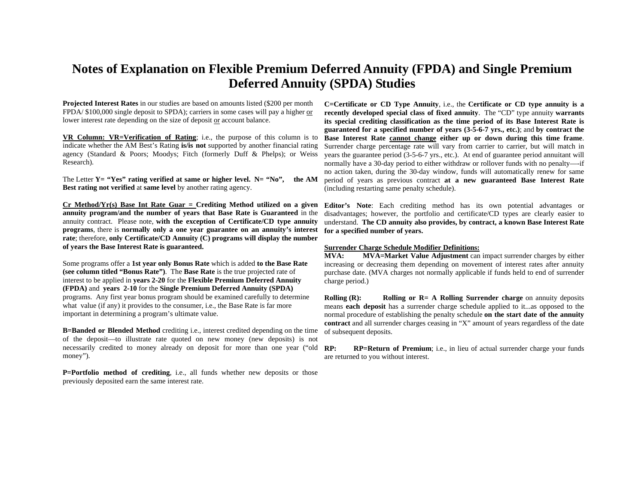#### **Notes of Explanation on Flexible Premium Deferred Annuity (FPDA) and Single Premium Deferred Annuity (SPDA) Studies**

**Projected Interest Rates** in our studies are based on amounts listed (\$200 per month FPDA/ \$100,000 single deposit to SPDA); carriers in some cases will pay a higher or lower interest rate depending on the size of deposit or account balance.

**VR Column: VR=Verification of Rating**; i.e., the purpose of this column is to indicate whether the AM Best's Rating **is/is not** supported by another financial rating agency (Standard & Poors; Moodys; Fitch (formerly Duff & Phelps); or Weiss Research).

The Letter **Y= "Yes" rating verified at same or higher level. N= "No", the AM Best rating not verified** at **same level** by another rating agency.

**Cr Method/Yr(s) Base Int Rate Guar = Crediting Method utilized on a given annuity program/and the number of years that Base Rate is Guaranteed** in the annuity contract. Please note, **with the exception of Certificate/CD type annuity programs**, there is **normally only a one year guarantee on an annuity's interest rate**; therefore, **only Certificate/CD Annuity (C) programs will display the number of years the Base Interest Rate is guaranteed.** 

Some programs offer a **1st year only Bonus Rate** which is added **to the Base Rate (see column titled "Bonus Rate")**. The **Base Rate** is the true projected rate of interest to be applied in **years 2-20** for the **Flexible Premium Deferred Annuity (FPDA)** and **years 2-10** for the **Single Premium Deferred Annuity (SPDA)**  programs. Any first year bonus program should be examined carefully to determine what value (if any) it provides to the consumer, i.e., the Base Rate is far more important in determining a program's ultimate value.

**B=Banded or Blended Method** crediting i.e., interest credited depending on the time of the deposit—to illustrate rate quoted on new money (new deposits) is not necessarily credited to money already on deposit for more than one year ("old **RP:** money").

**P=Portfolio method of crediting**, i.e., all funds whether new deposits or those previously deposited earn the same interest rate.

**C=Certificate or CD Type Annuity**, i.e., the **Certificate or CD type annuity is a recently developed special class of fixed annuity**. The "CD" type annuity **warrants its special crediting classification as the time period of its Base Interest Rate is guaranteed for a specified number of years (3-5-6-7 yrs., etc.)**; and **by contract the Base Interest Rate cannot change either up or down during this time frame**. Surrender charge percentage rate will vary from carrier to carrier, but will match in years the guarantee period (3-5-6-7 yrs., etc.). At end of guarantee period annuitant will normally have a 30-day period to either withdraw or rollover funds with no penalty—-if no action taken, during the 30-day window, funds will automatically renew for same period of years as previous contract **at a new guaranteed Base Interest Rate** (including restarting same penalty schedule).

**Editor's Note**: Each crediting method has its own potential advantages or disadvantages; however, the portfolio and certificate/CD types are clearly easier to understand. **The CD annuity also provides, by contract, a known Base Interest Rate for a specified number of years.** 

#### **Surrender Charge Schedule Modifier Definitions:**

**MVA: MVA=Market Value Adjustment** can impact surrender charges by either increasing or decreasing them depending on movement of interest rates after annuity purchase date. (MVA charges not normally applicable if funds held to end of surrender charge period.)

**Rolling (R):** Rolling or R= A Rolling Surrender charge on annuity deposits means **each deposit** has a surrender charge schedule applied to it...as opposed to the normal procedure of establishing the penalty schedule **on the start date of the annuity contract** and all surrender charges ceasing in "X" amount of years regardless of the date of subsequent deposits.

**RP=Return of Premium**; i.e., in lieu of actual surrender charge your funds are returned to you without interest.